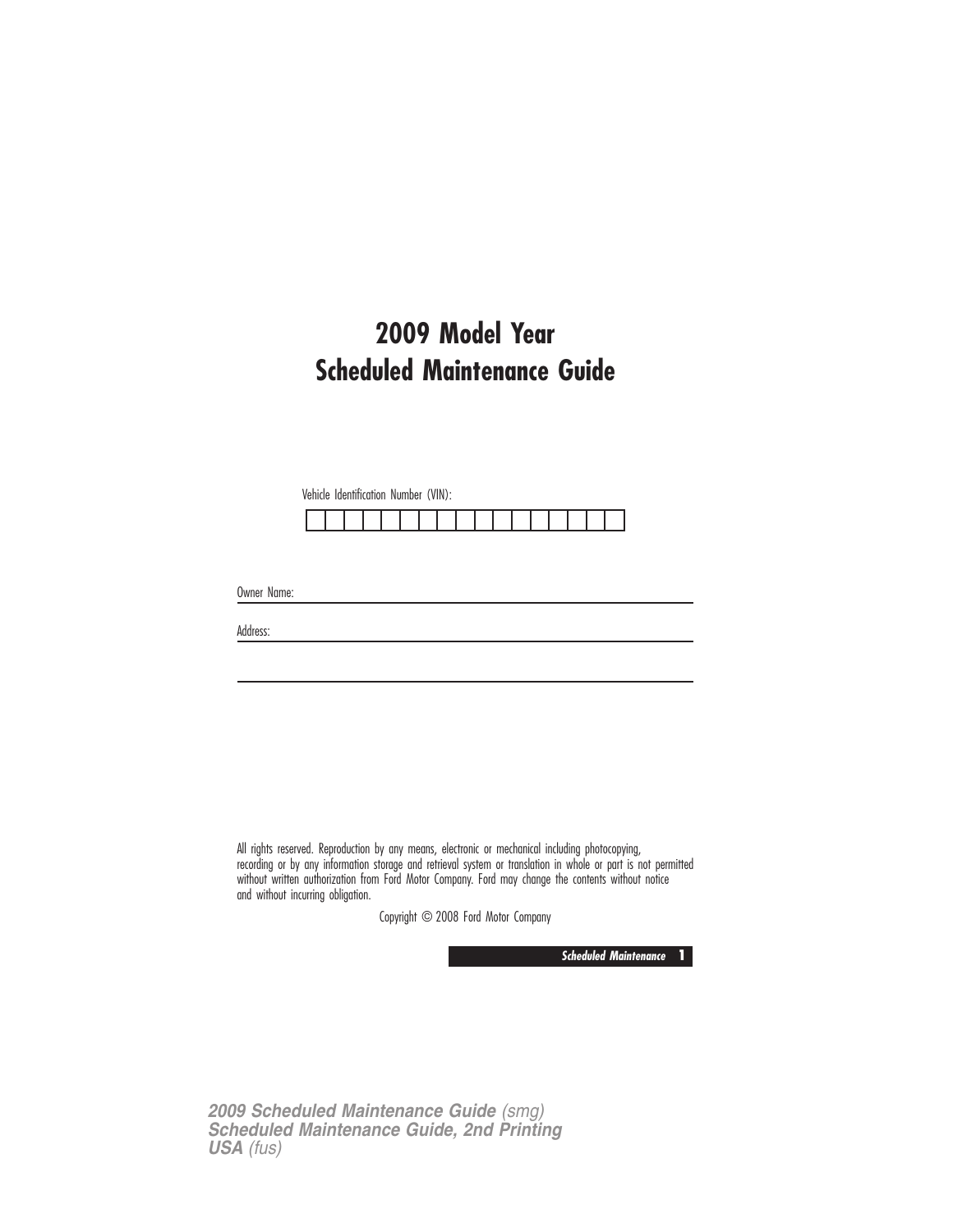# **2009 Model Year Scheduled Maintenance Guide**

Vehicle Identification Number (VIN):

Owner Name:

Address:

All rights reserved. Reproduction by any means, electronic or mechanical including photocopying, recording or by any information storage and retrieval system or translation in whole or part is not permitted without written authorization from Ford Motor Company. Ford may change the contents without notice and without incurring obligation.

Copyright © 2008 Ford Motor Company

**Scheduled Maintenance 1**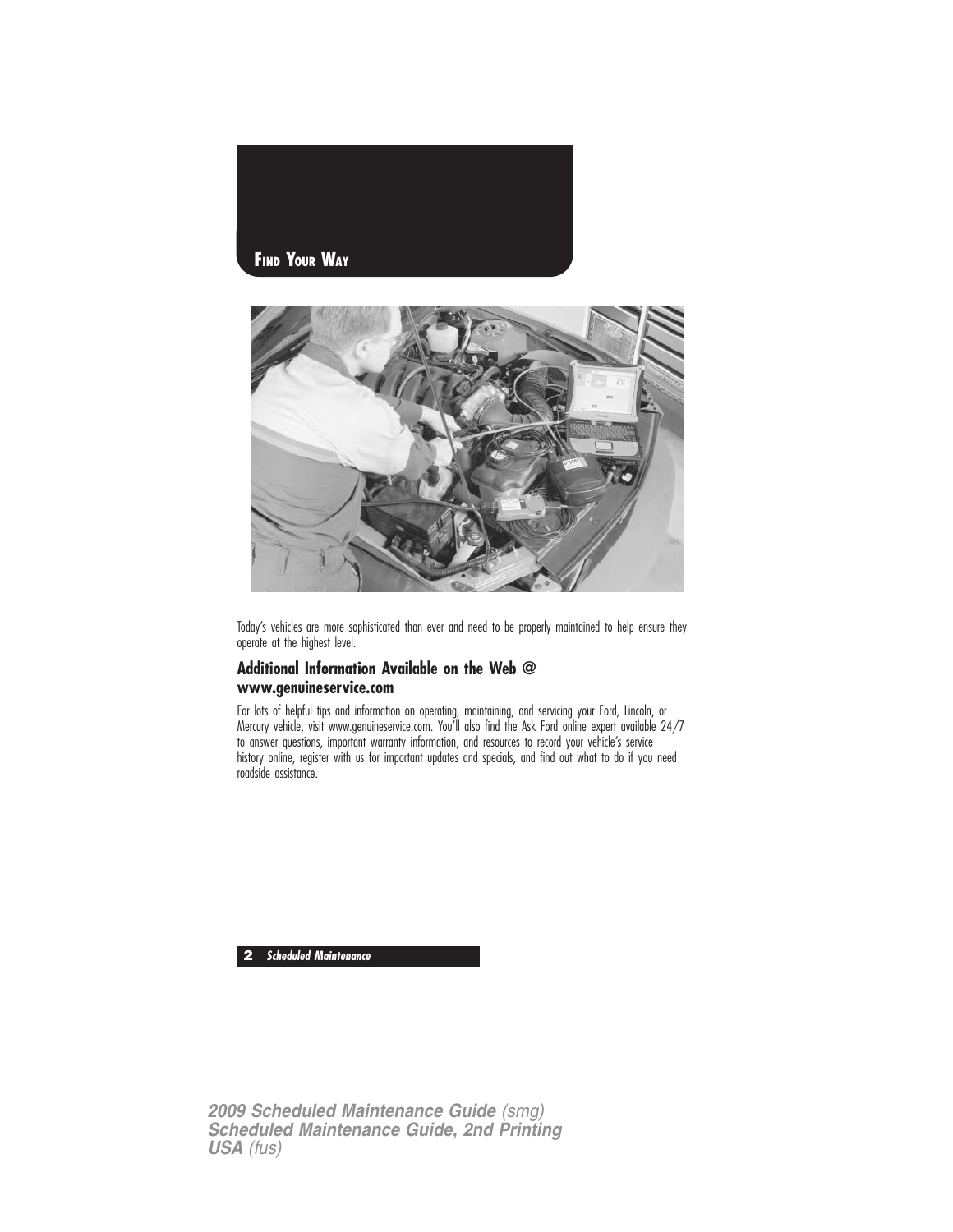



Today's vehicles are more sophisticated than ever and need to be properly maintained to help ensure they operate at the highest level.

#### **Additional Information Available on the Web @ www.genuineservice.com**

For lots of helpful tips and information on operating, maintaining, and servicing your Ford, Lincoln, or Mercury vehicle, visit www.genuineservice.com. You'll also find the Ask Ford online expert available 24/7 to answer questions, important warranty information, and resources to record your vehicle's service history online, register with us for important updates and specials, and find out what to do if you need roadside assistance.

**2 Scheduled Maintenance**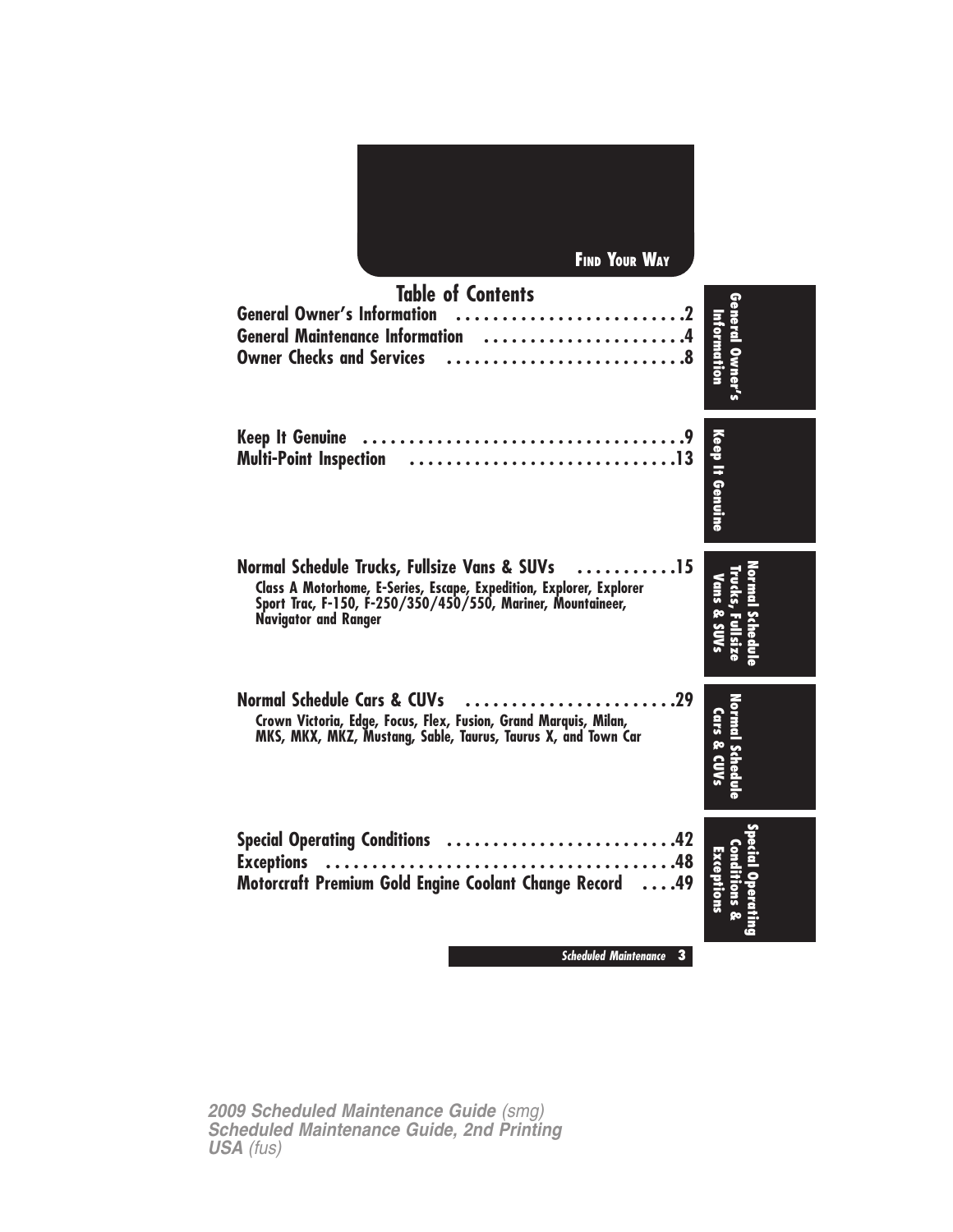| <b>FIND YOUR WAY</b>                                                                                                                                                                                                             |                                |
|----------------------------------------------------------------------------------------------------------------------------------------------------------------------------------------------------------------------------------|--------------------------------|
| <b>Table of Contents</b><br><b>General Owner's Information</b><br>General Maintenance Information 4<br><b>Owner Checks and Services</b>                                                                                          | General Owner's<br>Information |
| <b>Keep It Genuine</b><br><b>Multi-Point Inspection</b>                                                                                                                                                                          | Keep It Genuine                |
| Normal Schedule Trucks, Fullsize Vans & SUVs<br>$\ldots$ 15<br>Class A Motorhome, E-Series, Escape, Expedition, Explorer, Explorer<br>Sport Trac, F-150, F-250/350/450/550, Mariner, Mountaineer,<br><b>Navigator and Ranger</b> | Vans & SUV                     |
| <b>Normal Schedule Cars &amp; CUVs</b><br>Crown Victoria, Edge, Focus, Flex, Fusion, Grand Marquis, Milan,<br>MKS, MKX, MKZ, Mustang, Sable, Taurus, Taurus X, and Town Car                                                      | Cars & CUVs                    |
| .42<br><b>Special Operating Conditions</b><br><b>Exceptions</b><br>.48<br>.<br>Motorcraft Premium Gold Engine Coolant Change Record<br>$\ldots$ .49                                                                              | Exceptions                     |
| <b>Scheduled Maintenance</b><br>$\mathbf{3}$                                                                                                                                                                                     |                                |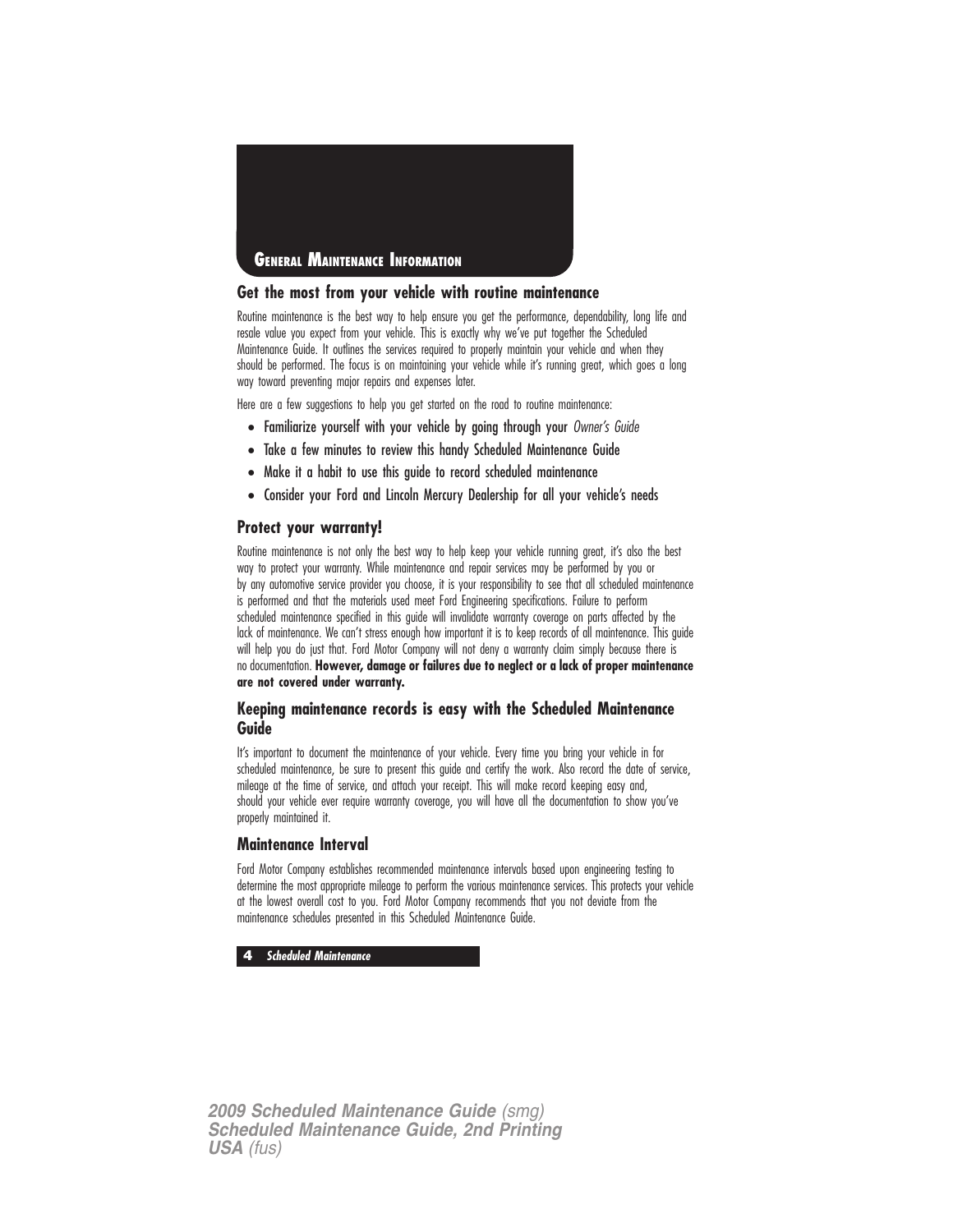

#### **Get the most from your vehicle with routine maintenance**

Routine maintenance is the best way to help ensure you get the performance, dependability, long life and resale value you expect from your vehicle. This is exactly why we've put together the Scheduled Maintenance Guide. It outlines the services required to properly maintain your vehicle and when they should be performed. The focus is on maintaining your vehicle while it's running great, which goes a long way toward preventing major repairs and expenses later.

Here are a few suggestions to help you get started on the road to routine maintenance:

- Familiarize yourself with your vehicle by going through your Owner's Guide
- Take a few minutes to review this handy Scheduled Maintenance Guide
- Make it a habit to use this guide to record scheduled maintenance
- Consider your Ford and Lincoln Mercury Dealership for all your vehicle's needs

#### **Protect your warranty!**

Routine maintenance is not only the best way to help keep your vehicle running great, it's also the best way to protect your warranty. While maintenance and repair services may be performed by you or by any automotive service provider you choose, it is your responsibility to see that all scheduled maintenance is performed and that the materials used meet Ford Engineering specifications. Failure to perform scheduled maintenance specified in this guide will invalidate warranty coverage on parts affected by the lack of maintenance. We can't stress enough how important it is to keep records of all maintenance. This guide will help you do just that. Ford Motor Company will not deny a warranty claim simply because there is no documentation. **However, damage or failures due to neglect or a lack of proper maintenance are not covered under warranty.**

#### **Keeping maintenance records is easy with the Scheduled Maintenance Guide**

It's important to document the maintenance of your vehicle. Every time you bring your vehicle in for scheduled maintenance, be sure to present this guide and certify the work. Also record the date of service, mileage at the time of service, and attach your receipt. This will make record keeping easy and, should your vehicle ever require warranty coverage, you will have all the documentation to show you've properly maintained it.

#### **Maintenance Interval**

Ford Motor Company establishes recommended maintenance intervals based upon engineering testing to determine the most appropriate mileage to perform the various maintenance services. This protects your vehicle at the lowest overall cost to you. Ford Motor Company recommends that you not deviate from the maintenance schedules presented in this Scheduled Maintenance Guide.

**4 Scheduled Maintenance**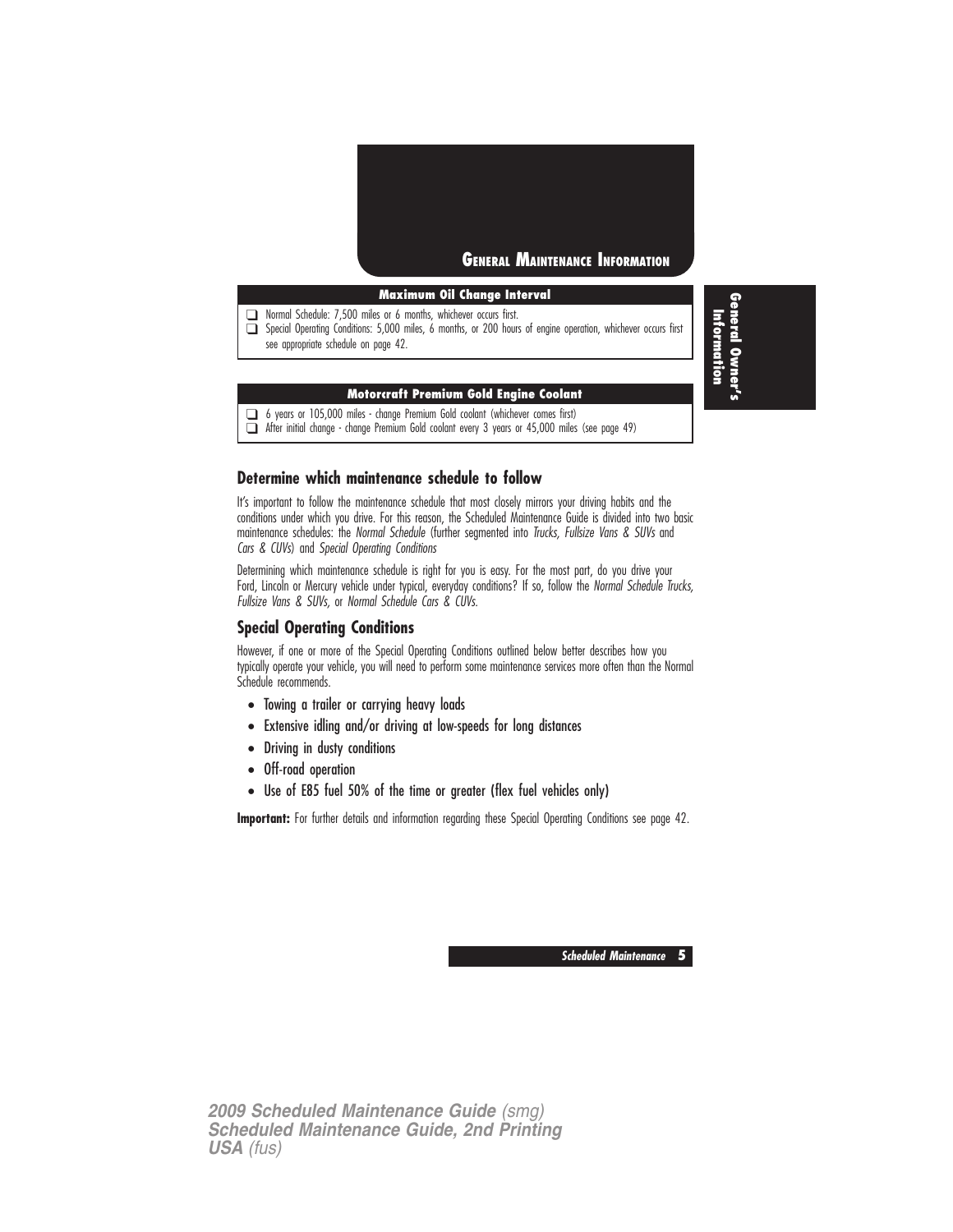

#### **Maximum Oil Change Interval**

❑ Normal Schedule: 7,500 miles or 6 months, whichever occurs first.

❑ Special Operating Conditions: 5,000 miles, 6 months, or 200 hours of engine operation, whichever occurs first see appropriate schedule on page 42.

#### **Motorcraft Premium Gold Engine Coolant**

❑ 6 years or 105,000 miles - change Premium Gold coolant (whichever comes first)

❑ After initial change - change Premium Gold coolant every 3 years or 45,000 miles (see page 49)

#### **Determine which maintenance schedule to follow**

It's important to follow the maintenance schedule that most closely mirrors your driving habits and the conditions under which you drive. For this reason, the Scheduled Maintenance Guide is divided into two basic maintenance schedules: the Normal Schedule (further segmented into Trucks, Fullsize Vans & SUVs and Cars & CUVs) and Special Operating Conditions

Determining which maintenance schedule is right for you is easy. For the most part, do you drive your Ford, Lincoln or Mercury vehicle under typical, everyday conditions? If so, follow the Normal Schedule Trucks, Fullsize Vans & SUVs, or Normal Schedule Cars & CUVs.

#### **Special Operating Conditions**

However, if one or more of the Special Operating Conditions outlined below better describes how you typically operate your vehicle, you will need to perform some maintenance services more often than the Normal Schedule recommends.

- Towing a trailer or carrying heavy loads
- Extensive idling and/or driving at low-speeds for long distances
- Driving in dusty conditions
- Off-road operation
- Use of E85 fuel 50% of the time or greater (flex fuel vehicles only)

**Important:** For further details and information regarding these Special Operating Conditions see page 42.

**Scheduled Maintenance 5**

*2009 Scheduled Maintenance Guide (smg) Scheduled Maintenance Guide, 2nd Printing USA (fus)*

**General Owner's** Information **Information**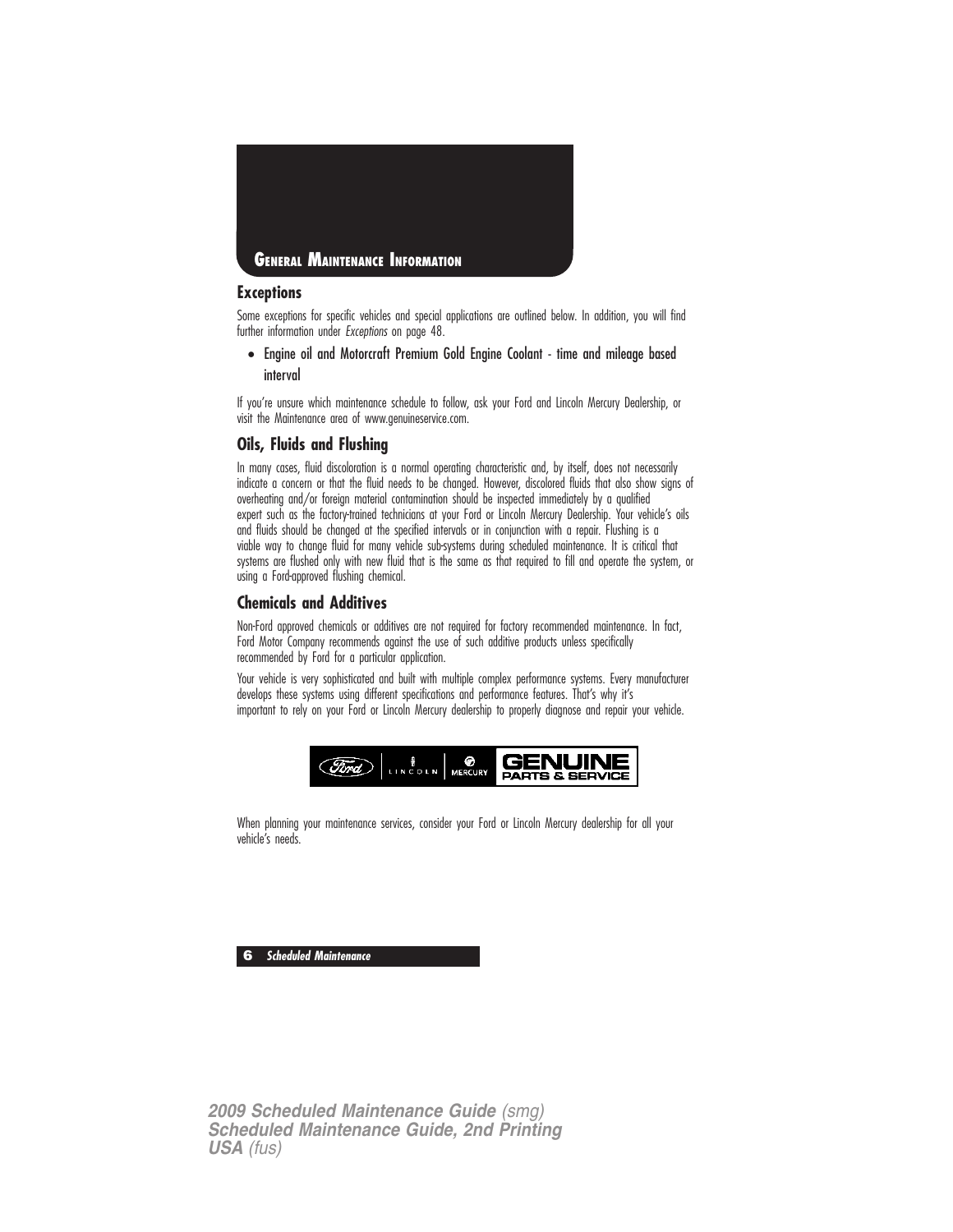

#### **Exceptions**

Some exceptions for specific vehicles and special applications are outlined below. In addition, you will find further information under Exceptions on page 48.

• Engine oil and Motorcraft Premium Gold Engine Coolant - time and mileage based interval

If you're unsure which maintenance schedule to follow, ask your Ford and Lincoln Mercury Dealership, or visit the Maintenance area of www.genuineservice.com.

#### **Oils, Fluids and Flushing**

In many cases, fluid discoloration is a normal operating characteristic and, by itself, does not necessarily indicate a concern or that the fluid needs to be changed. However, discolored fluids that also show signs of overheating and/or foreign material contamination should be inspected immediately by a qualified expert such as the factory-trained technicians at your Ford or Lincoln Mercury Dealership. Your vehicle's oils and fluids should be changed at the specified intervals or in conjunction with a repair. Flushing is a viable way to change fluid for many vehicle sub-systems during scheduled maintenance. It is critical that systems are flushed only with new fluid that is the same as that required to fill and operate the system, or using a Ford-approved flushing chemical.

#### **Chemicals and Additives**

Non-Ford approved chemicals or additives are not required for factory recommended maintenance. In fact, Ford Motor Company recommends against the use of such additive products unless specifically recommended by Ford for a particular application.

Your vehicle is very sophisticated and built with multiple complex performance systems. Every manufacturer develops these systems using different specifications and performance features. That's why it's important to rely on your Ford or Lincoln Mercury dealership to properly diagnose and repair your vehicle.



When planning your maintenance services, consider your Ford or Lincoln Mercury dealership for all your vehicle's needs.

**6 Scheduled Maintenance**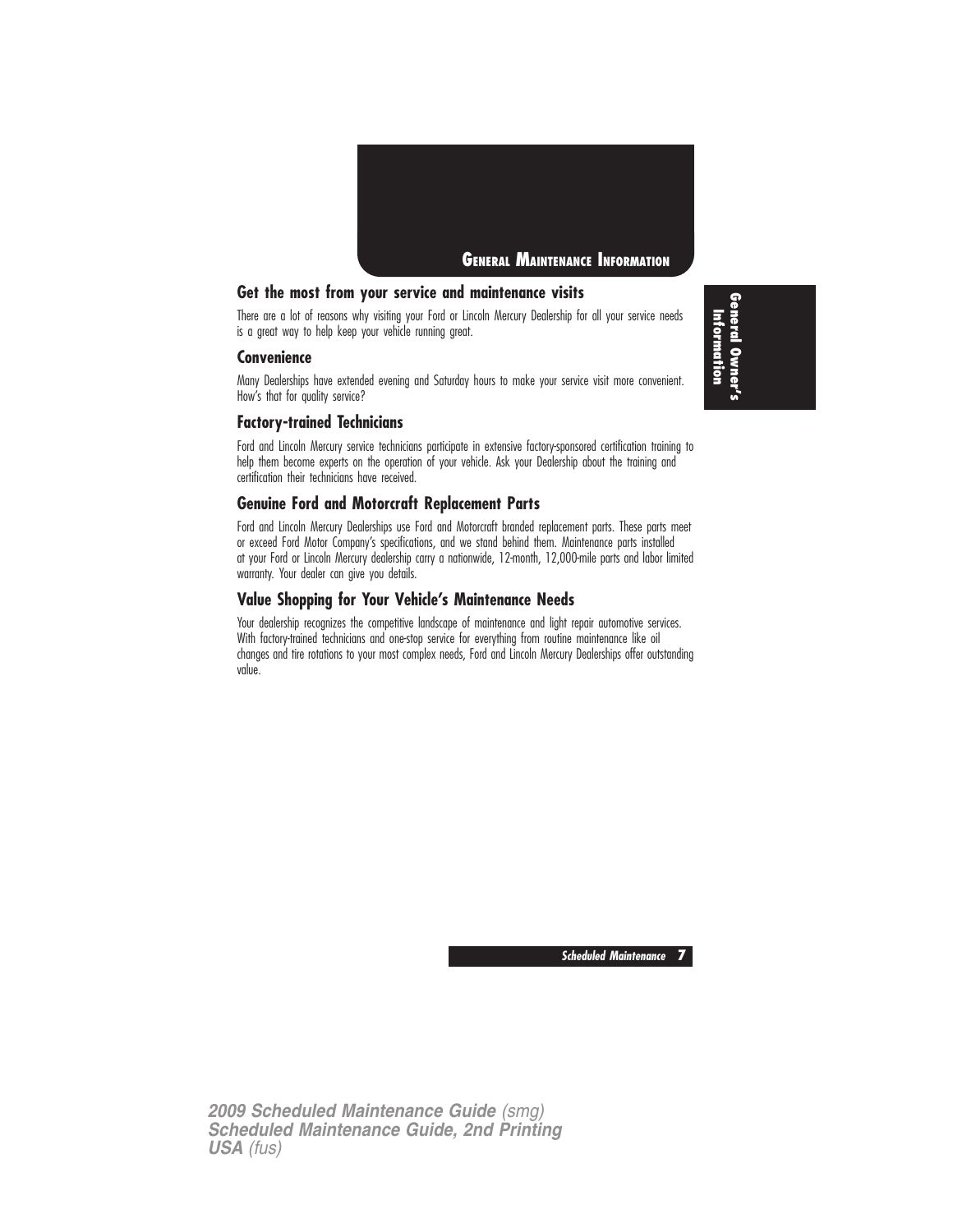

#### **Get the most from your service and maintenance visits**

There are a lot of reasons why visiting your Ford or Lincoln Mercury Dealership for all your service needs is a great way to help keep your vehicle running great.

#### **Convenience**

Many Dealerships have extended evening and Saturday hours to make your service visit more convenient. How's that for quality service?

#### **Factory-trained Technicians**

Ford and Lincoln Mercury service technicians participate in extensive factory-sponsored certification training to help them become experts on the operation of your vehicle. Ask your Dealership about the training and certification their technicians have received.

#### **Genuine Ford and Motorcraft Replacement Parts**

Ford and Lincoln Mercury Dealerships use Ford and Motorcraft branded replacement parts. These parts meet or exceed Ford Motor Company's specifications, and we stand behind them. Maintenance parts installed at your Ford or Lincoln Mercury dealership carry a nationwide, 12-month, 12,000-mile parts and labor limited warranty. Your dealer can give you details.

#### **Value Shopping for Your Vehicle's Maintenance Needs**

Your dealership recognizes the competitive landscape of maintenance and light repair automotive services. With factory-trained technicians and one-stop service for everything from routine maintenance like oil changes and tire rotations to your most complex needs, Ford and Lincoln Mercury Dealerships offer outstanding value.

**General Owner's** Information **Information**

**Scheduled Maintenance 7**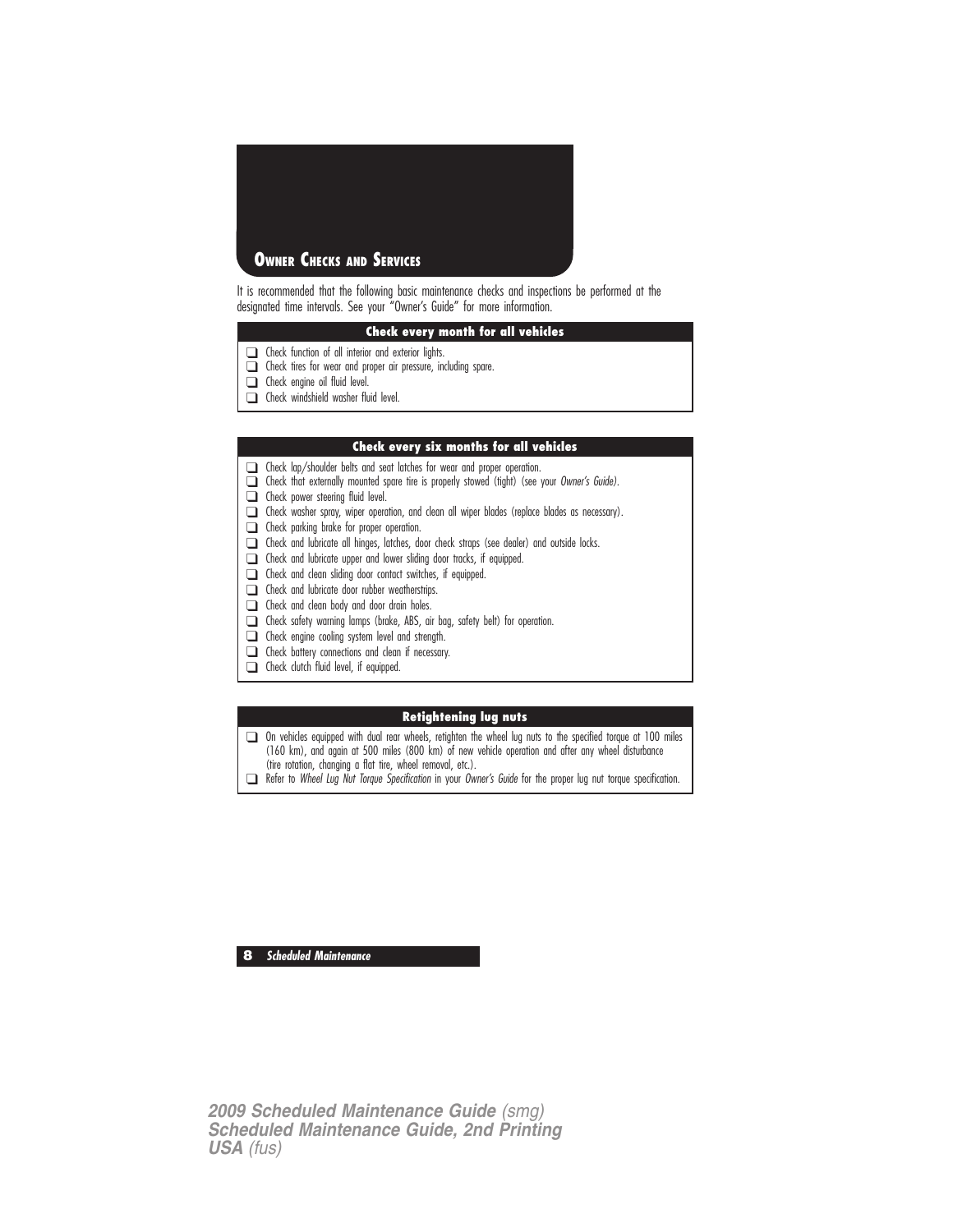

It is recommended that the following basic maintenance checks and inspections be performed at the designated time intervals. See your "Owner's Guide" for more information.

#### **Check every month for all vehicles**

- ❑ Check function of all interior and exterior lights.
- ❑ Check tires for wear and proper air pressure, including spare.
- ❑ Check engine oil fluid level.
- ❑ Check windshield washer fluid level.

#### **Check every six months for all vehicles**

- ❑ Check lap/shoulder belts and seat latches for wear and proper operation.
- ❑ Check that externally mounted spare tire is properly stowed (tight) (see your Owner's Guide).
- ❑ Check power steering fluid level.
- ❑ Check washer spray, wiper operation, and clean all wiper blades (replace blades as necessary).
- ❑ Check parking brake for proper operation.
- ❑ Check and lubricate all hinges, latches, door check straps (see dealer) and outside locks.
- ❑ Check and lubricate upper and lower sliding door tracks, if equipped.
- ❑ Check and clean sliding door contact switches, if equipped.
- ❑ Check and lubricate door rubber weatherstrips.
- ❑ Check and clean body and door drain holes.
- ❑ Check safety warning lamps (brake, ABS, air bag, safety belt) for operation.
- ❑ Check engine cooling system level and strength.
- ❑ Check battery connections and clean if necessary.
- ❑ Check clutch fluid level, if equipped.

#### **Retightening lug nuts**

❑ On vehicles equipped with dual rear wheels, retighten the wheel lug nuts to the specified torque at 100 miles (160 km), and again at 500 miles (800 km) of new vehicle operation and after any wheel disturbance (tire rotation, changing a flat tire, wheel removal, etc.).

❑ Refer to Wheel Lug Nut Torque Specification in your Owner's Guide for the proper lug nut torque specification.

**8 Scheduled Maintenance**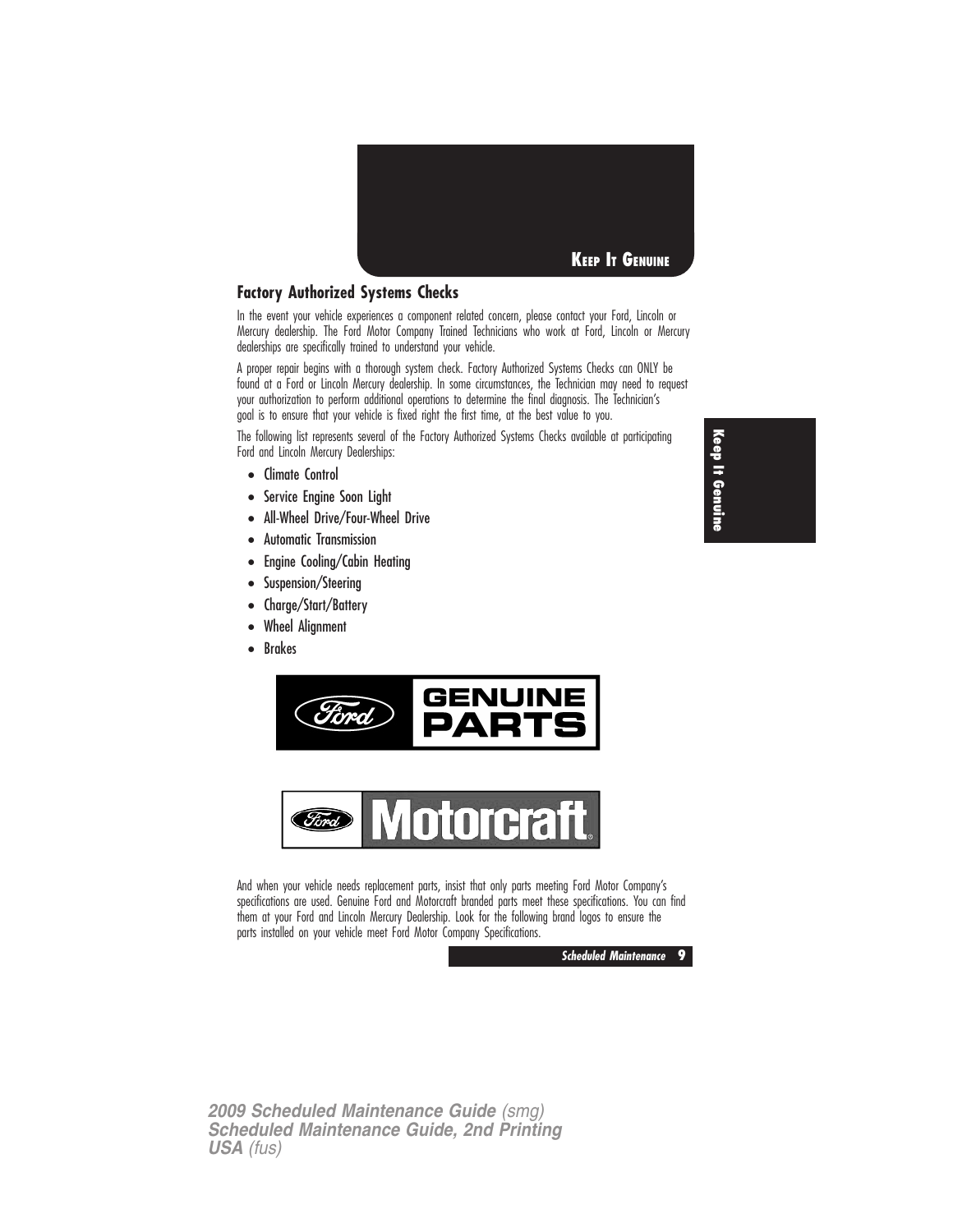

#### **Factory Authorized Systems Checks**

In the event your vehicle experiences a component related concern, please contact your Ford, Lincoln or Mercury dealership. The Ford Motor Company Trained Technicians who work at Ford, Lincoln or Mercury dealerships are specifically trained to understand your vehicle.

A proper repair begins with a thorough system check. Factory Authorized Systems Checks can ONLY be found at a Ford or Lincoln Mercury dealership. In some circumstances, the Technician may need to request your authorization to perform additional operations to determine the final diagnosis. The Technician's goal is to ensure that your vehicle is fixed right the first time, at the best value to you.

The following list represents several of the Factory Authorized Systems Checks available at participating Ford and Lincoln Mercury Dealerships:

- Climate Control
- Service Engine Soon Light
- All-Wheel Drive/Four-Wheel Drive
- Automatic Transmission
- Engine Cooling/Cabin Heating
- Suspension/Steering
- Charge/Start/Battery
- Wheel Alignment
- Brakes





And when your vehicle needs replacement parts, insist that only parts meeting Ford Motor Company's specifications are used. Genuine Ford and Motorcraft branded parts meet these specifications. You can find them at your Ford and Lincoln Mercury Dealership. Look for the following brand logos to ensure the parts installed on your vehicle meet Ford Motor Company Specifications.



*2009 Scheduled Maintenance Guide (smg) Scheduled Maintenance Guide, 2nd Printing USA (fus)*

**Keep It Genuine**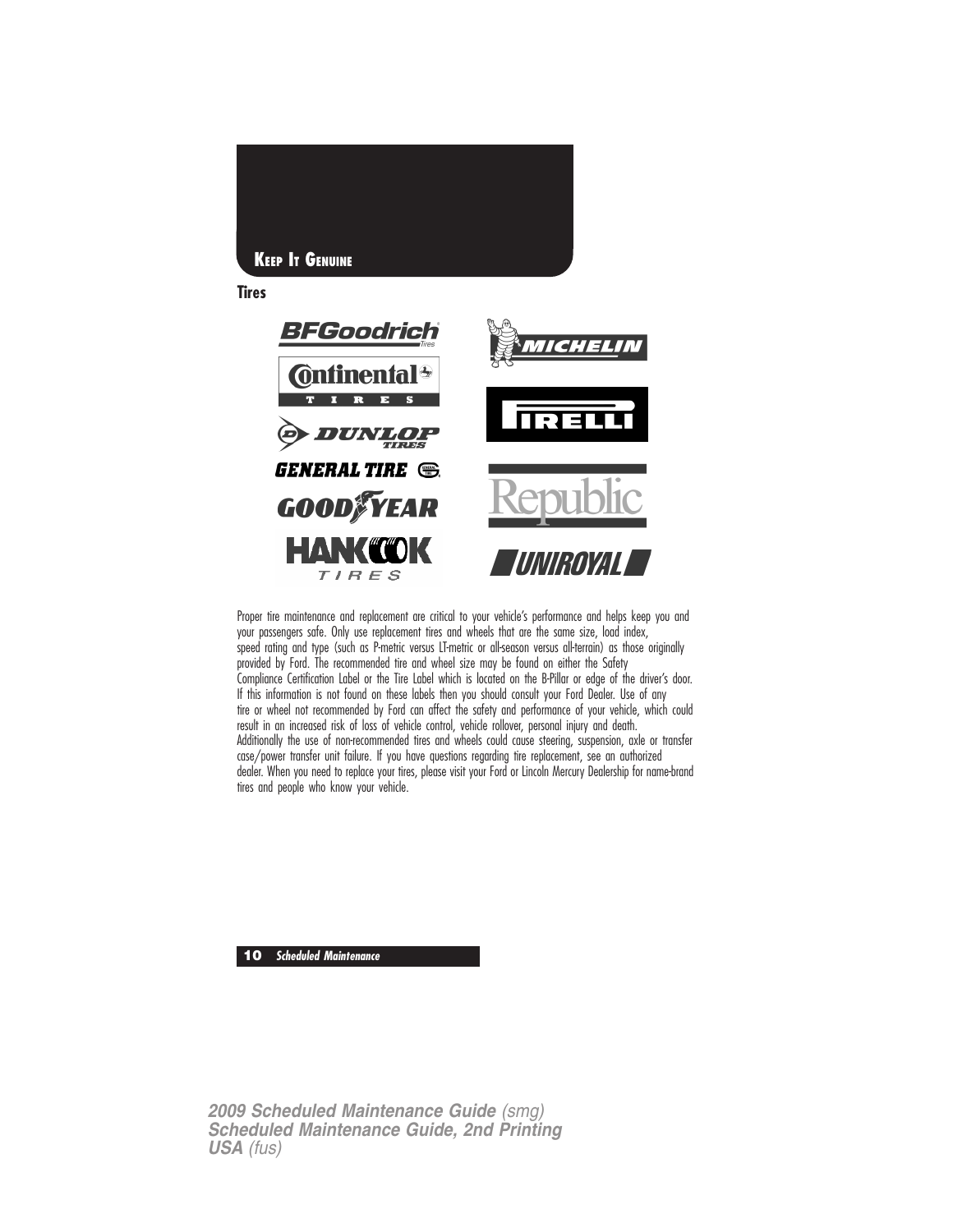

Proper tire maintenance and replacement are critical to your vehicle's performance and helps keep you and your passengers safe. Only use replacement tires and wheels that are the same size, load index, speed rating and type (such as P-metric versus LT-metric or all-season versus all-terrain) as those originally provided by Ford. The recommended tire and wheel size may be found on either the Safety Compliance Certification Label or the Tire Label which is located on the B-Pillar or edge of the driver's door. If this information is not found on these labels then you should consult your Ford Dealer. Use of any tire or wheel not recommended by Ford can affect the safety and performance of your vehicle, which could result in an increased risk of loss of vehicle control, vehicle rollover, personal injury and death. Additionally the use of non-recommended tires and wheels could cause steering, suspension, axle or transfer case/power transfer unit failure. If you have questions regarding tire replacement, see an authorized dealer. When you need to replace your tires, please visit your Ford or Lincoln Mercury Dealership for name-brand tires and people who know your vehicle.

**10 Scheduled Maintenance**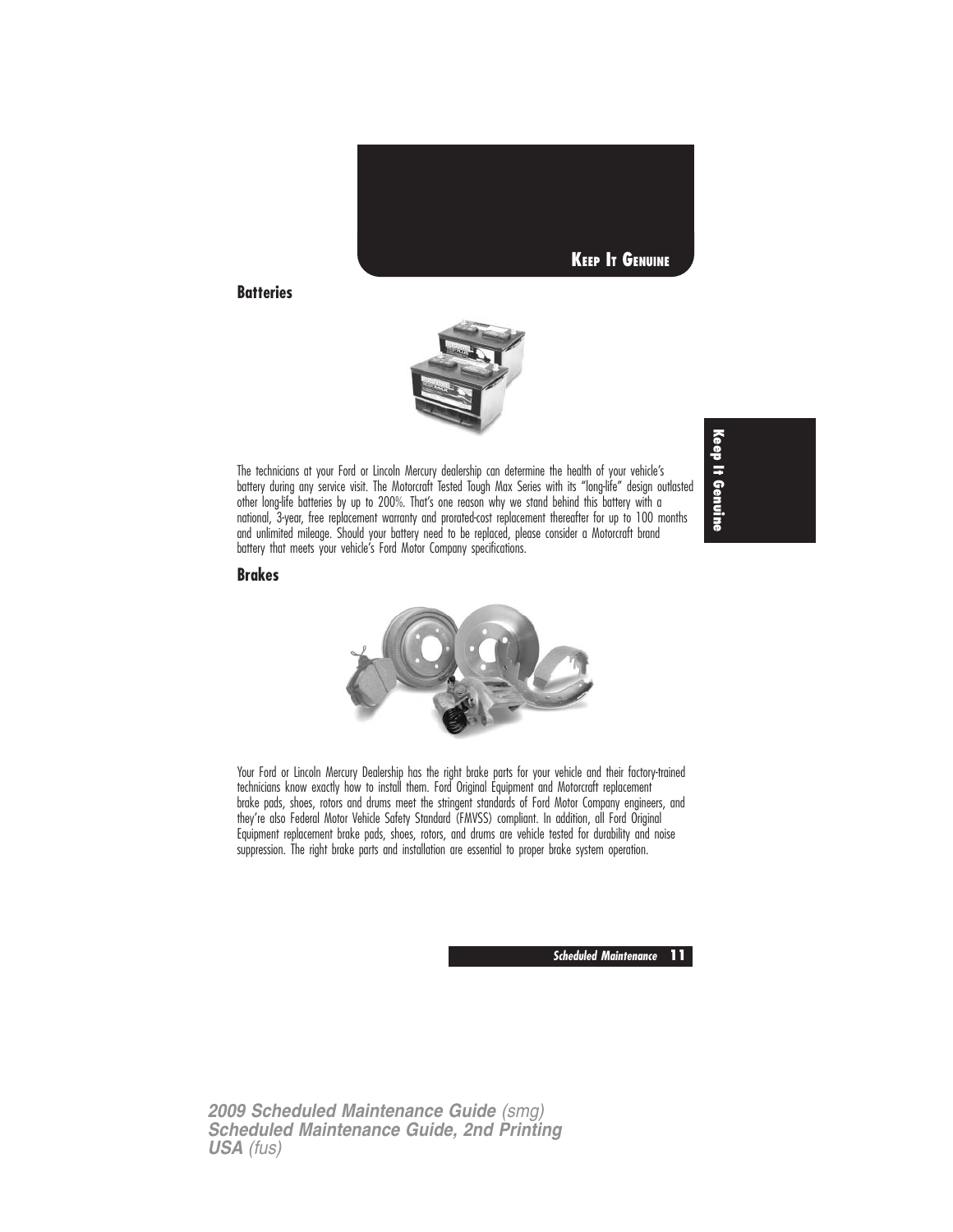

#### **Batteries**



The technicians at your Ford or Lincoln Mercury dealership can determine the health of your vehicle's battery during any service visit. The Motorcraft Tested Tough Max Series with its "long-life" design outlasted other long-life batteries by up to 200%. That's one reason why we stand behind this battery with a national, 3-year, free replacement warranty and prorated-cost replacement thereafter for up to 100 months and unlimited mileage. Should your battery need to be replaced, please consider a Motorcraft brand battery that meets your vehicle's Ford Motor Company specifications.

**Keep It Genuine**

**Brakes**



Your Ford or Lincoln Mercury Dealership has the right brake parts for your vehicle and their factory-trained technicians know exactly how to install them. Ford Original Equipment and Motorcraft replacement brake pads, shoes, rotors and drums meet the stringent standards of Ford Motor Company engineers, and they're also Federal Motor Vehicle Safety Standard (FMVSS) compliant. In addition, all Ford Original Equipment replacement brake pads, shoes, rotors, and drums are vehicle tested for durability and noise suppression. The right brake parts and installation are essential to proper brake system operation.

**Scheduled Maintenance 11**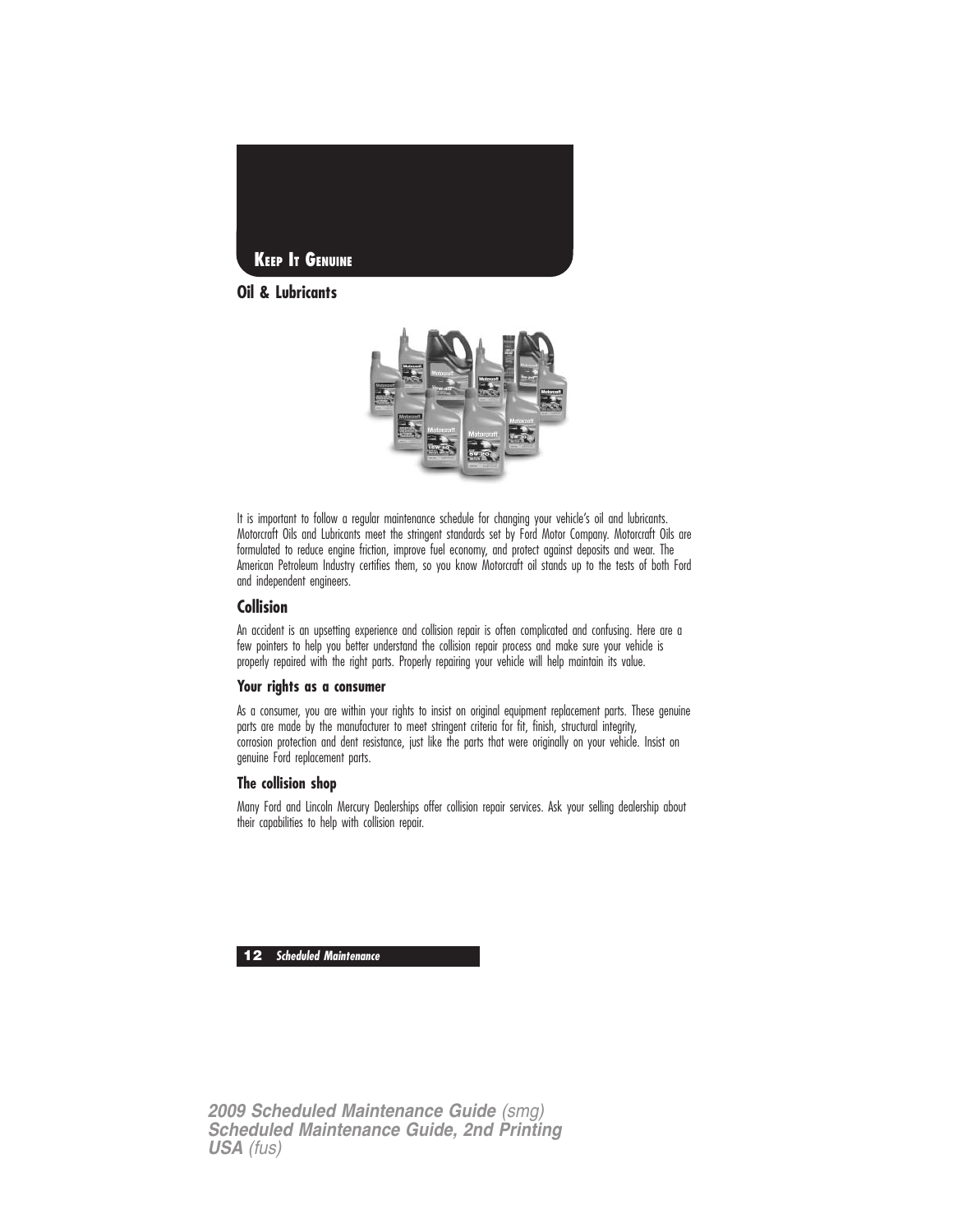

**Oil & Lubricants**



It is important to follow a regular maintenance schedule for changing your vehicle's oil and lubricants. Motorcraft Oils and Lubricants meet the stringent standards set by Ford Motor Company. Motorcraft Oils are formulated to reduce engine friction, improve fuel economy, and protect against deposits and wear. The American Petroleum Industry certifies them, so you know Motorcraft oil stands up to the tests of both Ford and independent engineers.

#### **Collision**

An accident is an upsetting experience and collision repair is often complicated and confusing. Here are a few pointers to help you better understand the collision repair process and make sure your vehicle is properly repaired with the right parts. Properly repairing your vehicle will help maintain its value.

#### **Your rights as a consumer**

As a consumer, you are within your rights to insist on original equipment replacement parts. These genuine parts are made by the manufacturer to meet stringent criteria for fit, finish, structural integrity, corrosion protection and dent resistance, just like the parts that were originally on your vehicle. Insist on genuine Ford replacement parts.

#### **The collision shop**

Many Ford and Lincoln Mercury Dealerships offer collision repair services. Ask your selling dealership about their capabilities to help with collision repair.

**12 Scheduled Maintenance**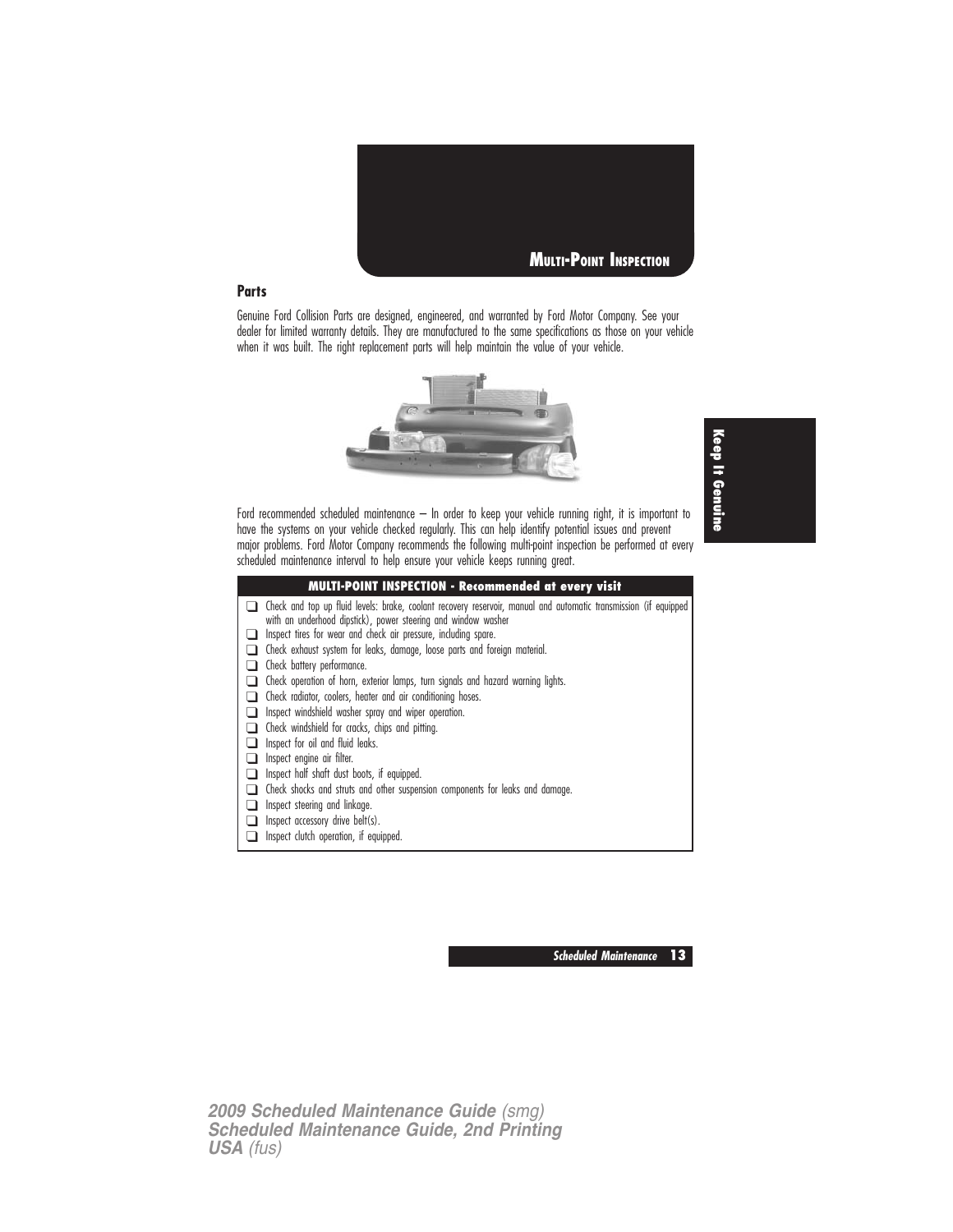

#### **Parts**

Genuine Ford Collision Parts are designed, engineered, and warranted by Ford Motor Company. See your dealer for limited warranty details. They are manufactured to the same specifications as those on your vehicle when it was built. The right replacement parts will help maintain the value of your vehicle.



**Keep It Genuine**

Ford recommended scheduled maintenance – In order to keep your vehicle running right, it is important to have the systems on your vehicle checked regularly. This can help identify potential issues and prevent major problems. Ford Motor Company recommends the following multi-point inspection be performed at every scheduled maintenance interval to help ensure your vehicle keeps running great.

| <b>MULTI-POINT INSPECTION - Recommended at every visit</b>                                                                                                                                                                                           |
|------------------------------------------------------------------------------------------------------------------------------------------------------------------------------------------------------------------------------------------------------|
| Check and top up fluid levels: brake, coolant recovery reservoir, manual and automatic transmission (if equipped<br>with an underhood dipstick), power steering and window washer<br>Inspect tires for wear and check air pressure, including spare. |
| Check exhaust system for leaks, damage, loose parts and foreign material.                                                                                                                                                                            |
| Check battery performance.                                                                                                                                                                                                                           |
| Check operation of horn, exterior lamps, turn signals and hazard warning lights.                                                                                                                                                                     |
| Check radiator, coolers, heater and air conditioning hoses.                                                                                                                                                                                          |
| Inspect windshield washer spray and wiper operation.                                                                                                                                                                                                 |
| Check windshield for cracks, chips and pitting.                                                                                                                                                                                                      |
| Inspect for oil and fluid leaks.                                                                                                                                                                                                                     |
| Inspect engine air filter.                                                                                                                                                                                                                           |
| Inspect half shaft dust boots, if equipped.                                                                                                                                                                                                          |
| Check shocks and struts and other suspension components for leaks and damage.                                                                                                                                                                        |
| Inspect steering and linkage.                                                                                                                                                                                                                        |
| Inspect accessory drive belt(s).                                                                                                                                                                                                                     |
| Inspect clutch operation, if equipped.                                                                                                                                                                                                               |

**Scheduled Maintenance 13**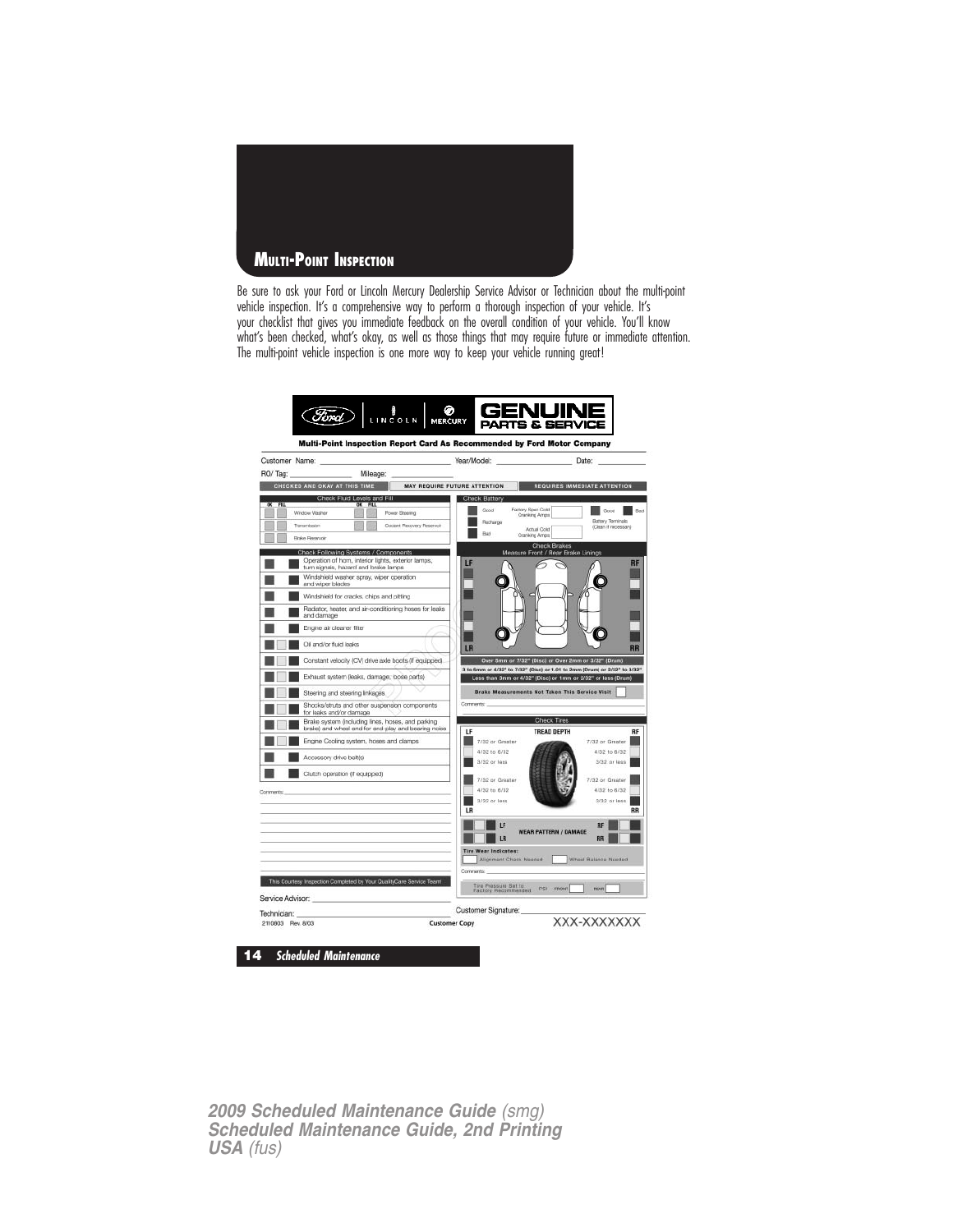

Be sure to ask your Ford or Lincoln Mercury Dealership Service Advisor or Technician about the multi-point vehicle inspection. It's a comprehensive way to perform a thorough inspection of your vehicle. It's your checklist that gives you immediate feedback on the overall condition of your vehicle. You'll know what's been checked, what's okay, as well as those things that may require future or immediate attention. The multi-point vehicle inspection is one more way to keep your vehicle running great!

|                  | Customer Name:                                                                                           | Year/Model:<br>Date:                                                                                                                      |
|------------------|----------------------------------------------------------------------------------------------------------|-------------------------------------------------------------------------------------------------------------------------------------------|
| RO/Tag:          | Mileage:                                                                                                 |                                                                                                                                           |
|                  | CHECKED AND OKAY AT THIS TIME                                                                            | MAY REQUIRE FUTURE ATTENTION<br>REQUIRES IMMEDIATE ATTENTION                                                                              |
| नव               | Check Fluid Levels and Fill                                                                              | Check Battery                                                                                                                             |
|                  | <b>Power Steering</b><br>Window Washer                                                                   | Factory Spec Cost<br>Good<br>Good<br>Raid<br>Cranking Arrest                                                                              |
|                  | Coolant Recovery Reservoir<br>Transmission                                                               | Battery Terminals<br>Recharge<br>(Clean if necessary)<br>Actual Cold<br>Bad                                                               |
|                  | Brake Reservoir                                                                                          | Cranking Amps<br><b>Check Brakes</b>                                                                                                      |
|                  | Check Following Systems / Components<br>Operation of hom, interior lights, exterior lamps,               | Measure Front / Rear Brake Linings                                                                                                        |
|                  | turn signals, hazard and brake lamps                                                                     | IF<br>RF                                                                                                                                  |
|                  | Windshield washer spray, wiper operation<br>and wiper blades                                             |                                                                                                                                           |
|                  | Windshield for cracks, chips and pitting                                                                 |                                                                                                                                           |
|                  | Radiator, heater, and air-conditioning hoses for leaks<br>and damage                                     |                                                                                                                                           |
|                  | Engine air cleaner filter                                                                                |                                                                                                                                           |
|                  | Oil and/or fluid leaks                                                                                   | LR                                                                                                                                        |
|                  | Constant velocity (CV) drive axle boots (if equipped)                                                    | Over 5mm or 7/32" (Disc) or Over 2mm or 3/32" (Drum)                                                                                      |
|                  | Exhaust system (leaks, damage; loose parts)                                                              | 3 to 5mm or 4/32" to 7/32" (Disc) or 1.01 to 2mm (Drum) or 2/32" to 3/32"<br>Less than 3mm or 4/32" (Disc) or 1mm or 2/32" or less (Drum) |
|                  | Steering and steering Inkages.                                                                           | Brake Measurements Not Taken This Service Visit                                                                                           |
|                  | Shocks/struts and other suspension components<br>for leaks and/or damage                                 | Commerte:                                                                                                                                 |
|                  | Brake system (including lines, hoses, and parking<br>brake) and wheel end for end-play and bearing noise | Check Tires                                                                                                                               |
|                  | Engine Cooling system, hoses and clamps                                                                  | LF<br><b>TREAD DEPTH</b><br>RF<br>7/32 or Greater<br>7/32 or Greater                                                                      |
|                  | Accessory drive belt(s)                                                                                  | 4/32 to 6/32<br>4/32 to 6/32                                                                                                              |
|                  |                                                                                                          | 3/32 or less<br>3/32 or less                                                                                                              |
|                  | Clutch operation (if equipped)                                                                           | 7/32 or Greater<br>7/32 or Greater                                                                                                        |
| Comments:        |                                                                                                          | 4/32 to 6/32<br>4/32 to 6/32                                                                                                              |
|                  |                                                                                                          | 3/32 or less<br>3/32 or less<br>LR<br>RR                                                                                                  |
|                  |                                                                                                          | 1F<br><b>RR</b>                                                                                                                           |
|                  |                                                                                                          | <b>WEAR PATTERN / DAMAGE</b><br><b>IR</b><br><b>RR</b>                                                                                    |
|                  |                                                                                                          | <b>Tire Wear Indicates:</b>                                                                                                               |
|                  |                                                                                                          | Wheel Balance Needed<br>Allgriment Chask Needed                                                                                           |
|                  |                                                                                                          | Comments:                                                                                                                                 |
|                  | This Courtesy Inspection Completed by Your QualityCare Service Team!                                     | Tira Prassura Set to<br>Factory Recommended<br>PSI FRONT<br>HEAR                                                                          |
| Service Advisor: |                                                                                                          |                                                                                                                                           |
|                  | Technician:                                                                                              | Customer Signature:                                                                                                                       |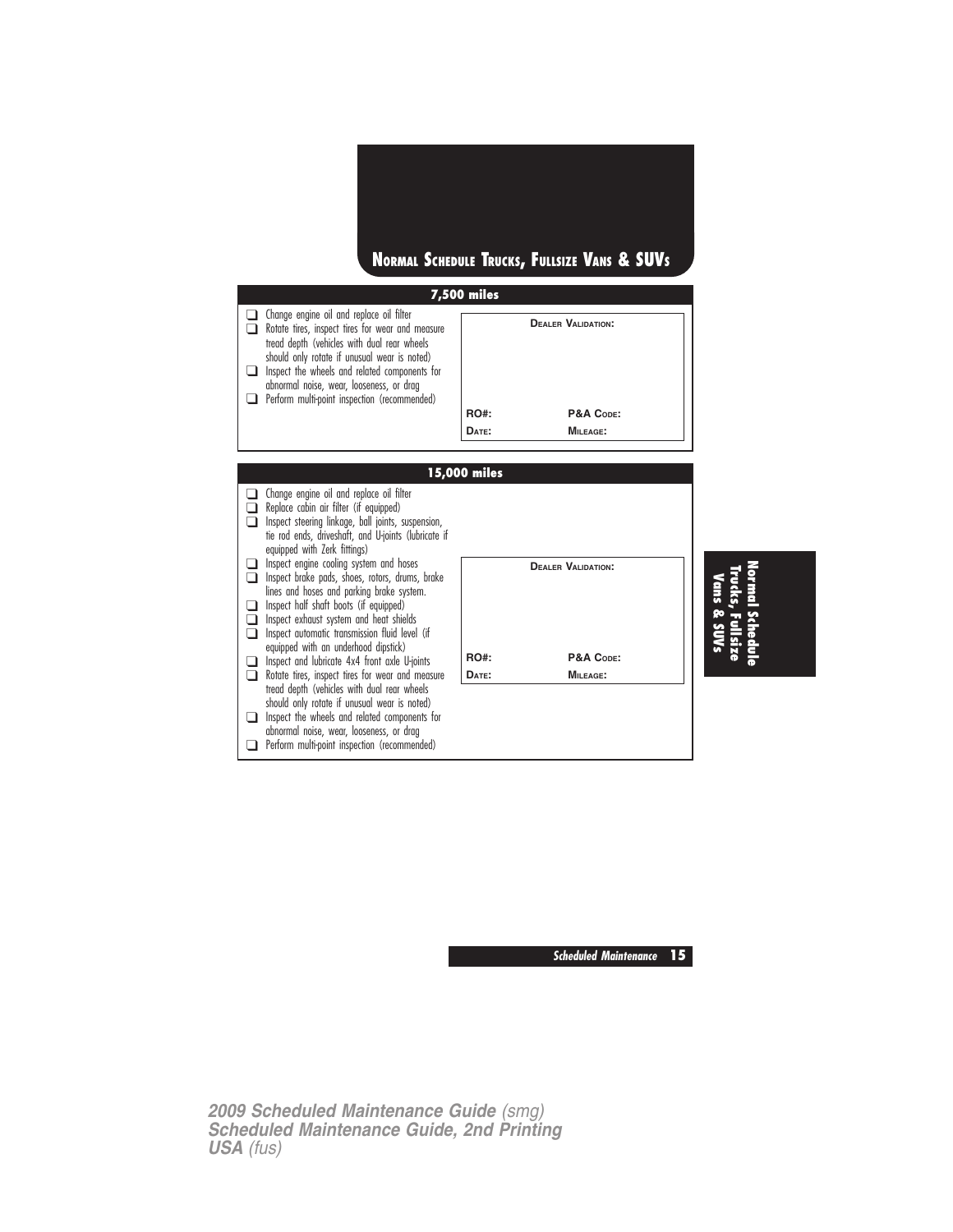

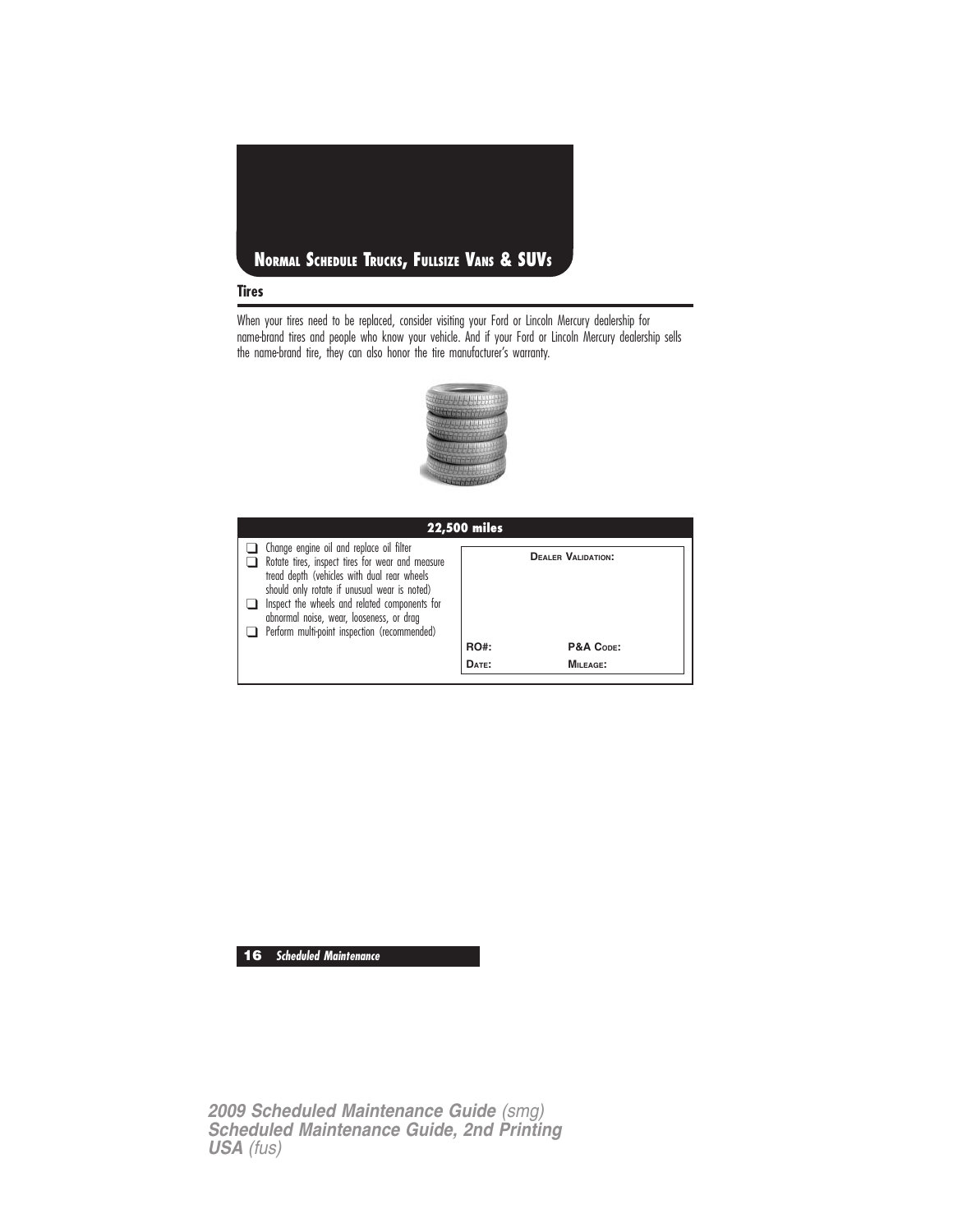

When your tires need to be replaced, consider visiting your Ford or Lincoln Mercury dealership for name-brand tires and people who know your vehicle. And if your Ford or Lincoln Mercury dealership sells the name-brand tire, they can also honor the tire manufacturer's warranty.



| <b>22,500 miles</b>                                                                                                                                                                                                                                                                                                                      |             |                           |  |  |  |  |  |
|------------------------------------------------------------------------------------------------------------------------------------------------------------------------------------------------------------------------------------------------------------------------------------------------------------------------------------------|-------------|---------------------------|--|--|--|--|--|
| Change engine oil and replace oil filter<br>Rotate tires, inspect tires for wear and measure<br>tread depth (vehicles with dual rear wheels<br>should only rotate if unusual wear is noted)<br>Inspect the wheels and related components for<br>abnormal noise, wear, looseness, or drag<br>Perform multi-point inspection (recommended) |             | <b>DEALER VALIDATION:</b> |  |  |  |  |  |
|                                                                                                                                                                                                                                                                                                                                          | <b>RO#:</b> | P&A CODE:                 |  |  |  |  |  |
|                                                                                                                                                                                                                                                                                                                                          | DATE:       | $MII$ FAGE:               |  |  |  |  |  |
|                                                                                                                                                                                                                                                                                                                                          |             |                           |  |  |  |  |  |

**16 Scheduled Maintenance**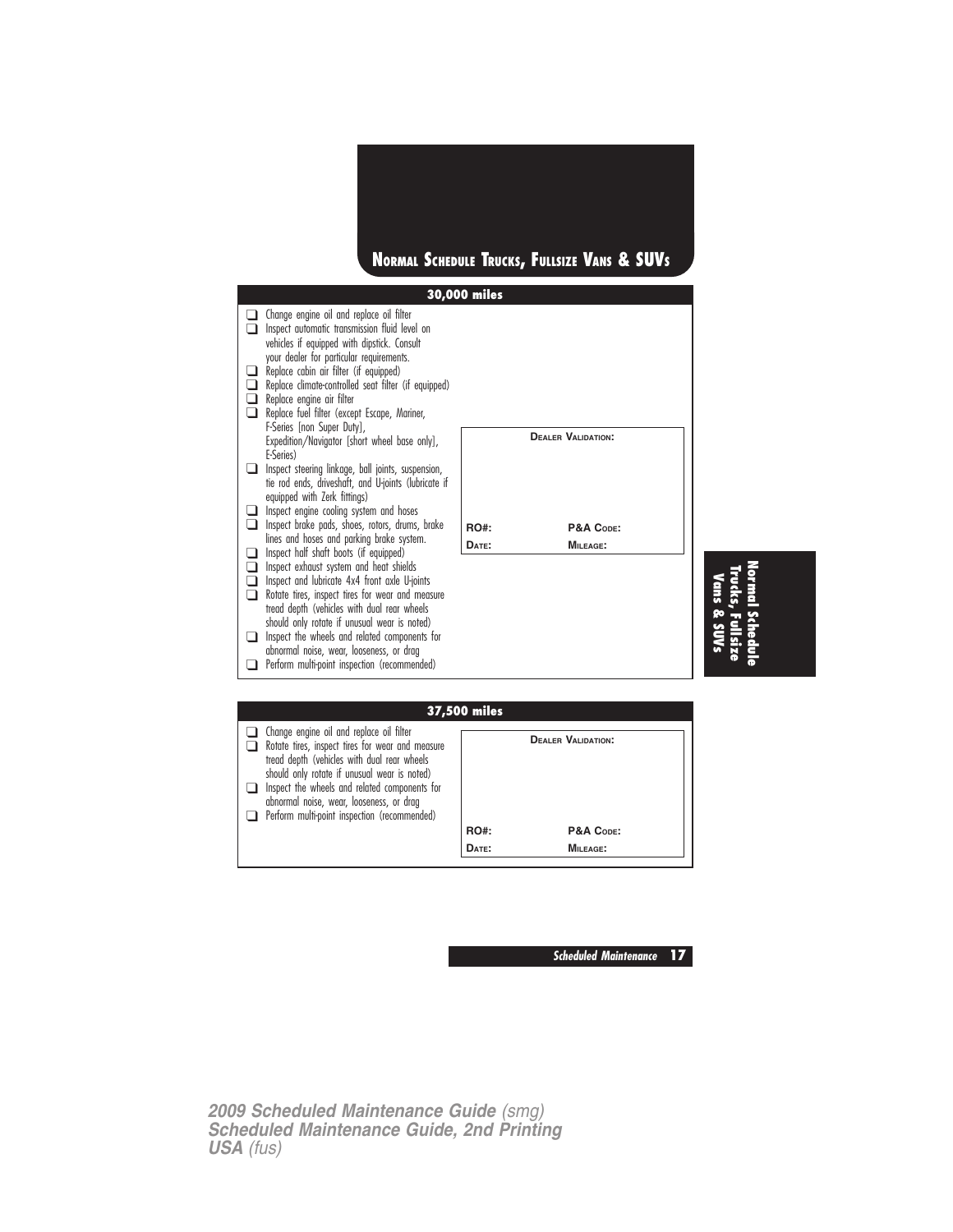





| <b>37,500 miles</b> |                                                                                                                                                                                                                                                                                                                                          |             |                           |  |  |  |
|---------------------|------------------------------------------------------------------------------------------------------------------------------------------------------------------------------------------------------------------------------------------------------------------------------------------------------------------------------------------|-------------|---------------------------|--|--|--|
|                     | Change engine oil and replace oil filter<br>Rotate tires, inspect tires for wear and measure<br>tread depth (vehicles with dual rear wheels<br>should only rotate if unusual wear is noted)<br>Inspect the wheels and related components for<br>abnormal noise, wear, looseness, or drag<br>Perform multi-point inspection (recommended) |             | <b>DEALER VALIDATION:</b> |  |  |  |
|                     |                                                                                                                                                                                                                                                                                                                                          | <b>RO#:</b> | P&A CODE:                 |  |  |  |
|                     |                                                                                                                                                                                                                                                                                                                                          | DATE:       | MILEAGE:                  |  |  |  |

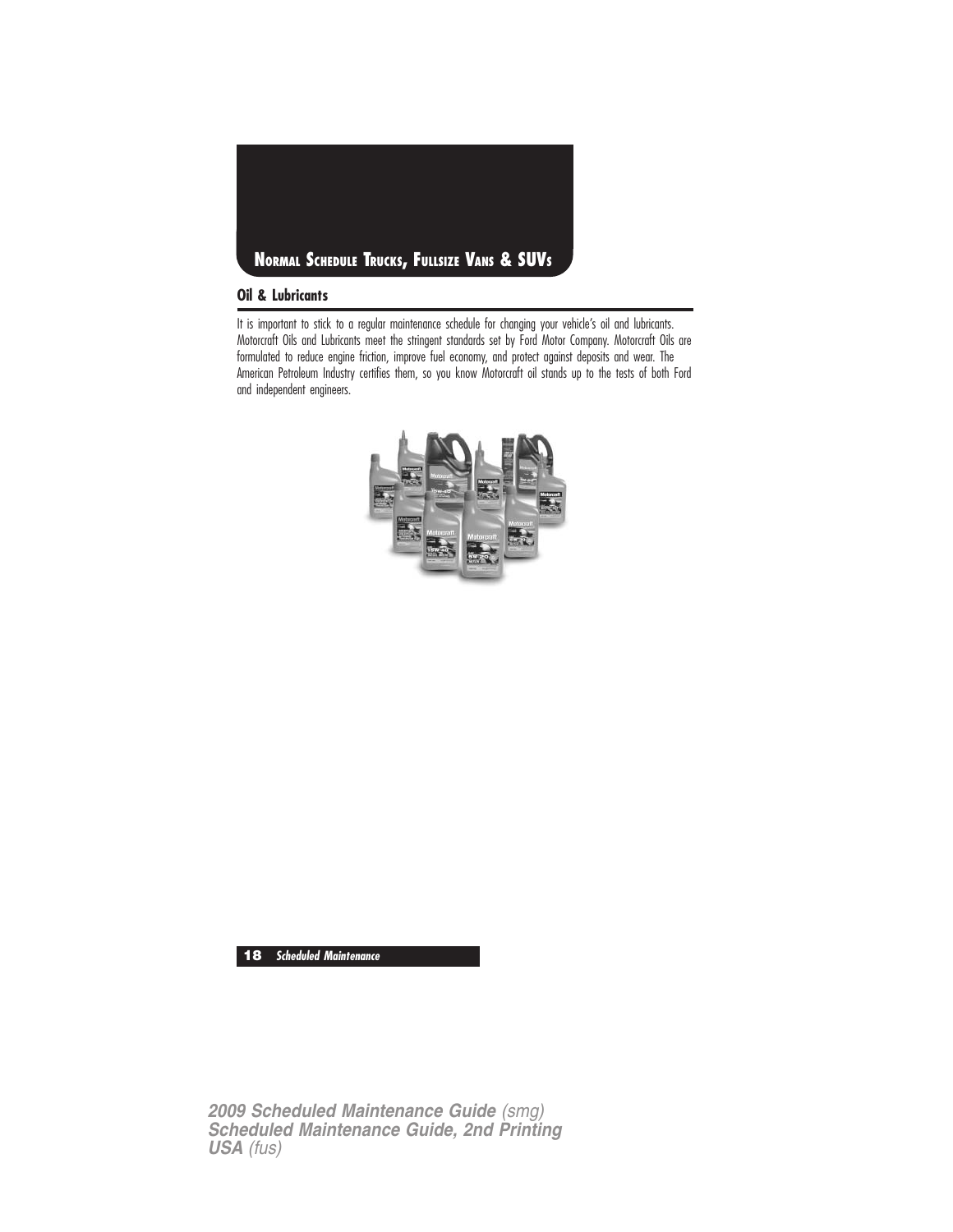

#### **Oil & Lubricants**

It is important to stick to a regular maintenance schedule for changing your vehicle's oil and lubricants. Motorcraft Oils and Lubricants meet the stringent standards set by Ford Motor Company. Motorcraft Oils are formulated to reduce engine friction, improve fuel economy, and protect against deposits and wear. The American Petroleum Industry certifies them, so you know Motorcraft oil stands up to the tests of both Ford and independent engineers.



**18 Scheduled Maintenance**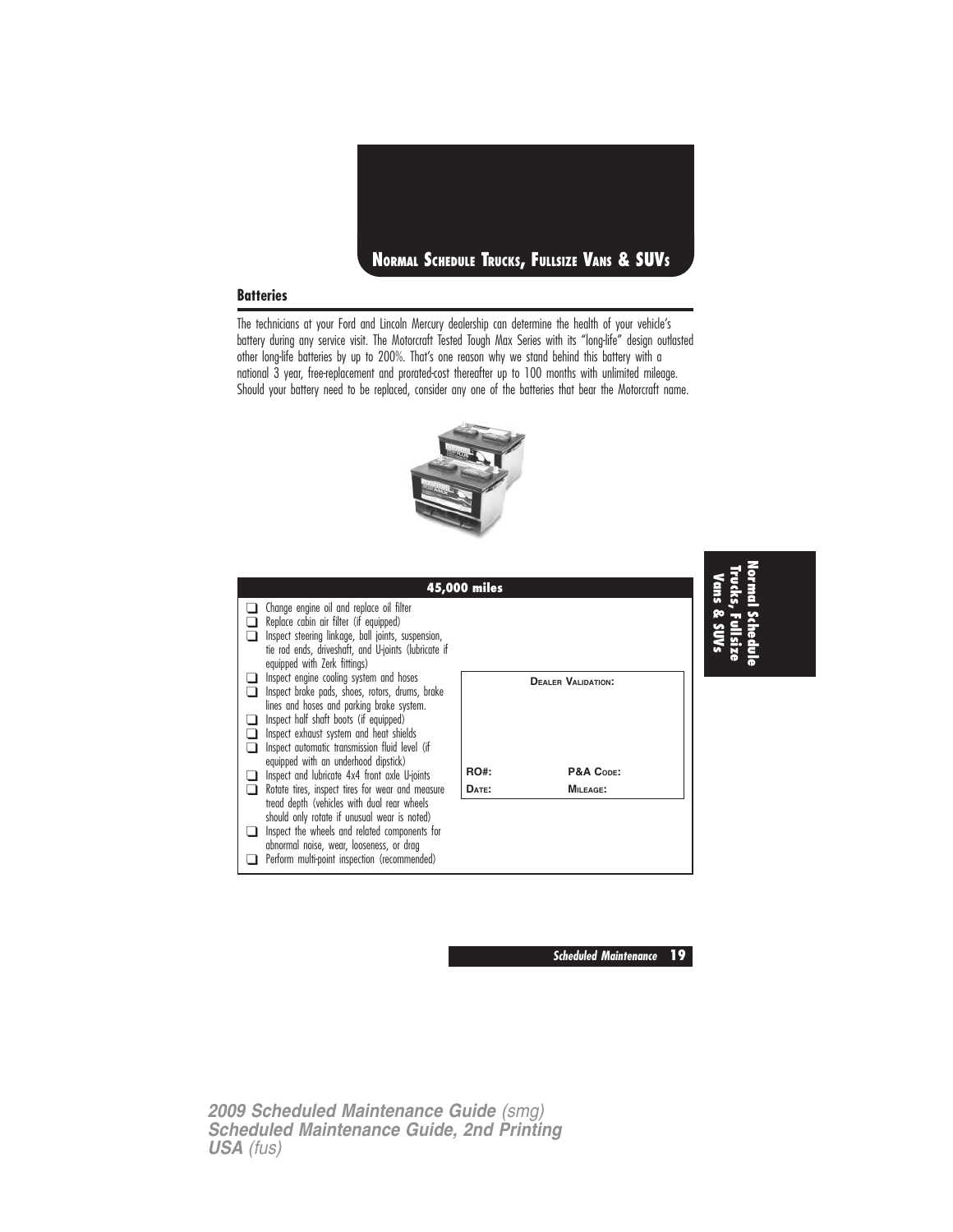

#### **Batteries**

The technicians at your Ford and Lincoln Mercury dealership can determine the health of your vehicle's battery during any service visit. The Motorcraft Tested Tough Max Series with its "long-life" design outlasted other long-life batteries by up to 200%. That's one reason why we stand behind this battery with a national 3 year, free-replacement and prorated-cost thereafter up to 100 months with unlimited mileage. Should your battery need to be replaced, consider any one of the batteries that bear the Motorcraft name.





**Scheduled Maintenance 19**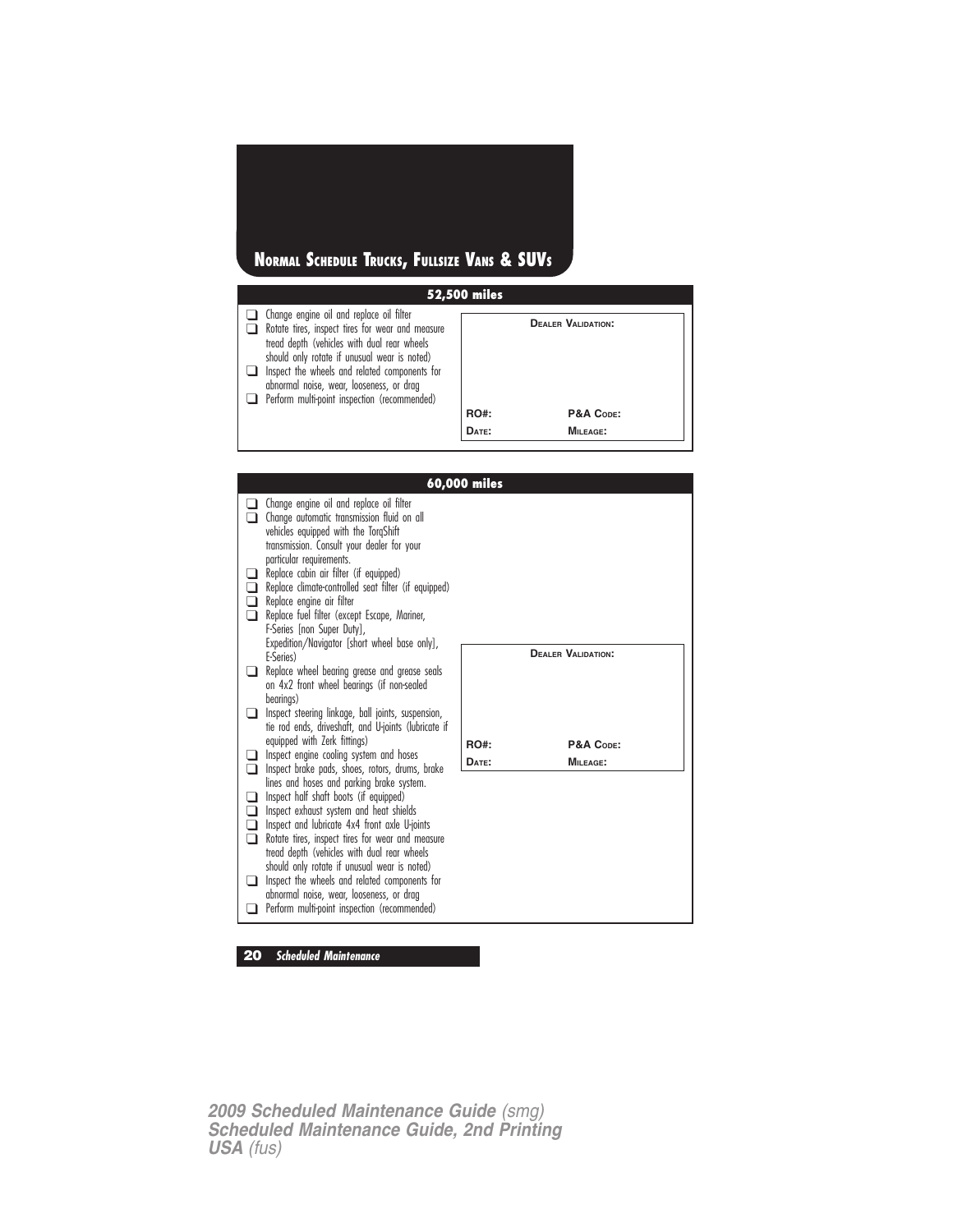## **NORMAL SCHEDULE TRUCKS, FULLSIZE VANS & SUVS**

| <b>52,500 miles</b>                                                                                                                                                                                |             |                           |  |  |  |  |
|----------------------------------------------------------------------------------------------------------------------------------------------------------------------------------------------------|-------------|---------------------------|--|--|--|--|
| $\Box$ Change engine oil and replace oil filter<br>Rotate tires, inspect tires for wear and measure<br>tread depth (vehicles with dual rear wheels<br>should only rotate if unusual wear is noted) |             | <b>DEALER VALIDATION:</b> |  |  |  |  |
| Inspect the wheels and related components for<br>abnormal noise, wear, looseness, or drag                                                                                                          |             |                           |  |  |  |  |
| Perform multi-point inspection (recommended)                                                                                                                                                       |             |                           |  |  |  |  |
|                                                                                                                                                                                                    | <b>RO#:</b> | P&A CODE:                 |  |  |  |  |
|                                                                                                                                                                                                    | DATE:       | $MII$ FAGE:               |  |  |  |  |

|             |                                                                                                                                                                                                                                                                                                                                                                                                                                                                                 | 60,000 miles |                           |
|-------------|---------------------------------------------------------------------------------------------------------------------------------------------------------------------------------------------------------------------------------------------------------------------------------------------------------------------------------------------------------------------------------------------------------------------------------------------------------------------------------|--------------|---------------------------|
|             | Change engine oil and replace oil filter<br>Change automatic transmission fluid on all<br>vehicles equipped with the TorgShift<br>transmission. Consult your dealer for your                                                                                                                                                                                                                                                                                                    |              |                           |
|             | particular requirements.<br>Replace cabin air filter (if equipped)<br>Replace climate-controlled seat filter (if equipped)<br>Replace engine air filter<br>Replace fuel filter (except Escape, Mariner,<br>F-Series [non Super Duty],<br>Expedition/Navigator [short wheel base only],                                                                                                                                                                                          |              |                           |
|             | E-Series)<br>Replace wheel bearing grease and grease seals<br>on 4x2 front wheel bearings (if non-sealed                                                                                                                                                                                                                                                                                                                                                                        |              | <b>DEALER VALIDATION:</b> |
| l 1         | bearings)<br>Inspect steering linkage, ball joints, suspension,<br>tie rod ends, driveshaft, and U-joints (lubricate if<br>equipped with Zerk fittings)                                                                                                                                                                                                                                                                                                                         |              |                           |
|             | Inspect engine cooling system and hoses                                                                                                                                                                                                                                                                                                                                                                                                                                         | RO#:         | P&A CODE:                 |
|             | Inspect brake pads, shoes, rotors, drums, brake                                                                                                                                                                                                                                                                                                                                                                                                                                 | DATE:        | MILEAGE:                  |
|             |                                                                                                                                                                                                                                                                                                                                                                                                                                                                                 |              |                           |
| □<br>□<br>∩ | lines and hoses and parking brake system.<br>Inspect half shaft boots (if equipped)<br>Inspect exhaust system and heat shields<br>Inspect and lubricate 4x4 front axle U-joints<br>Rotate tires, inspect tires for wear and measure<br>tread depth (vehicles with dual rear wheels<br>should only rotate if unusual wear is noted)<br>Inspect the wheels and related components for<br>abnormal noise, wear, looseness, or drag<br>Perform multi-point inspection (recommended) |              |                           |
|             |                                                                                                                                                                                                                                                                                                                                                                                                                                                                                 |              |                           |

**20 Scheduled Maintenance**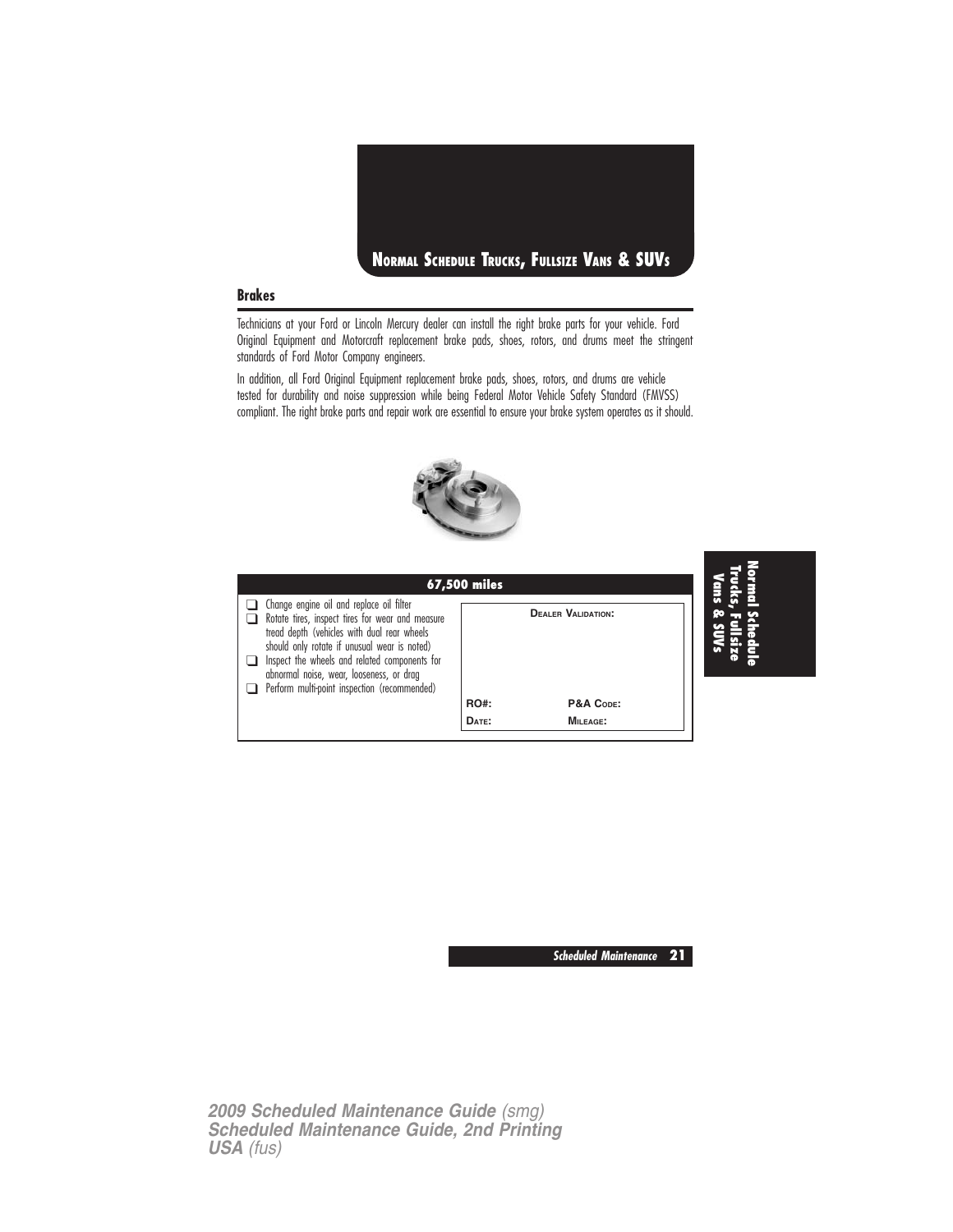

#### **Brakes**

Technicians at your Ford or Lincoln Mercury dealer can install the right brake parts for your vehicle. Ford Original Equipment and Motorcraft replacement brake pads, shoes, rotors, and drums meet the stringent standards of Ford Motor Company engineers.

In addition, all Ford Original Equipment replacement brake pads, shoes, rotors, and drums are vehicle tested for durability and noise suppression while being Federal Motor Vehicle Safety Standard (FMVSS) compliant. The right brake parts and repair work are essential to ensure your brake system operates as it should.



|                                                                                                                                                                                                                                                                                                                                          | <b>67,500 miles</b> |                           |  |
|------------------------------------------------------------------------------------------------------------------------------------------------------------------------------------------------------------------------------------------------------------------------------------------------------------------------------------------|---------------------|---------------------------|--|
| Change engine oil and replace oil filter<br>Rotate tires, inspect tires for wear and measure<br>tread depth (vehicles with dual rear wheels<br>should only rotate if unusual wear is noted)<br>Inspect the wheels and related components for<br>abnormal noise, wear, looseness, or drag<br>Perform multi-point inspection (recommended) |                     | <b>DEALER VALIDATION:</b> |  |
|                                                                                                                                                                                                                                                                                                                                          | <b>RO#:</b>         | P&A CODE:                 |  |
|                                                                                                                                                                                                                                                                                                                                          | DATE:               | MILEAGE:                  |  |

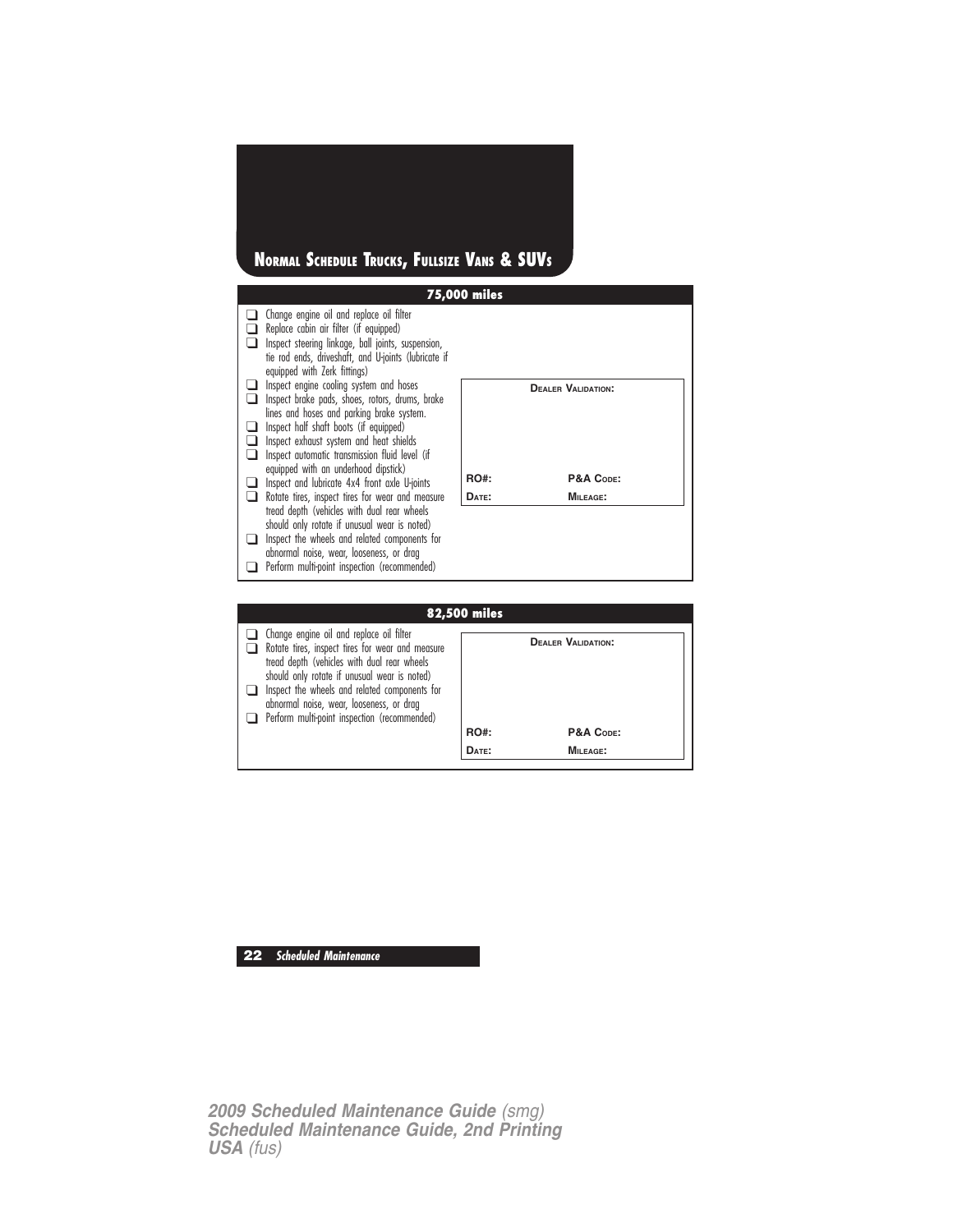## **NORMAL SCHEDULE TRUCKS, FULLSIZE VANS & SUVS**

|                                                                                                                                                                                                                                  | <b>75,000 miles</b> |                           |
|----------------------------------------------------------------------------------------------------------------------------------------------------------------------------------------------------------------------------------|---------------------|---------------------------|
| Change engine oil and replace oil filter<br>Replace cabin air filter (if equipped)<br>Inspect steering linkage, ball joints, suspension,<br>tie rod ends, driveshaft, and U-joints (lubricate if<br>equipped with Zerk fittings) |                     |                           |
| Inspect engine cooling system and hoses<br>Inspect brake pads, shoes, rotors, drums, brake<br>lines and hoses and parking brake system.<br>Inspect half shaft boots (if equipped)                                                |                     | <b>DEALER VALIDATION:</b> |
| Inspect exhaust system and heat shields<br>Inspect automatic transmission fluid level (if<br>equipped with an underhood dipstick)<br>Inspect and lubricate 4x4 front axle U-joints                                               | <b>RO#:</b>         | P&A CODE:                 |
| Rotate tires, inspect tires for wear and measure<br>tread depth (vehicles with dual rear wheels<br>should only rotate if unusual wear is noted)                                                                                  | DATE:               | <b>MILEAGE:</b>           |
| Inspect the wheels and related components for<br>abnormal noise, wear, looseness, or drag<br>Perform multi-point inspection (recommended)                                                                                        |                     |                           |
|                                                                                                                                                                                                                                  |                     |                           |
|                                                                                                                                                                                                                                  | <b>82,500 miles</b> |                           |
| Change engine oil and replace oil filter                                                                                                                                                                                         |                     |                           |

| <b>82,500 miles</b>                                                                                                                                                                                                                                                                                                                             |             |                           |  |  |  |  |  |
|-------------------------------------------------------------------------------------------------------------------------------------------------------------------------------------------------------------------------------------------------------------------------------------------------------------------------------------------------|-------------|---------------------------|--|--|--|--|--|
| Change engine oil and replace oil filter<br>Rotate tires, inspect tires for wear and measure<br>tread depth (vehicles with dual rear wheels<br>should only rotate if unusual wear is noted)<br>$\Box$ Inspect the wheels and related components for<br>abnormal noise, wear, looseness, or drag<br>Perform multi-point inspection (recommended) |             | <b>DEALER VALIDATION:</b> |  |  |  |  |  |
|                                                                                                                                                                                                                                                                                                                                                 | <b>RO#:</b> | P&A CODE:                 |  |  |  |  |  |
|                                                                                                                                                                                                                                                                                                                                                 | DATE:       | MILEAGE:                  |  |  |  |  |  |
|                                                                                                                                                                                                                                                                                                                                                 |             |                           |  |  |  |  |  |

## **22 Scheduled Maintenance**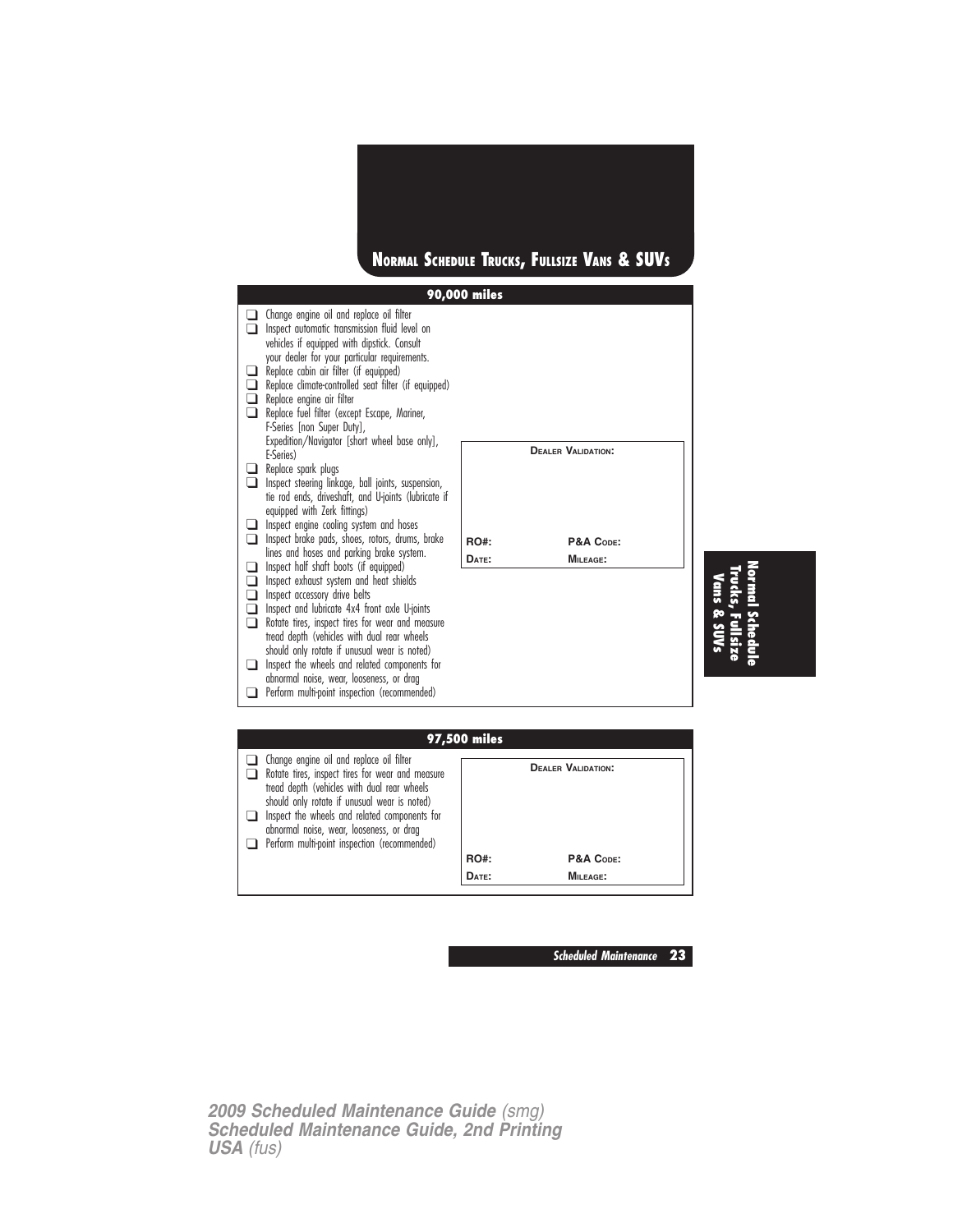

**Scheduled Maintenance 23**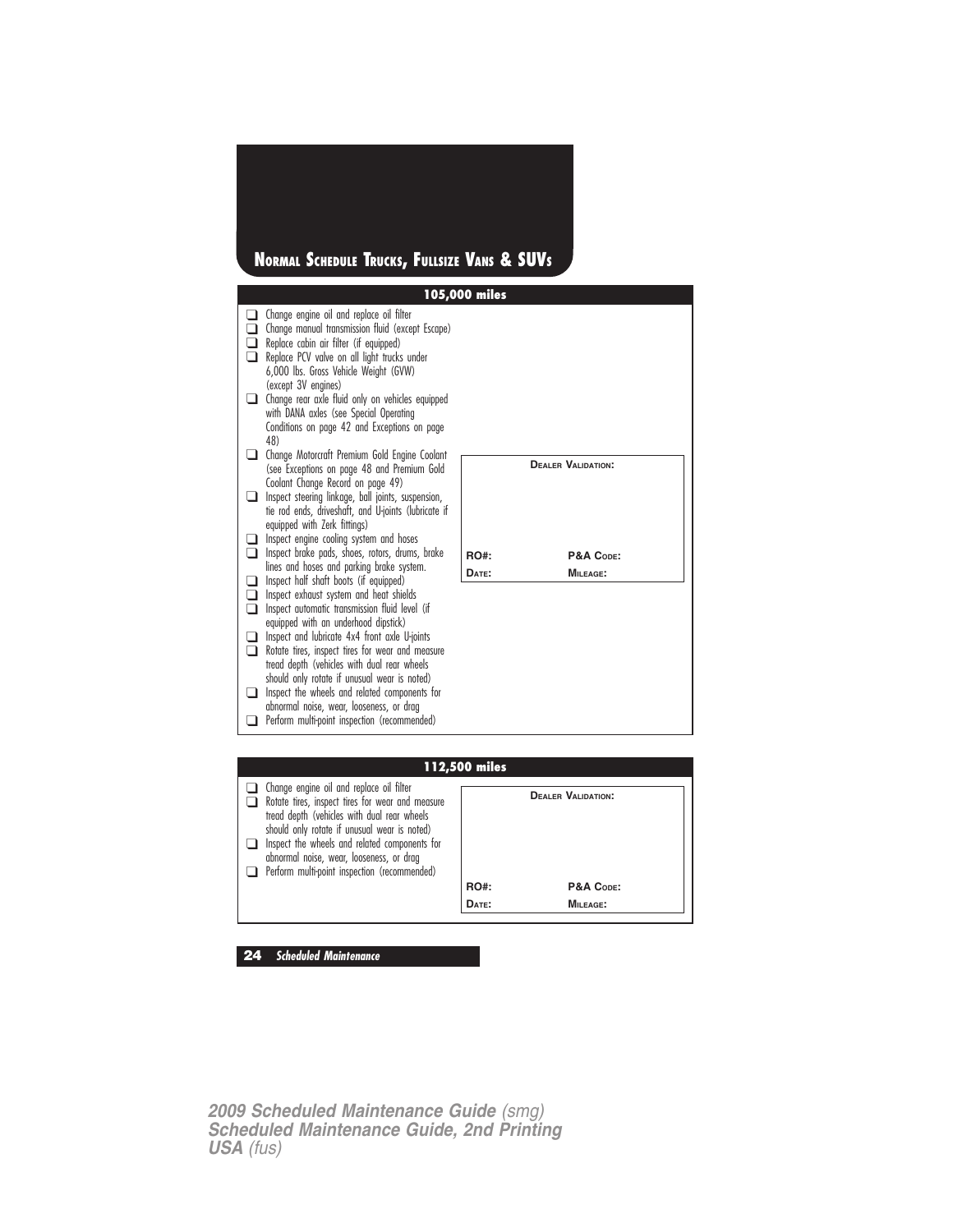## **NORMAL SCHEDULE TRUCKS, FULLSIZE VANS & SUVS**

|                         |                                                                                                                                                                                                                                                                                                                                                                                                                                    | 105,000 miles |                           |  |
|-------------------------|------------------------------------------------------------------------------------------------------------------------------------------------------------------------------------------------------------------------------------------------------------------------------------------------------------------------------------------------------------------------------------------------------------------------------------|---------------|---------------------------|--|
| $\sqcup$<br>⊔           | Change engine oil and replace oil filter<br>Change manual transmission fluid (except Escape)<br>Replace cabin air filter (if equipped)<br>Replace PCV valve on all light trucks under<br>6,000 lbs. Gross Vehicle Weight (GVW)<br>(except 3V engines)<br>Change rear axle fluid only on vehicles equipped<br>with DANA axles (see Special Operating<br>Conditions on page 42 and Exceptions on page<br>48)                         |               |                           |  |
| - 1<br>l 1              | Change Motorcraft Premium Gold Engine Coolant<br>(see Exceptions on page 48 and Premium Gold<br>Coolant Change Record on page 49)<br>Inspect steering linkage, ball joints, suspension,<br>tie rod ends, driveshaft, and U-joints (lubricate if<br>equipped with Zerk fittings)                                                                                                                                                    |               | <b>DEALER VALIDATION:</b> |  |
| ப<br>□                  | Inspect engine cooling system and hoses<br>Inspect brake pads, shoes, rotors, drums, brake                                                                                                                                                                                                                                                                                                                                         | RO#:          | P&A CODE:                 |  |
| □                       | lines and hoses and parking brake system.<br>Inspect half shaft boots (if equipped)                                                                                                                                                                                                                                                                                                                                                | DATE:         | <b>MILEAGE:</b>           |  |
| □<br>n<br>┚<br>n<br>l I | Inspect exhaust system and heat shields<br>Inspect automatic transmission fluid level (if<br>equipped with an underhood dipstick)<br>Inspect and lubricate 4x4 front axle U-joints<br>Rotate tires, inspect tires for wear and measure<br>tread depth (vehicles with dual rear wheels<br>should only rotate if unusual wear is noted)<br>Inspect the wheels and related components for<br>abnormal noise, wear, looseness, or drag |               |                           |  |
|                         | Perform multi-point inspection (recommended)                                                                                                                                                                                                                                                                                                                                                                                       |               |                           |  |
|                         |                                                                                                                                                                                                                                                                                                                                                                                                                                    |               |                           |  |
|                         |                                                                                                                                                                                                                                                                                                                                                                                                                                    | 112,500 miles |                           |  |
|                         | $\Box$ Change engine oil and replace oil filter                                                                                                                                                                                                                                                                                                                                                                                    |               |                           |  |

| 112,500 miles                                                                                                                                                                                                                                                                                                                            |             |                           |  |  |  |
|------------------------------------------------------------------------------------------------------------------------------------------------------------------------------------------------------------------------------------------------------------------------------------------------------------------------------------------|-------------|---------------------------|--|--|--|
| Change engine oil and replace oil filter<br>Rotate tires, inspect tires for wear and measure<br>tread depth (vehicles with dual rear wheels<br>should only rotate if unusual wear is noted)<br>Inspect the wheels and related components for<br>abnormal noise, wear, looseness, or drag<br>Perform multi-point inspection (recommended) |             | <b>DEALER VALIDATION:</b> |  |  |  |
|                                                                                                                                                                                                                                                                                                                                          | <b>RO#:</b> | P&A CODE:                 |  |  |  |
|                                                                                                                                                                                                                                                                                                                                          | DATE:       | MILEAGE:                  |  |  |  |
|                                                                                                                                                                                                                                                                                                                                          |             |                           |  |  |  |

**24 Scheduled Maintenance**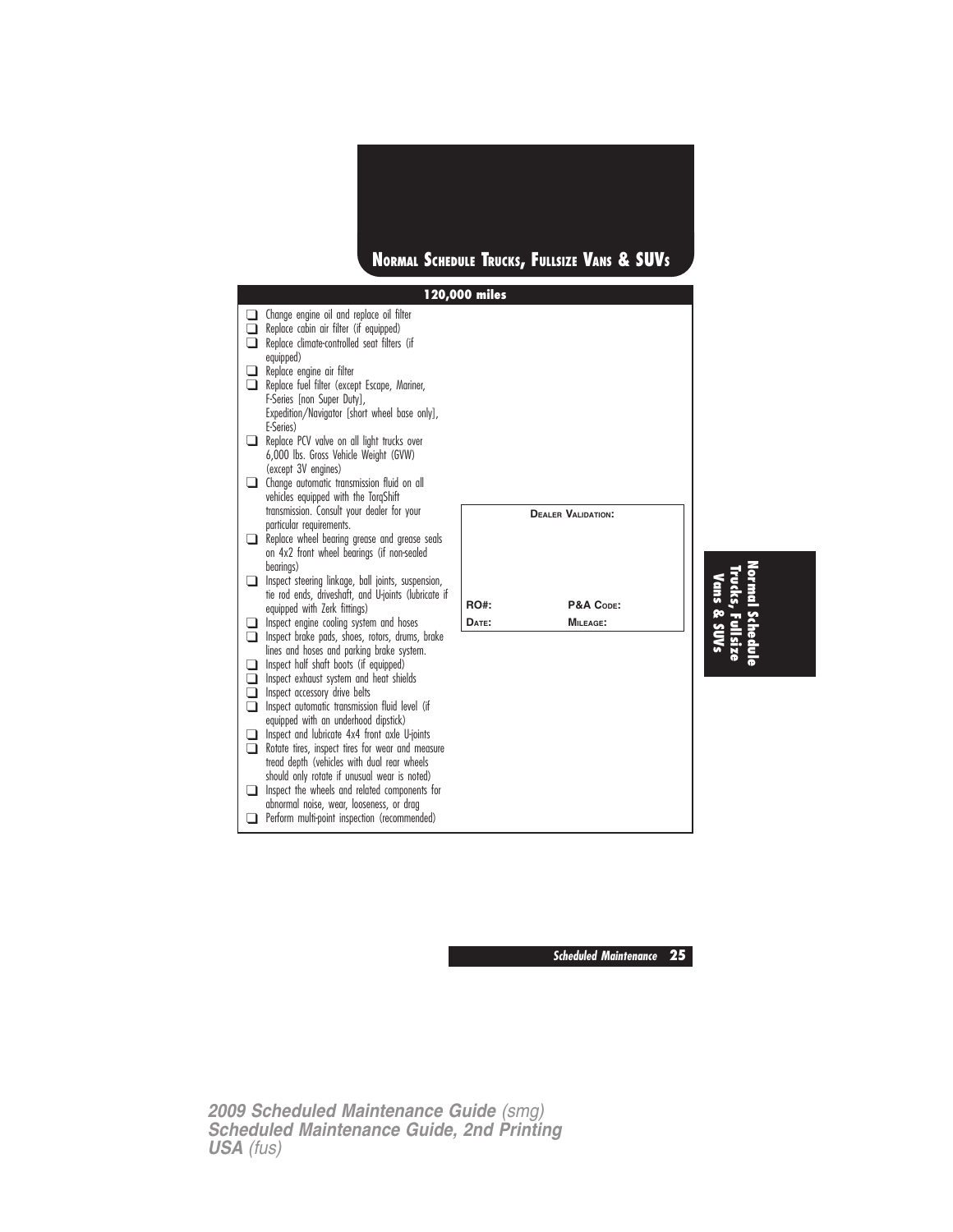

**Scheduled Maintenance 25**

**Normal**

**Trucks,**

**Fullsize**

**Schedule**

*2009 Scheduled Maintenance Guide (smg) Scheduled Maintenance Guide, 2nd Printing USA (fus)*

❑ Perform multi-point inspection (recommended)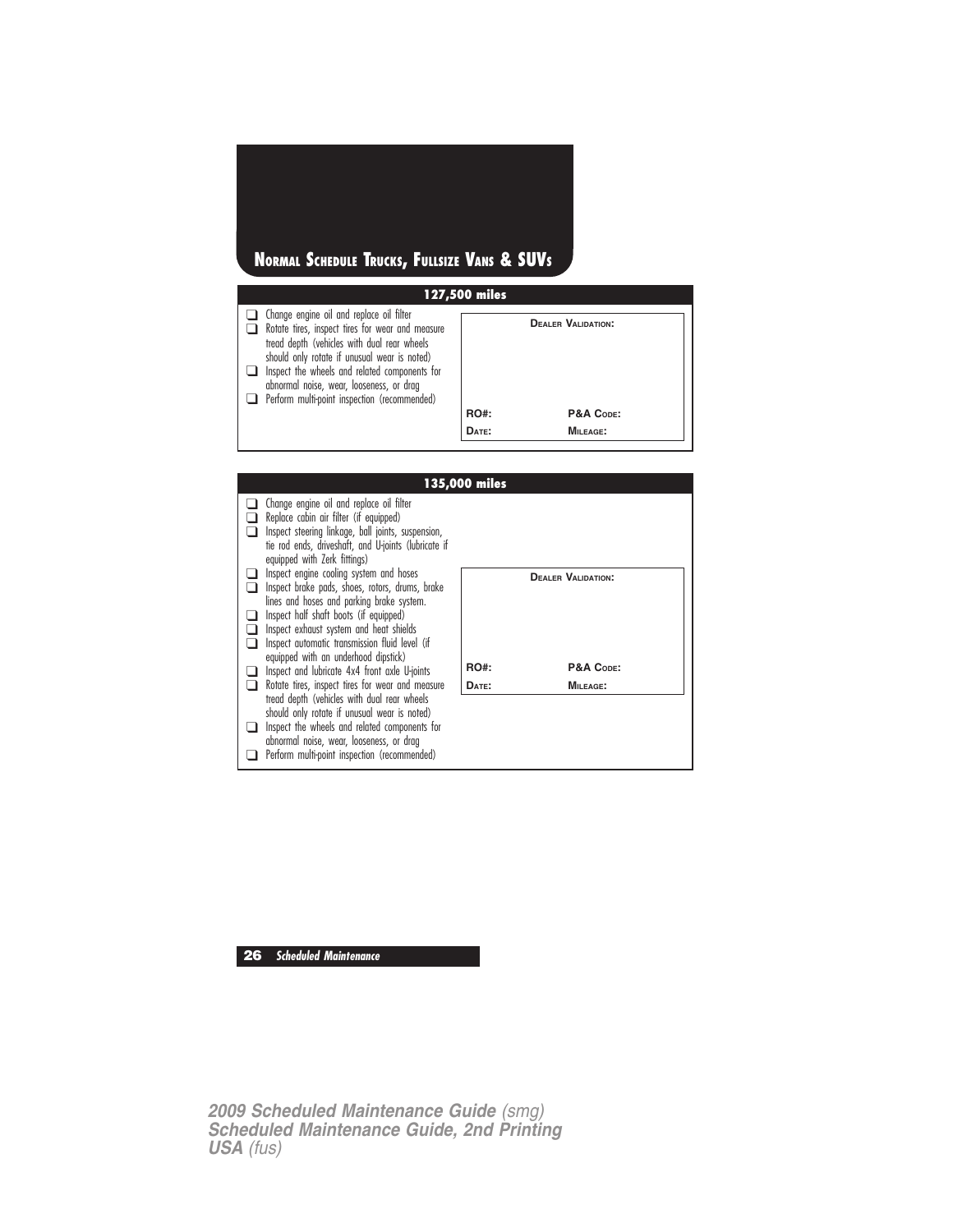## **NORMAL SCHEDULE TRUCKS, FULLSIZE VANS & SUVS**

| 127,500 miles                                                                                                                                                                                                                                                                                                                                   |             |                           |  |  |  |
|-------------------------------------------------------------------------------------------------------------------------------------------------------------------------------------------------------------------------------------------------------------------------------------------------------------------------------------------------|-------------|---------------------------|--|--|--|
| $\Box$ Change engine oil and replace oil filter<br>Rotate tires, inspect tires for wear and measure<br>tread depth (vehicles with dual rear wheels<br>should only rotate if unusual wear is noted)<br>Inspect the wheels and related components for<br>abnormal noise, wear, looseness, or drag<br>Perform multi-point inspection (recommended) |             | <b>DEALER VALIDATION:</b> |  |  |  |
|                                                                                                                                                                                                                                                                                                                                                 | <b>RO#:</b> | P&A CODE:                 |  |  |  |
|                                                                                                                                                                                                                                                                                                                                                 | DATE:       | <b>MILEAGE:</b>           |  |  |  |

|                                                                                                                                                                                                                                                                                | 135,000 miles |                           |
|--------------------------------------------------------------------------------------------------------------------------------------------------------------------------------------------------------------------------------------------------------------------------------|---------------|---------------------------|
| Change engine oil and replace oil filter<br>Replace cabin air filter (if equipped)<br>Inspect steering linkage, ball joints, suspension,<br>tie rod ends, driveshaft, and U-joints (lubricate if<br>equipped with Zerk fittings)                                               |               |                           |
| Inspect engine cooling system and hoses<br>Inspect brake pads, shoes, rotors, drums, brake<br>lines and hoses and parking brake system.<br>Inspect half shaft boots (if equipped)<br>Inspect exhaust system and heat shields<br>Inspect automatic transmission fluid level (if |               | <b>DEALER VALIDATION:</b> |
| equipped with an underhood dipstick)<br>Inspect and lubricate 4x4 front axle U-joints                                                                                                                                                                                          | <b>RO#:</b>   | P&A CODE:                 |
| Rotate tires, inspect tires for wear and measure                                                                                                                                                                                                                               | DATE:         | <b>MILEAGE:</b>           |
| tread depth (vehicles with dual rear wheels<br>should only rotate if unusual wear is noted)<br>Inspect the wheels and related components for<br>abnormal noise, wear, looseness, or drag<br>Perform multi-point inspection (recommended)                                       |               |                           |

**26 Scheduled Maintenance**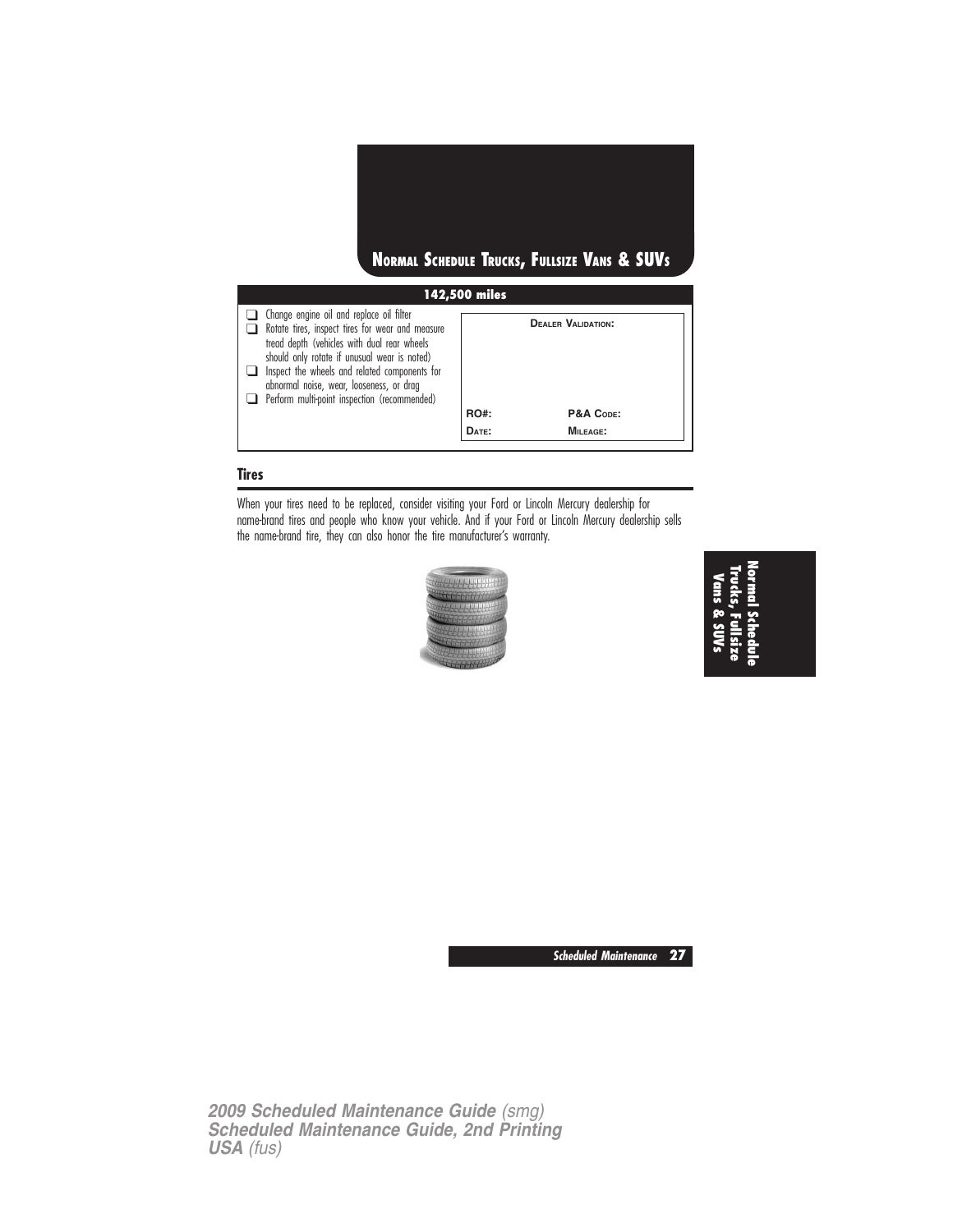

**DATE: MILEAGE:**

#### **Tires**

When your tires need to be replaced, consider visiting your Ford or Lincoln Mercury dealership for name-brand tires and people who know your vehicle. And if your Ford or Lincoln Mercury dealership sells the name-brand tire, they can also honor the tire manufacturer's warranty.



**NormalSchedule Trucks,Fullsize Vans&SUVs**

**Scheduled Maintenance 27**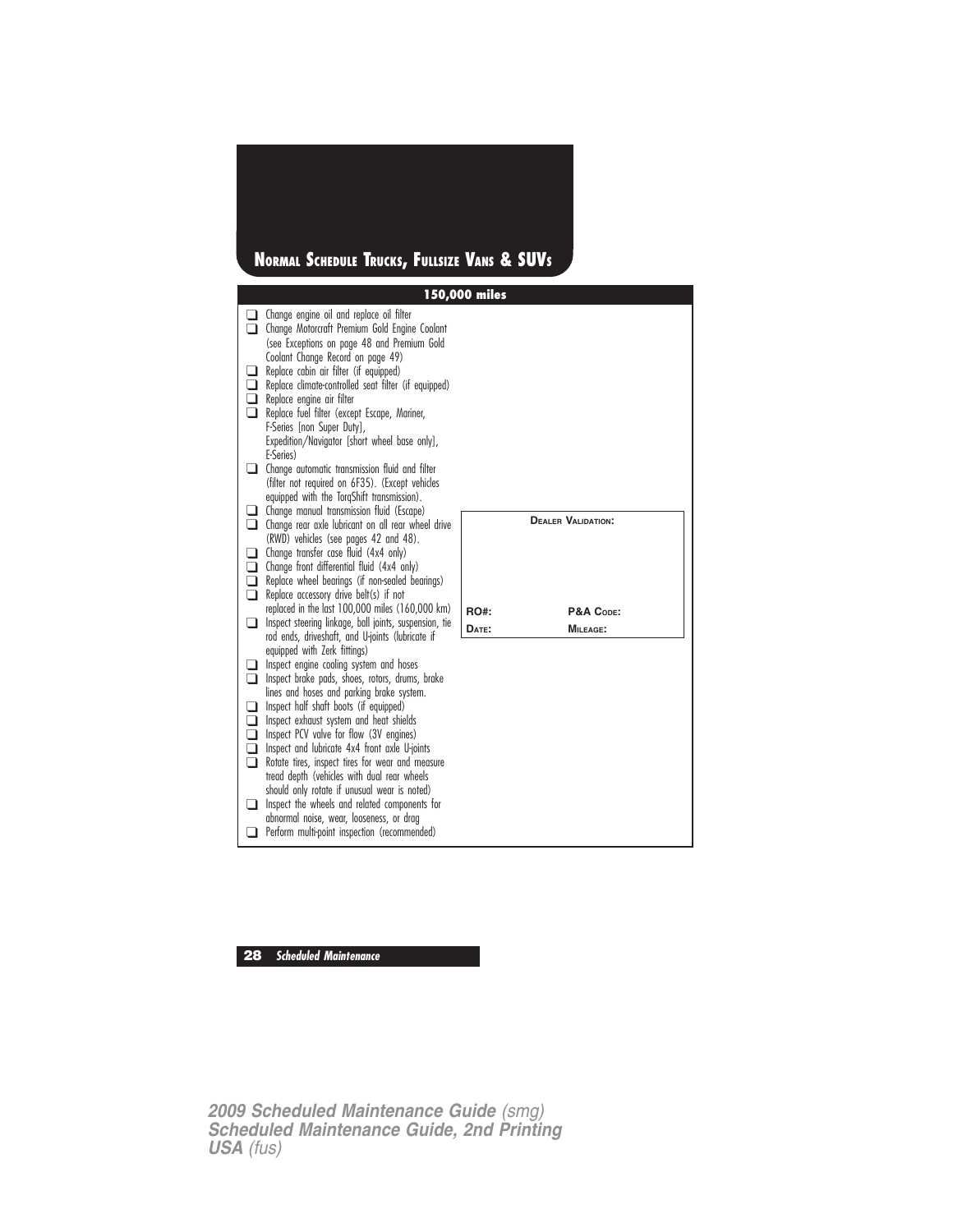## **NORMAL SCHEDULE TRUCKS, FULLSIZE VANS & SUVS**

|                                 |                                                                                                                                                                                                                                                                                                                                                                                                                                                                                                                                                                                                                                                          | 150,000 miles |                           |
|---------------------------------|----------------------------------------------------------------------------------------------------------------------------------------------------------------------------------------------------------------------------------------------------------------------------------------------------------------------------------------------------------------------------------------------------------------------------------------------------------------------------------------------------------------------------------------------------------------------------------------------------------------------------------------------------------|---------------|---------------------------|
| □                               | Change engine oil and replace oil filter<br>Change Motorcraft Premium Gold Engine Coolant<br>(see Exceptions on page 48 and Premium Gold                                                                                                                                                                                                                                                                                                                                                                                                                                                                                                                 |               |                           |
| ∣ 1<br>□<br>⊓<br>∣ 1            | Coolant Change Record on page 49)<br>Replace cabin air filter (if equipped)<br>Replace climate-controlled seat filter (if equipped)<br>Replace engine air filter<br>Replace fuel filter (except Escape, Mariner,<br>F-Series [non Super Duty],<br>Expedition/Navigator [short wheel base only],<br>E-Series)                                                                                                                                                                                                                                                                                                                                             |               |                           |
|                                 | $\Box$ Change automatic transmission fluid and filter<br>(filter not required on 6F35). (Except vehicles<br>equipped with the TorqShift transmission).                                                                                                                                                                                                                                                                                                                                                                                                                                                                                                   |               |                           |
| ⊔<br>□                          | Change manual transmission fluid (Escape)<br>Change rear axle lubricant on all rear wheel drive<br>(RWD) vehicles (see pages 42 and 48).                                                                                                                                                                                                                                                                                                                                                                                                                                                                                                                 |               | <b>DEALER VALIDATION:</b> |
| ப<br>□<br>□<br>❏                | Change transfer case fluid (4x4 only)<br>Change front differential fluid (4x4 only)<br>Replace wheel bearings (if non-sealed bearings)<br>Replace accessory drive belt(s) if not                                                                                                                                                                                                                                                                                                                                                                                                                                                                         |               |                           |
|                                 | replaced in the last 100,000 miles (160,000 km)                                                                                                                                                                                                                                                                                                                                                                                                                                                                                                                                                                                                          | <b>RO#:</b>   | P&A CODE:                 |
| $\blacksquare$                  | Inspect steering linkage, ball joints, suspension, tie<br>rod ends, driveshaft, and U-joints (lubricate if                                                                                                                                                                                                                                                                                                                                                                                                                                                                                                                                               | DATE:         | <b>MILEAGE:</b>           |
| ப<br>▢<br>□<br>□<br>□<br>□<br>□ | equipped with Zerk fittings)<br>Inspect engine cooling system and hoses<br>Inspect brake pads, shoes, rotors, drums, brake<br>lines and hoses and parking brake system.<br>Inspect half shaft boots (if equipped)<br>Inspect exhaust system and heat shields<br>Inspect PCV valve for flow (3V engines)<br>Inspect and lubricate 4x4 front axle U-joints<br>Rotate tires, inspect tires for wear and measure<br>tread depth (vehicles with dual rear wheels<br>should only rotate if unusual wear is noted)<br>Inspect the wheels and related components for<br>abnormal noise, wear, looseness, or drag<br>Perform multi-point inspection (recommended) |               |                           |

## **28 Scheduled Maintenance**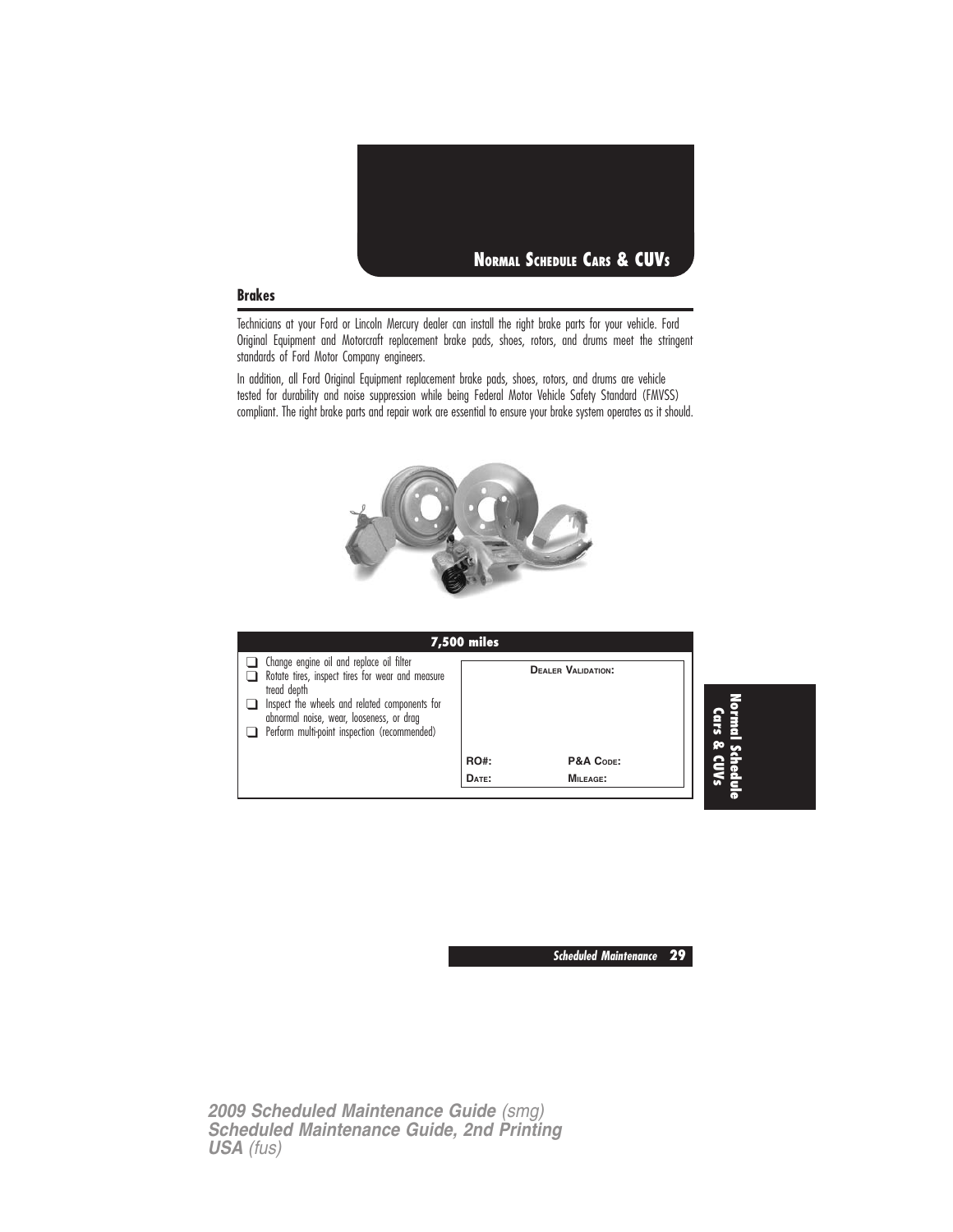

#### **Brakes**

Technicians at your Ford or Lincoln Mercury dealer can install the right brake parts for your vehicle. Ford Original Equipment and Motorcraft replacement brake pads, shoes, rotors, and drums meet the stringent standards of Ford Motor Company engineers.

In addition, all Ford Original Equipment replacement brake pads, shoes, rotors, and drums are vehicle tested for durability and noise suppression while being Federal Motor Vehicle Safety Standard (FMVSS) compliant. The right brake parts and repair work are essential to ensure your brake system operates as it should.



| <b>7,500 miles</b>                                                                                                                                                                                                                                       |             |                           |                |
|----------------------------------------------------------------------------------------------------------------------------------------------------------------------------------------------------------------------------------------------------------|-------------|---------------------------|----------------|
| Change engine oil and replace oil filter<br>Rotate tires, inspect tires for wear and measure<br>tread depth<br>Inspect the wheels and related components for<br>abnormal noise, wear, looseness, or drag<br>Perform multi-point inspection (recommended) |             | <b>DEALER VALIDATION:</b> | Normal<br>Cars |
|                                                                                                                                                                                                                                                          | <b>RO#:</b> | P&A CODE:                 |                |
|                                                                                                                                                                                                                                                          | DATE:       | <b>MILEAGE:</b>           | edule          |

**Scheduled Maintenance 29**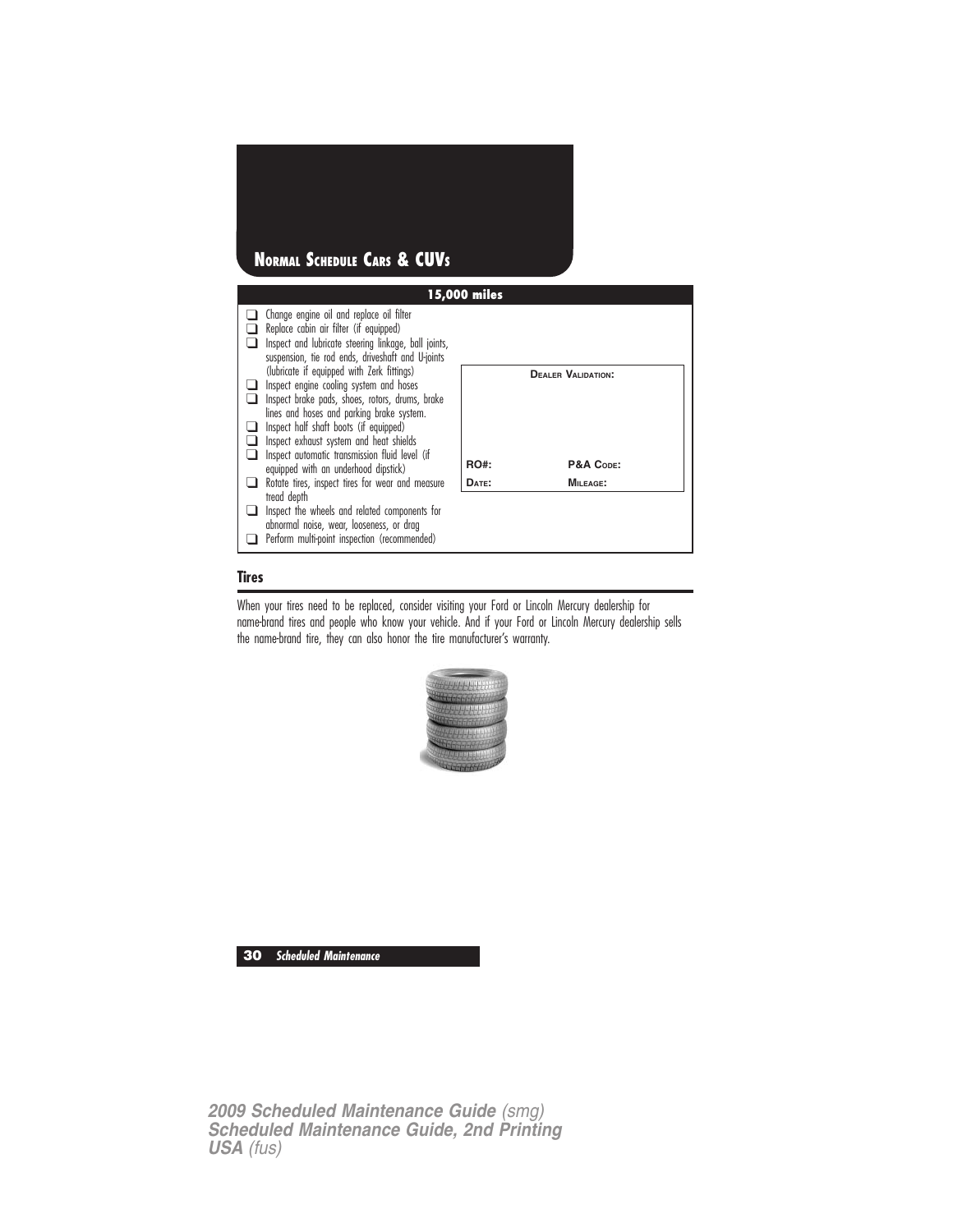

#### **Tires**

When your tires need to be replaced, consider visiting your Ford or Lincoln Mercury dealership for name-brand tires and people who know your vehicle. And if your Ford or Lincoln Mercury dealership sells the name-brand tire, they can also honor the tire manufacturer's warranty.



**30 Scheduled Maintenance**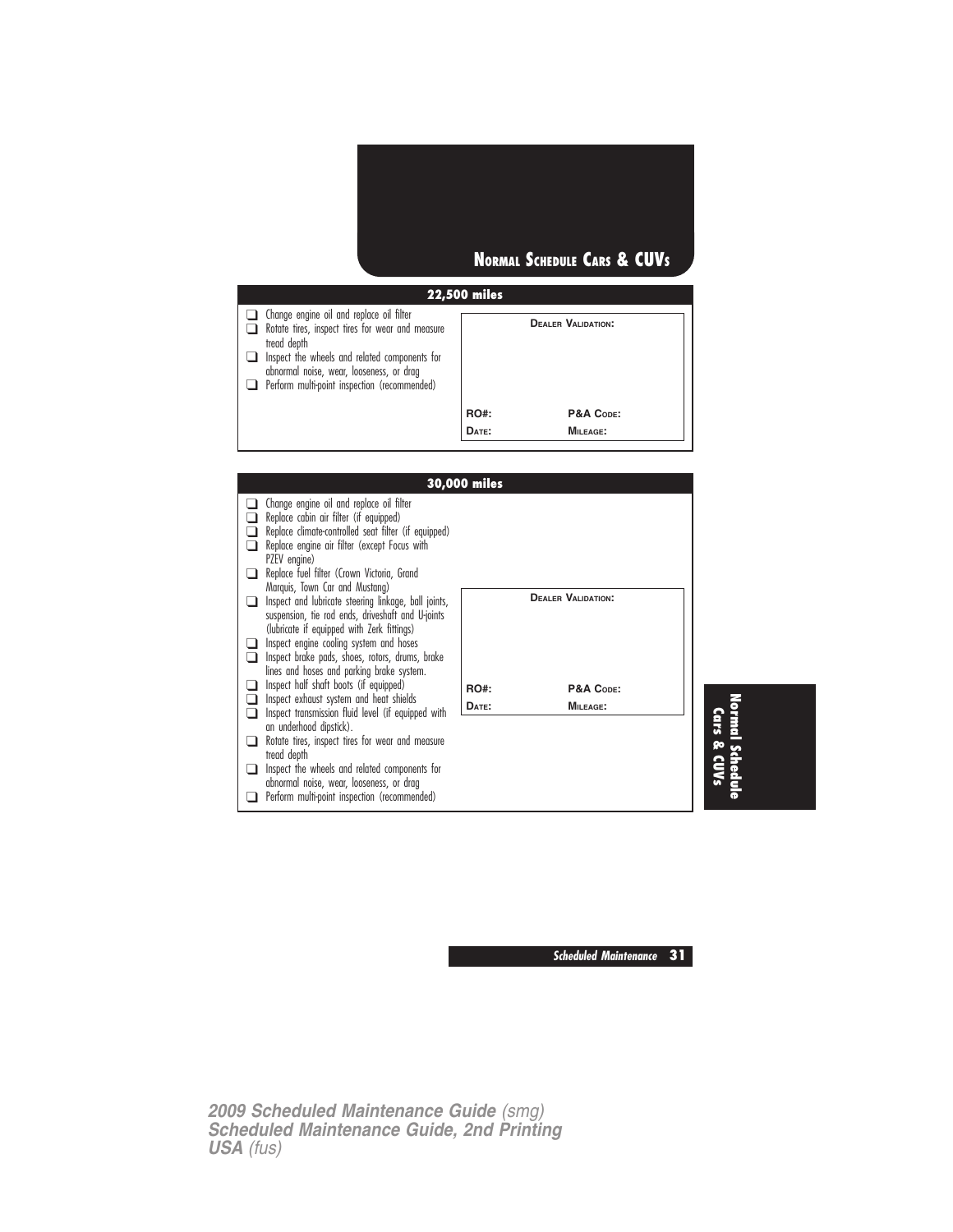## **NORMAL SCHEDULE CARS & CUVS**

### **22,500 miles**

| Change engine oil and replace oil filter<br>Rotate tires, inspect tires for wear and measure<br>tread depth<br>$\Box$ Inspect the wheels and related components for<br>abnormal noise, wear, looseness, or drag<br>Perform multi-point inspection (recommended) |                      | <b>DEALER VALIDATION:</b> |
|-----------------------------------------------------------------------------------------------------------------------------------------------------------------------------------------------------------------------------------------------------------------|----------------------|---------------------------|
|                                                                                                                                                                                                                                                                 | <b>RO#:</b><br>DATE: | P&A CODE:<br>$MII$ FAGE:  |

|                                                                               | <b>30,000 miles</b> |                           |  |
|-------------------------------------------------------------------------------|---------------------|---------------------------|--|
| Change engine oil and replace oil filter                                      |                     |                           |  |
| Replace cabin air filter (if equipped)                                        |                     |                           |  |
| Replace climate-controlled seat filter (if equipped)                          |                     |                           |  |
| Replace engine air filter (except Focus with                                  |                     |                           |  |
| PZEV engine)<br>Replace fuel filter (Crown Victoria, Grand                    |                     |                           |  |
| Marquis, Town Car and Mustang)                                                |                     |                           |  |
| Inspect and lubricate steering linkage, ball joints,                          |                     | <b>DEALER VALIDATION:</b> |  |
| suspension, tie rod ends, driveshaft and U-joints                             |                     |                           |  |
| (lubricate if equipped with Zerk fittings)                                    |                     |                           |  |
| Inspect engine cooling system and hoses                                       |                     |                           |  |
| Inspect brake pads, shoes, rotors, drums, brake                               |                     |                           |  |
| lines and hoses and parking brake system.                                     |                     |                           |  |
| Inspect half shaft boots (if equipped)                                        | <b>RO#:</b>         | P&A CODE:                 |  |
| Inspect exhaust system and heat shields                                       | DATE:               | <b>MILEAGE:</b>           |  |
| Inspect transmission fluid level (if equipped with<br>an underhood dipstick). |                     |                           |  |
| Rotate tires, inspect tires for wear and measure                              |                     |                           |  |
| tread depth                                                                   |                     |                           |  |
| Inspect the wheels and related components for                                 |                     |                           |  |
| abnormal noise, wear, looseness, or drag                                      |                     |                           |  |
| Perform multi-point inspection (recommended)                                  |                     |                           |  |

**Scheduled Maintenance 31**

**Normal Schedule Cars & CUVs**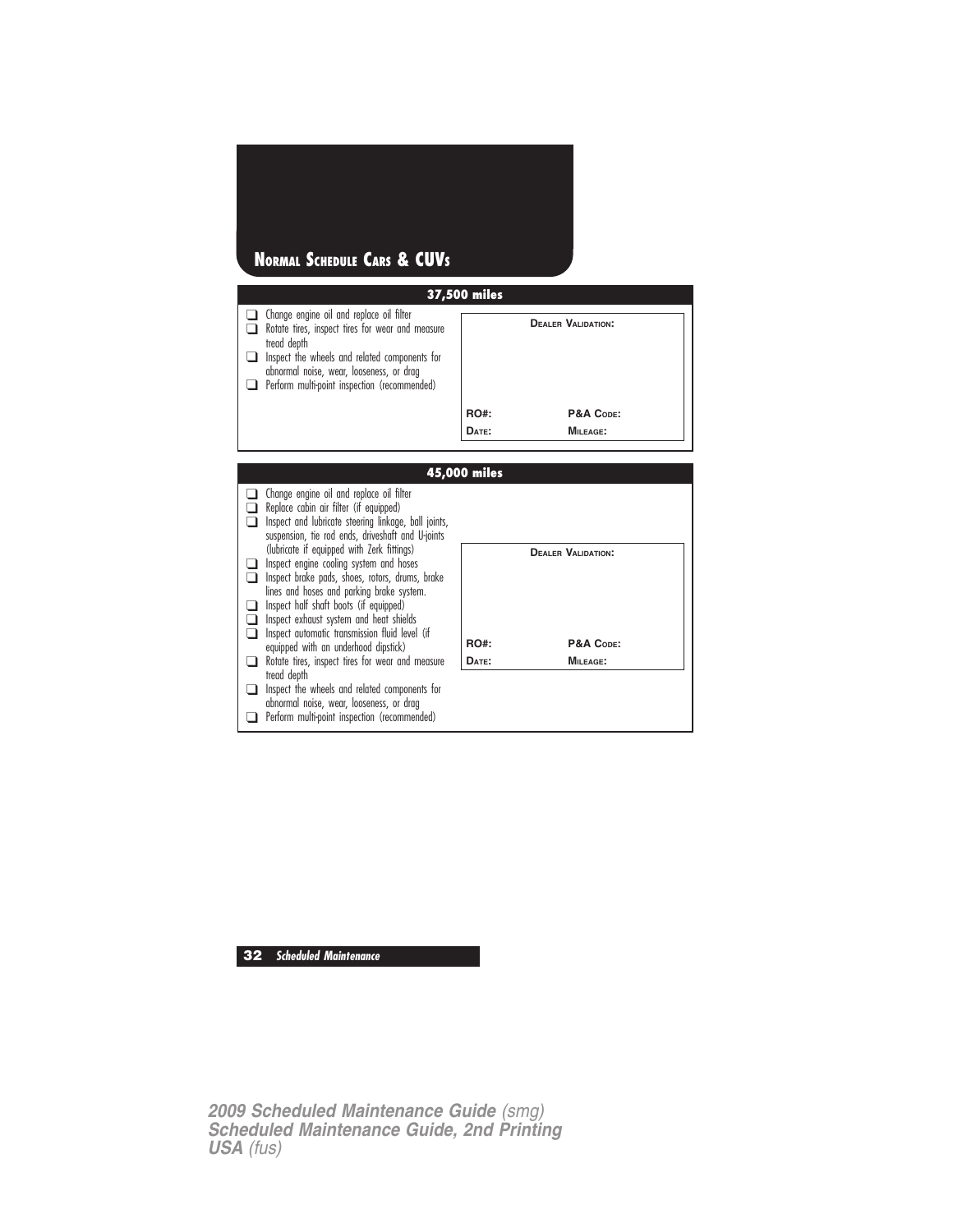## **NORMAL SCHEDULE CARS & CUVS**

|        | 37,500 miles                                                                                                                                     |       |                           |  |  |  |
|--------|--------------------------------------------------------------------------------------------------------------------------------------------------|-------|---------------------------|--|--|--|
| $\Box$ | $\Box$ Change engine oil and replace oil filter<br>Rotate tires, inspect tires for wear and measure<br>tread depth                               |       | <b>DEALER VALIDATION:</b> |  |  |  |
|        | $\Box$ Inspect the wheels and related components for<br>abnormal noise, wear, looseness, or drag<br>Perform multi-point inspection (recommended) |       |                           |  |  |  |
|        |                                                                                                                                                  | RO#:  | P&A CODE:                 |  |  |  |
|        |                                                                                                                                                  | DATE: | MILEAGE:                  |  |  |  |



#### **32 Scheduled Maintenance**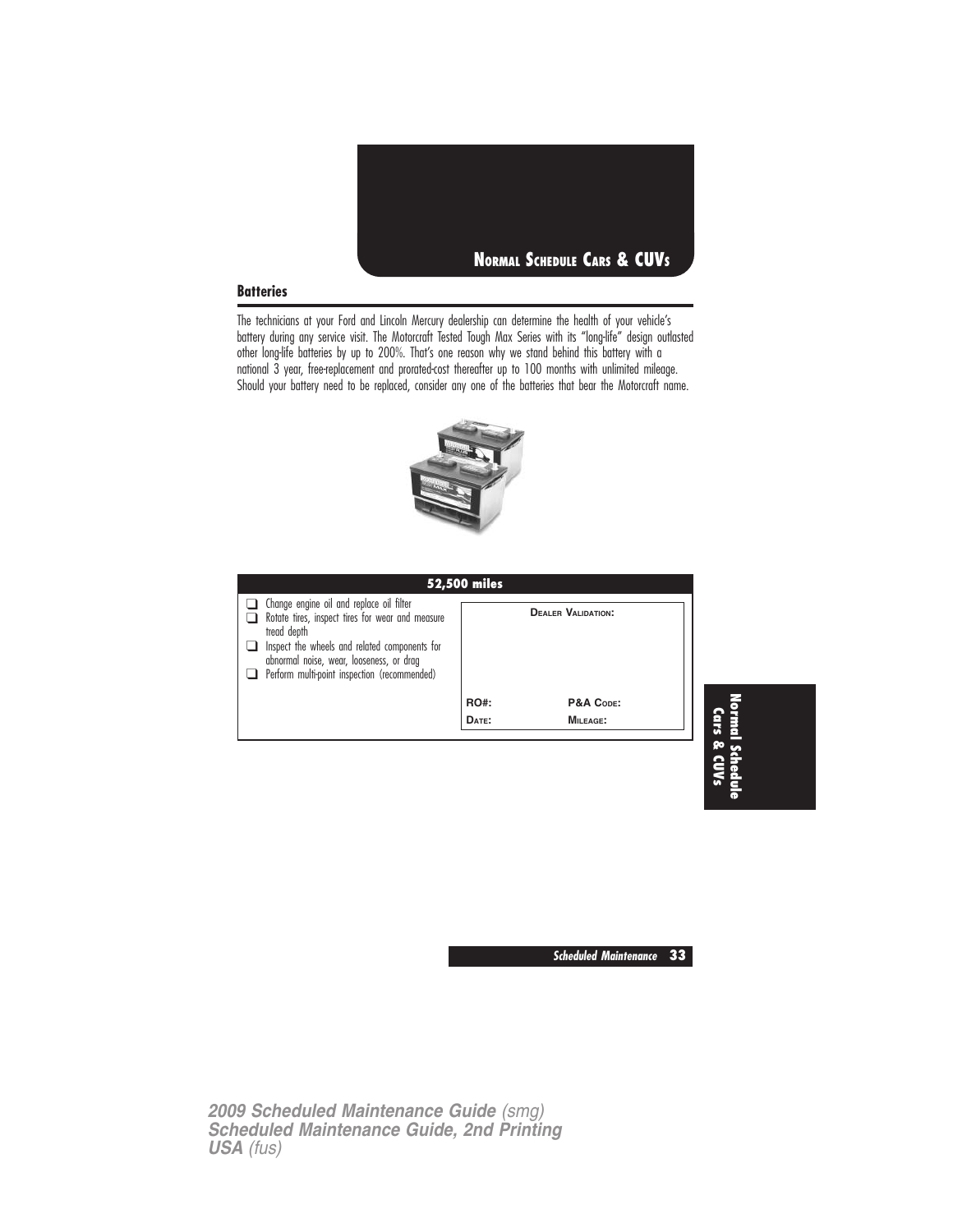

#### **Batteries**

The technicians at your Ford and Lincoln Mercury dealership can determine the health of your vehicle's battery during any service visit. The Motorcraft Tested Tough Max Series with its "long-life" design outlasted other long-life batteries by up to 200%. That's one reason why we stand behind this battery with a national 3 year, free-replacement and prorated-cost thereafter up to 100 months with unlimited mileage. Should your battery need to be replaced, consider any one of the batteries that bear the Motorcraft name.



| <b>52,500 miles</b>                                                                                                                                                                                                                                      |                      |                           |  |  |  |
|----------------------------------------------------------------------------------------------------------------------------------------------------------------------------------------------------------------------------------------------------------|----------------------|---------------------------|--|--|--|
| Change engine oil and replace oil filter<br>Rotate tires, inspect tires for wear and measure<br>tread depth<br>Inspect the wheels and related components for<br>abnormal noise, wear, looseness, or drag<br>Perform multi-point inspection (recommended) |                      | <b>DEALER VALIDATION:</b> |  |  |  |
|                                                                                                                                                                                                                                                          | <b>RO#:</b><br>DATE: | P&A CODE:<br>MILEAGE:     |  |  |  |



**Scheduled Maintenance 33**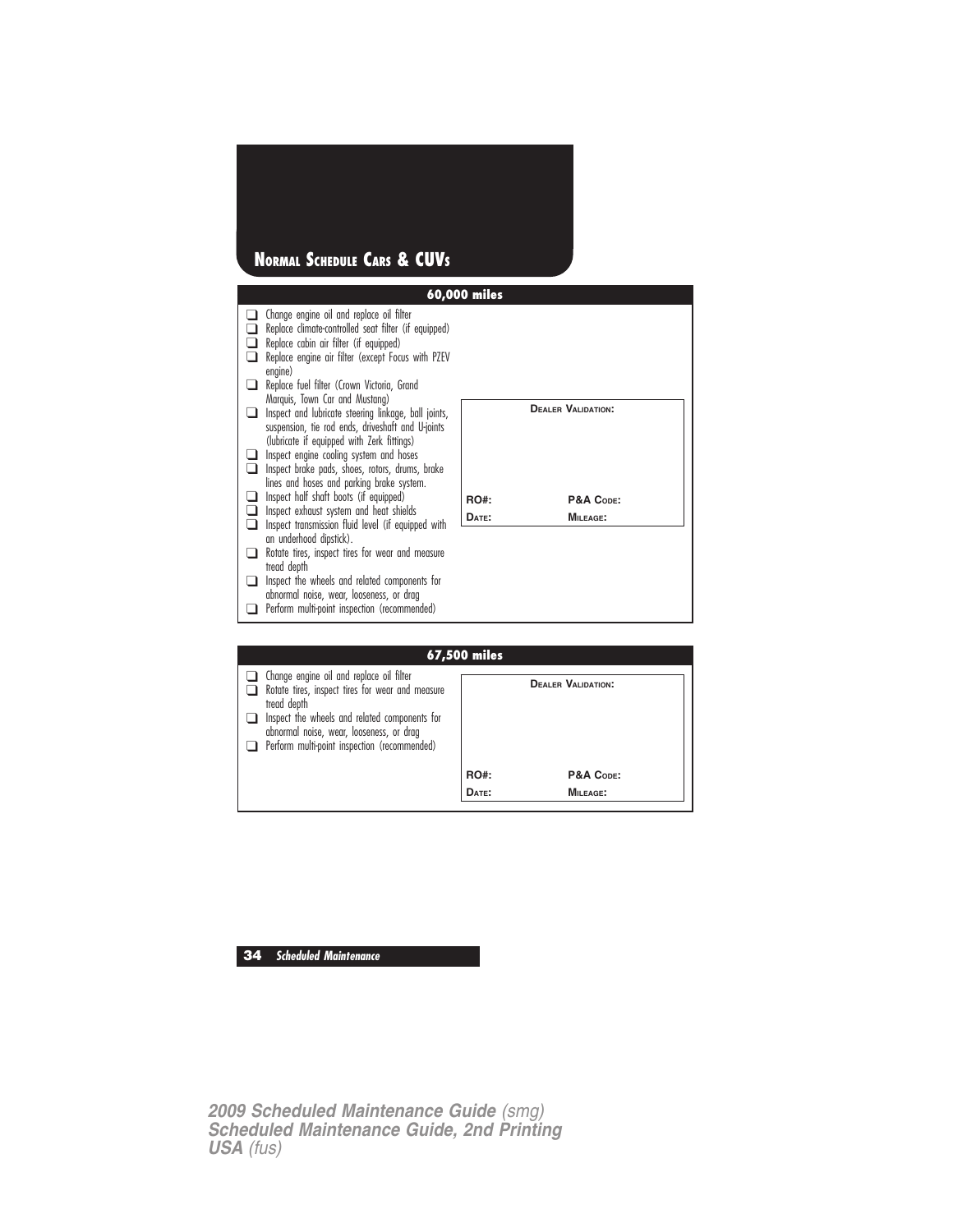## **NORMAL SCHEDULE CARS & CUVS**

|                |                                                                                                                                                                                                                                                                                                                                      | 60,000 miles |                           |
|----------------|--------------------------------------------------------------------------------------------------------------------------------------------------------------------------------------------------------------------------------------------------------------------------------------------------------------------------------------|--------------|---------------------------|
|                | Change engine oil and replace oil filter<br>Replace climate-controlled seat filter (if equipped)<br>Replace cabin air filter (if equipped)<br>Replace engine air filter (except Focus with PZEV<br>engine)<br>Replace fuel filter (Crown Victoria, Grand                                                                             |              |                           |
| $\blacksquare$ | Marquis, Town Car and Mustang)<br>Inspect and lubricate steering linkage, ball joints,<br>suspension, tie rod ends, driveshaft and U-joints<br>(lubricate if equipped with Zerk fittings)<br>Inspect engine cooling system and hoses<br>Inspect brake pads, shoes, rotors, drums, brake<br>lines and hoses and parking brake system. |              | <b>DEALER VALIDATION:</b> |
|                | Inspect half shaft boots (if equipped)                                                                                                                                                                                                                                                                                               | RO#:         | P&A CODE:                 |
|                | Inspect exhaust system and heat shields<br>Inspect transmission fluid level (if equipped with                                                                                                                                                                                                                                        | DATE:        | MILEAGE:                  |
|                | an underhood dipstick).                                                                                                                                                                                                                                                                                                              |              |                           |
|                | Rotate tires, inspect tires for wear and measure<br>tread depth                                                                                                                                                                                                                                                                      |              |                           |
|                | Inspect the wheels and related components for                                                                                                                                                                                                                                                                                        |              |                           |
|                | abnormal noise, wear, looseness, or drag<br>Perform multi-point inspection (recommended)                                                                                                                                                                                                                                             |              |                           |
|                |                                                                                                                                                                                                                                                                                                                                      |              |                           |
|                |                                                                                                                                                                                                                                                                                                                                      | 67,500 miles |                           |

|   |                                                                                                                                                  | 97 IV VY 1111 VY     |                              |
|---|--------------------------------------------------------------------------------------------------------------------------------------------------|----------------------|------------------------------|
| n | $\Box$ Change engine oil and replace oil filter<br>Rotate tires, inspect tires for wear and measure<br>tread depth                               |                      | <b>DEALER VALIDATION:</b>    |
|   | $\Box$ Inspect the wheels and related components for<br>abnormal noise, wear, looseness, or drag<br>Perform multi-point inspection (recommended) |                      |                              |
|   |                                                                                                                                                  | <b>RO#:</b><br>DATE: | P&A CODE:<br><b>MILEAGE:</b> |

## **34 Scheduled Maintenance**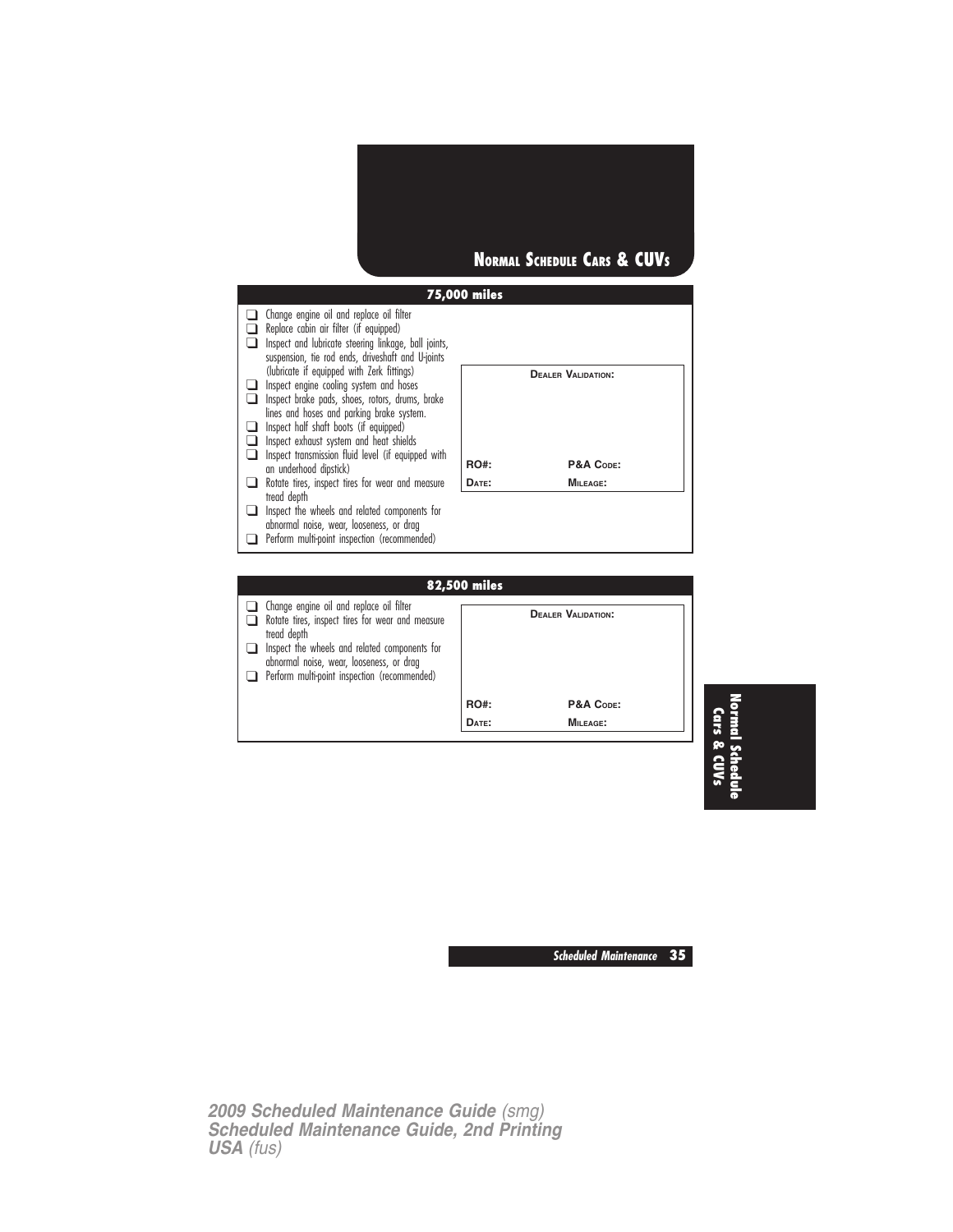



**DATE: MILEAGE:**

**Normal Schedule Cars & CUVs**

**Scheduled Maintenance 35**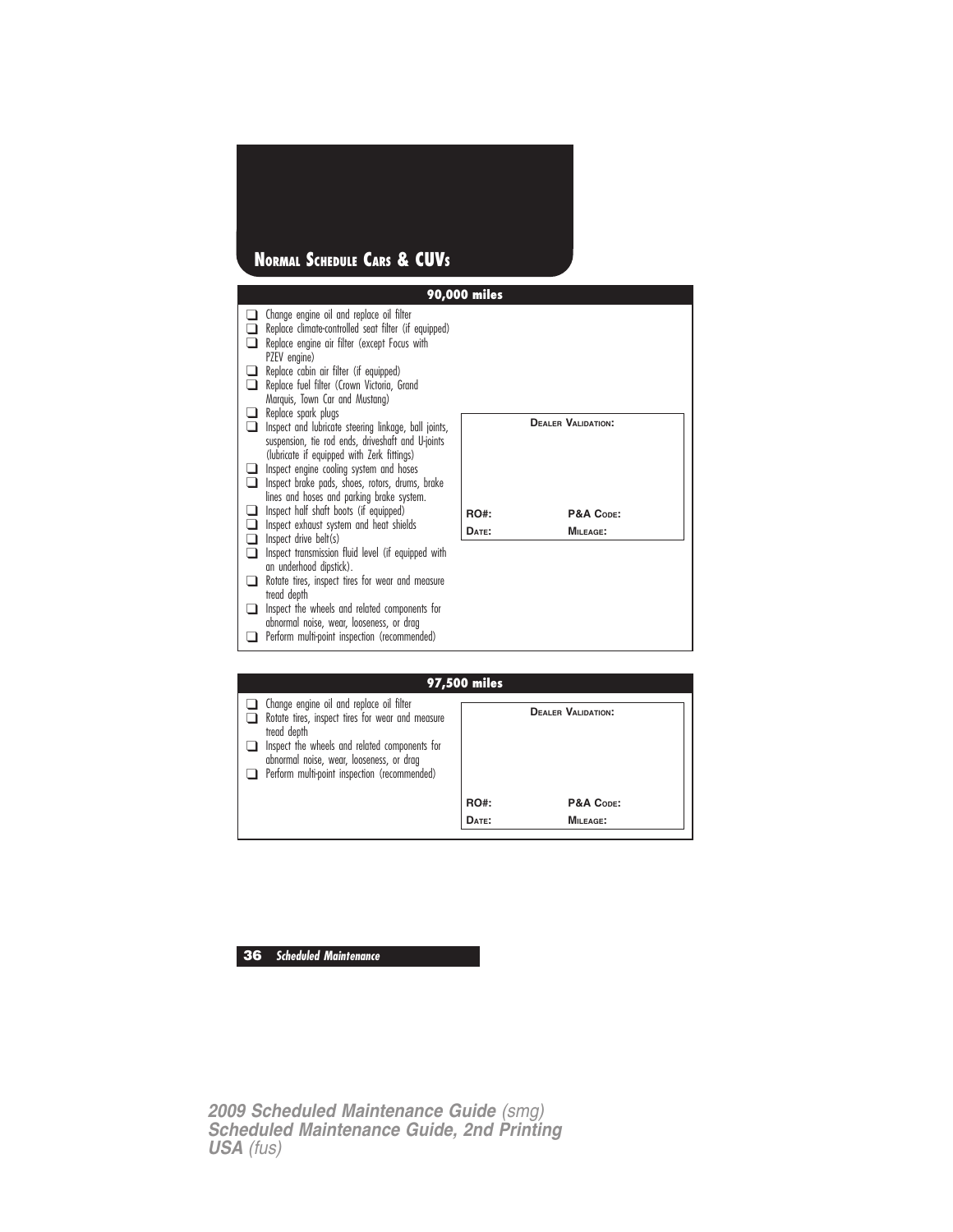## **NORMAL SCHEDULE CARS & CUVS**

|                |                                                                                                                                                                  | 90,000 miles |                           |
|----------------|------------------------------------------------------------------------------------------------------------------------------------------------------------------|--------------|---------------------------|
|                | Change engine oil and replace oil filter<br>Replace climate-controlled seat filter (if equipped)<br>Replace engine air filter (except Focus with<br>PZEV engine) |              |                           |
| ∣ 1<br>n       | Replace cabin air filter (if equipped)<br>Replace fuel filter (Crown Victoria, Grand<br>Marquis, Town Car and Mustang)<br>Replace spark plugs                    |              |                           |
|                | Inspect and lubricate steering linkage, ball joints,<br>suspension, tie rod ends, driveshaft and U-joints<br>(lubricate if equipped with Zerk fittings)          |              | <b>DEALER VALIDATION:</b> |
| $\blacksquare$ | Inspect engine cooling system and hoses<br>Inspect brake pads, shoes, rotors, drums, brake<br>lines and hoses and parking brake system.                          |              |                           |
|                | Inspect half shaft boots (if equipped)                                                                                                                           | <b>RO#:</b>  | P&A CODE:                 |
|                | Inspect exhaust system and heat shields<br>Inspect drive belt(s)                                                                                                 | DATE:        | MILEAGE:                  |
|                | Inspect transmission fluid level (if equipped with<br>an underhood dipstick).                                                                                    |              |                           |
|                | Rotate tires, inspect tires for wear and measure                                                                                                                 |              |                           |
|                | tread depth                                                                                                                                                      |              |                           |
|                | Inspect the wheels and related components for<br>abnormal noise, wear, looseness, or drag                                                                        |              |                           |
|                | Perform multi-point inspection (recommended)                                                                                                                     |              |                           |
|                |                                                                                                                                                                  |              |                           |

| 97,500 miles                                                                                                                                                                                                                                             |             |                           |
|----------------------------------------------------------------------------------------------------------------------------------------------------------------------------------------------------------------------------------------------------------|-------------|---------------------------|
| Change engine oil and replace oil filter<br>Rotate tires, inspect tires for wear and measure<br>tread depth<br>Inspect the wheels and related components for<br>abnormal noise, wear, looseness, or drag<br>Perform multi-point inspection (recommended) |             | <b>DEALER VALIDATION:</b> |
|                                                                                                                                                                                                                                                          | <b>RO#:</b> | P&A CODE:                 |
|                                                                                                                                                                                                                                                          | DATE:       | MILEAGE:                  |

## **36 Scheduled Maintenance**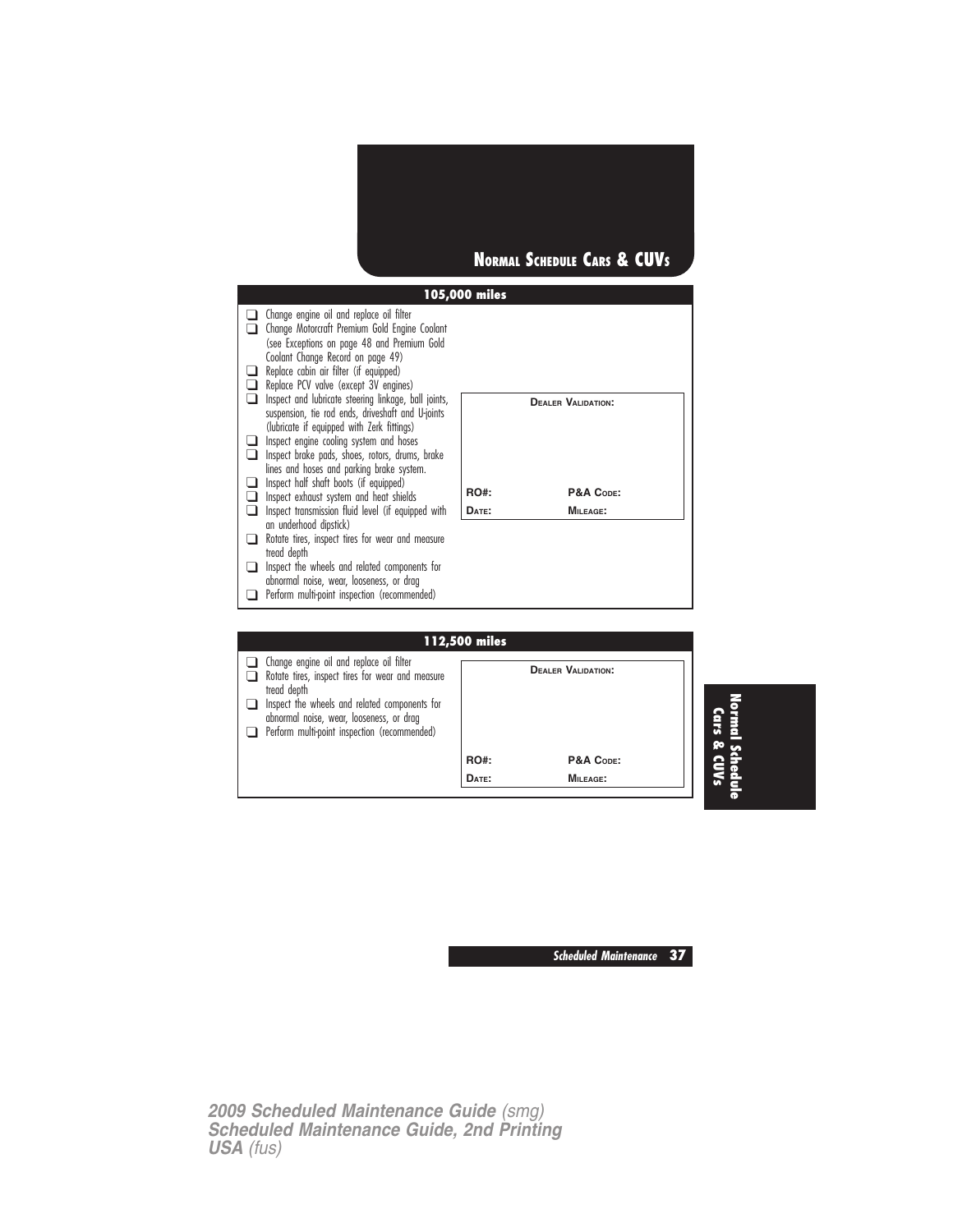

| □<br>⊔<br>$\Box$<br>❏<br>❏<br>❏ | $\Box$ Change engine oil and replace oil filter<br>Change Motorcraft Premium Gold Engine Coolant<br>(see Exceptions on page 48 and Premium Gold<br>Coolant Change Record on page 49)<br>Replace cabin air filter (if equipped)<br>Replace PCV valve (except 3V engines)<br>Inspect and lubricate steering linkage, ball joints,<br>suspension, tie rod ends, driveshaft and U-joints<br>(lubricate if equipped with Zerk fittings)<br>Inspect engine cooling system and hoses<br>Inspect brake pads, shoes, rotors, drums, brake<br>lines and hoses and parking brake system. |               | <b>DEALER VALIDATION:</b>            |
|---------------------------------|-------------------------------------------------------------------------------------------------------------------------------------------------------------------------------------------------------------------------------------------------------------------------------------------------------------------------------------------------------------------------------------------------------------------------------------------------------------------------------------------------------------------------------------------------------------------------------|---------------|--------------------------------------|
| ❏<br>$\Box$                     | Inspect half shaft boots (if equipped)<br>Inspect exhaust system and heat shields                                                                                                                                                                                                                                                                                                                                                                                                                                                                                             | <b>RO#:</b>   | P&A CODE:                            |
| ❏                               | Inspect transmission fluid level (if equipped with<br>an underhood dipstick)                                                                                                                                                                                                                                                                                                                                                                                                                                                                                                  | DATE:         | <b>MILEAGE:</b>                      |
| ❏                               | Rotate tires, inspect tires for wear and measure<br>tread depth                                                                                                                                                                                                                                                                                                                                                                                                                                                                                                               |               |                                      |
| $\Box$                          | Inspect the wheels and related components for<br>abnormal noise, wear, looseness, or drag                                                                                                                                                                                                                                                                                                                                                                                                                                                                                     |               |                                      |
| l 1                             | Perform multi-point inspection (recommended)                                                                                                                                                                                                                                                                                                                                                                                                                                                                                                                                  |               |                                      |
|                                 |                                                                                                                                                                                                                                                                                                                                                                                                                                                                                                                                                                               |               |                                      |
|                                 |                                                                                                                                                                                                                                                                                                                                                                                                                                                                                                                                                                               | 112,500 miles |                                      |
| n.                              | Change engine oil and replace oil filter                                                                                                                                                                                                                                                                                                                                                                                                                                                                                                                                      |               | $D_{\text{max}}$ on $M_{\text{max}}$ |

|                                                                                                                                           | 112,500 miles |                           |              |
|-------------------------------------------------------------------------------------------------------------------------------------------|---------------|---------------------------|--------------|
| Change engine oil and replace oil filter<br>Rotate tires, inspect tires for wear and measure<br>tread depth                               |               | <b>DEALER VALIDATION:</b> |              |
| Inspect the wheels and related components for<br>abnormal noise, wear, looseness, or drag<br>Perform multi-point inspection (recommended) |               |                           | <b>GIFS</b>  |
|                                                                                                                                           | <b>RO#:</b>   | P&A CODE:                 | <b>go</b>    |
|                                                                                                                                           | DATE:         | <b>MILEAGE:</b>           | <b>CIUVs</b> |
|                                                                                                                                           |               |                           |              |

**Scheduled Maintenance 37**

**Normal Schedule**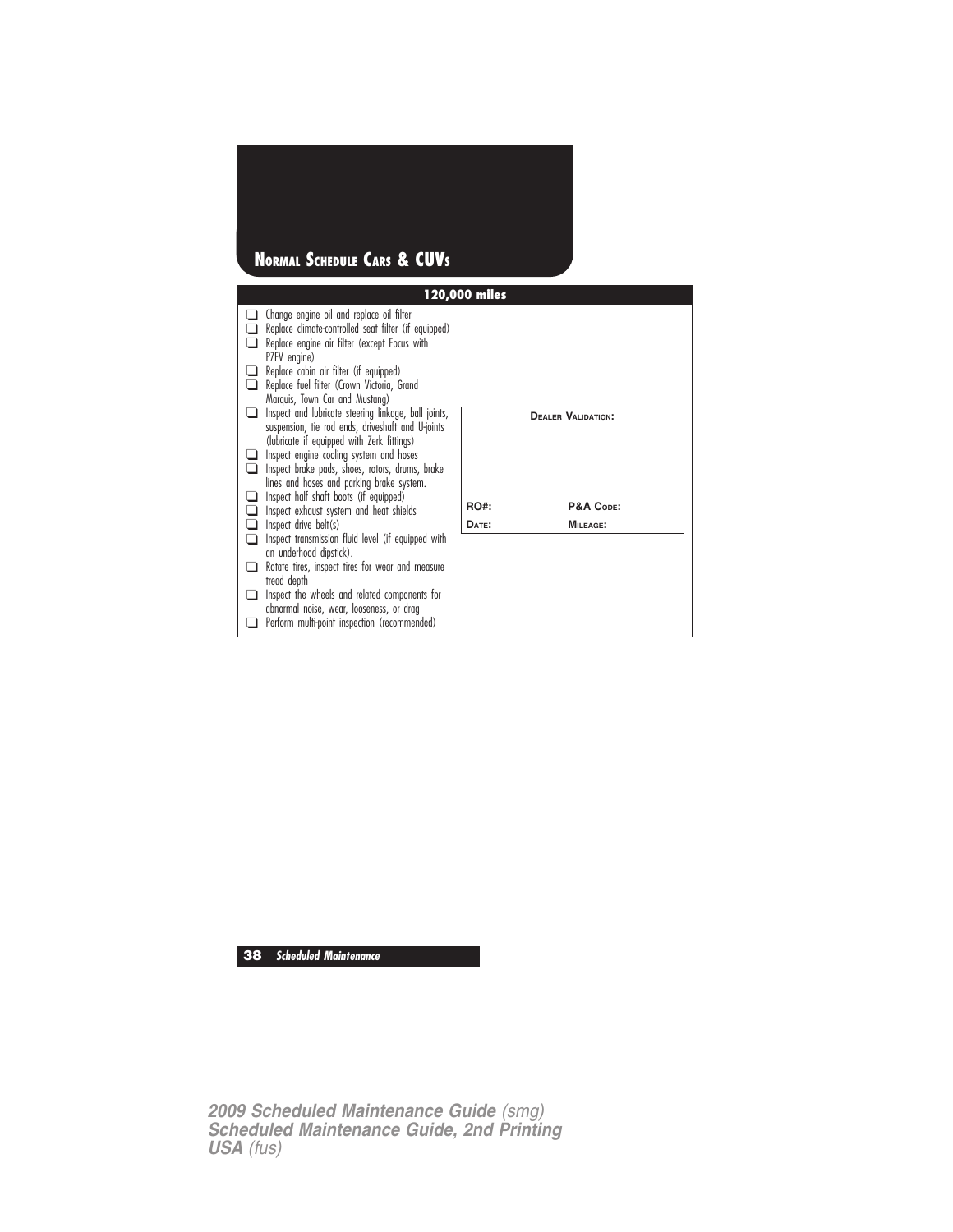## **NORMAL SCHEDULE CARS & CUVS**

|   |                                                                                                                                                                                                            | 120,000 miles |                           |
|---|------------------------------------------------------------------------------------------------------------------------------------------------------------------------------------------------------------|---------------|---------------------------|
|   | Change engine oil and replace oil filter<br>Replace climate-controlled seat filter (if equipped)<br>Replace engine air filter (except Focus with<br>PZEV engine)<br>Replace cabin air filter (if equipped) |               |                           |
|   | Replace fuel filter (Crown Victoria, Grand                                                                                                                                                                 |               |                           |
| n | Marquis, Town Car and Mustang)<br>Inspect and lubricate steering linkage, ball joints,<br>suspension, tie rod ends, driveshaft and U-joints<br>(lubricate if equipped with Zerk fittings)                  |               | <b>DEALER VALIDATION:</b> |
|   | Inspect engine cooling system and hoses<br>Inspect brake pads, shoes, rotors, drums, brake<br>lines and hoses and parking brake system.                                                                    |               |                           |
|   | Inspect half shaft boots (if equipped)<br>Inspect exhaust system and heat shields                                                                                                                          | <b>RO#:</b>   | P&A CODE:                 |
|   | Inspect drive belt(s)                                                                                                                                                                                      | DATE:         | MILEAGE:                  |
|   | Inspect transmission fluid level (if equipped with<br>an underhood dipstick).                                                                                                                              |               |                           |
|   | Rotate tires, inspect tires for wear and measure<br>tread depth                                                                                                                                            |               |                           |
|   | Inspect the wheels and related components for<br>abnormal noise, wear, looseness, or drag                                                                                                                  |               |                           |
|   | Perform multi-point inspection (recommended)                                                                                                                                                               |               |                           |

**38 Scheduled Maintenance**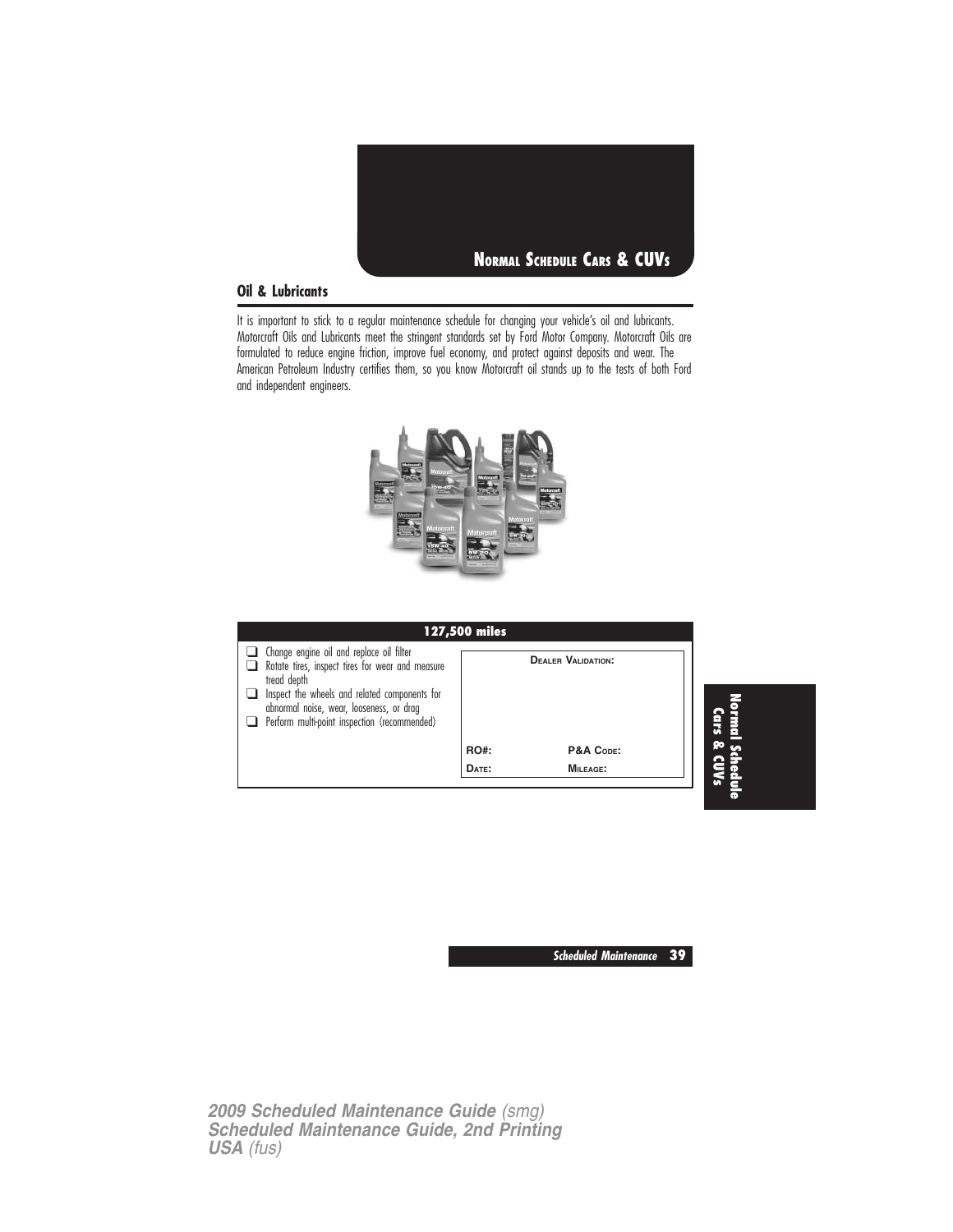

#### **Oil & Lubricants**

It is important to stick to a regular maintenance schedule for changing your vehicle's oil and lubricants. Motorcraft Oils and Lubricants meet the stringent standards set by Ford Motor Company. Motorcraft Oils are formulated to reduce engine friction, improve fuel economy, and protect against deposits and wear. The American Petroleum Industry certifies them, so you know Motorcraft oil stands up to the tests of both Ford and independent engineers.



| 127,500 miles                                                                                                                                                                                                                                            |             |                           |  |
|----------------------------------------------------------------------------------------------------------------------------------------------------------------------------------------------------------------------------------------------------------|-------------|---------------------------|--|
| Change engine oil and replace oil filter<br>Rotate tires, inspect tires for wear and measure<br>tread depth<br>Inspect the wheels and related components for<br>abnormal noise, wear, looseness, or drag<br>Perform multi-point inspection (recommended) |             | <b>DEALER VALIDATION:</b> |  |
|                                                                                                                                                                                                                                                          | <b>RO#:</b> | P&A CODE:                 |  |
|                                                                                                                                                                                                                                                          | DATE:       | MILEAGE:                  |  |

**Scheduled Maintenance 39**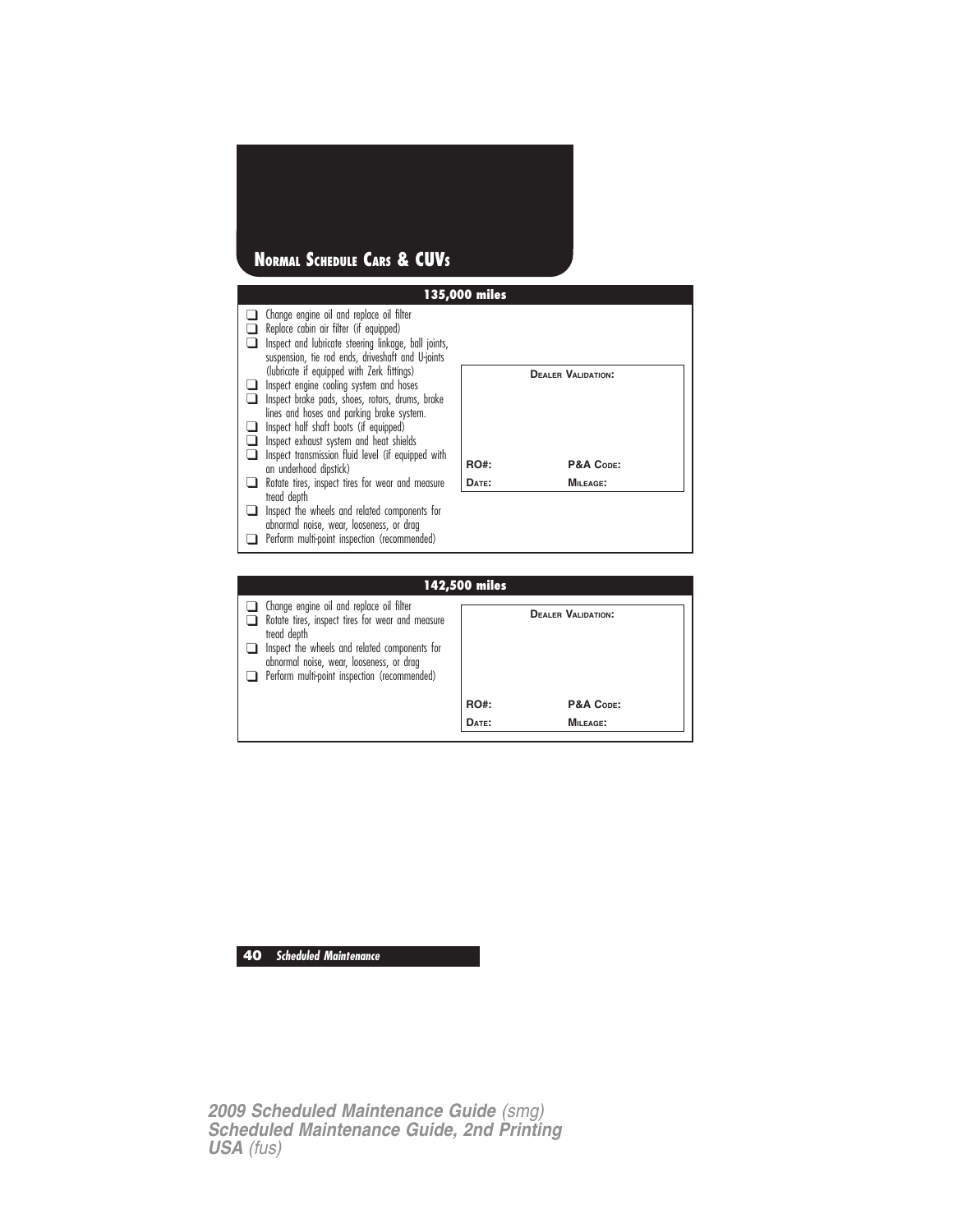## **NORMAL SCHEDULE CARS & CUVS**



❑ Perform multi-point inspection (recommended)

**RO#: P&A CODE: DATE: MILEAGE:**

**40 Scheduled Maintenance**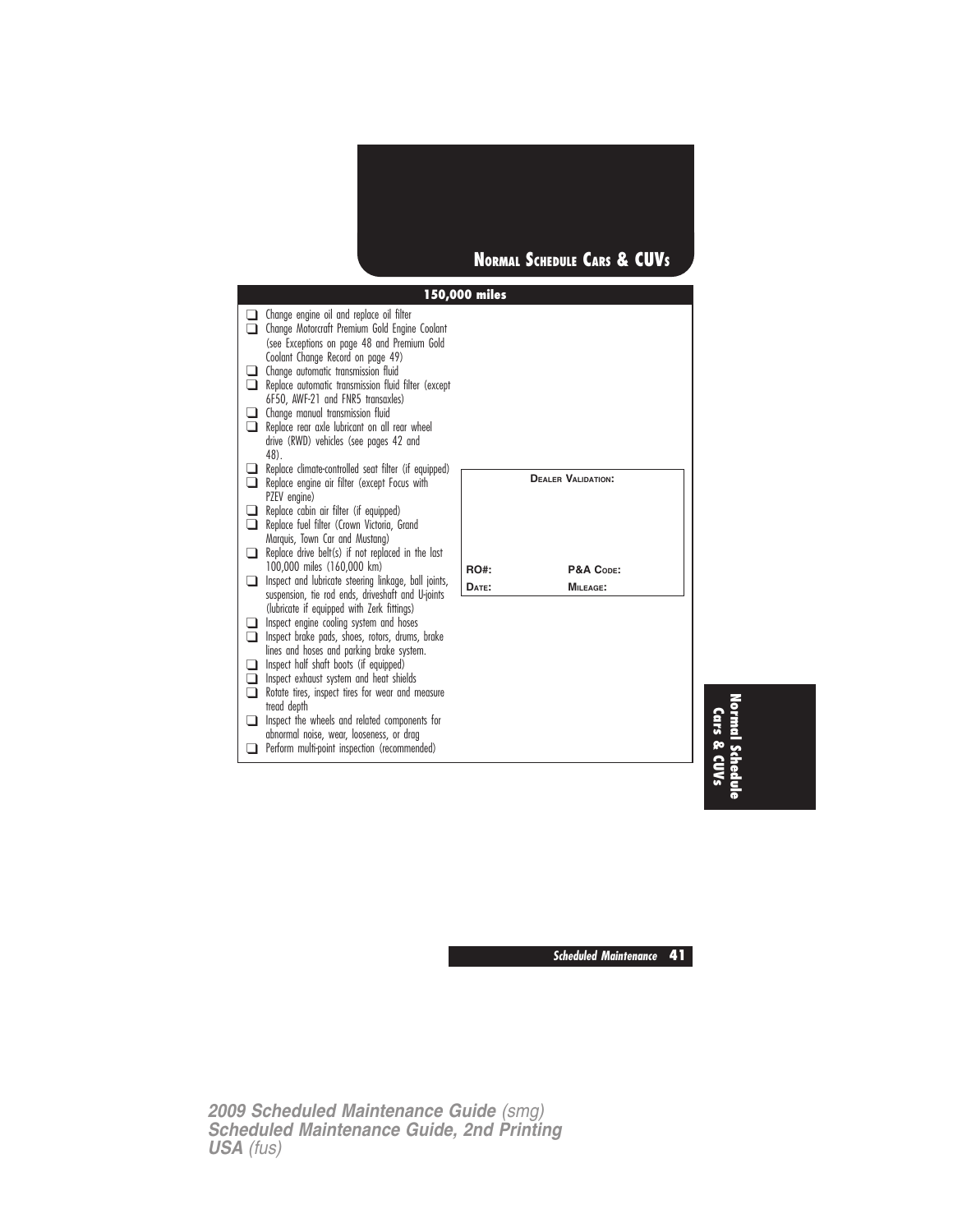

|   | $\Box$ Change engine oil and replace oil filter<br>Change Motorcraft Premium Gold Engine Coolant                                                                                                                                                                                                         |             |                           |
|---|----------------------------------------------------------------------------------------------------------------------------------------------------------------------------------------------------------------------------------------------------------------------------------------------------------|-------------|---------------------------|
| n | (see Exceptions on page 48 and Premium Gold<br>Coolant Change Record on page 49)<br>Change automatic transmission fluid<br>Replace automatic transmission fluid filter (except<br>6F50, AWF-21 and FNR5 transaxles)<br>Change manual transmission fluid<br>Replace rear axle lubricant on all rear wheel |             |                           |
|   | drive (RWD) vehicles (see pages 42 and<br>48).                                                                                                                                                                                                                                                           |             |                           |
| ∩ | Replace climate-controlled seat filter (if equipped)<br>Replace engine air filter (except Focus with<br>PZEV engine)                                                                                                                                                                                     |             | <b>DEALER VALIDATION:</b> |
| n | Replace cabin air filter (if equipped)<br>Replace fuel filter (Crown Victoria, Grand                                                                                                                                                                                                                     |             |                           |
| ப | Marquis, Town Car and Mustang)<br>Replace drive belt(s) if not replaced in the last                                                                                                                                                                                                                      |             |                           |
| ப | 100,000 miles (160,000 km)<br>Inspect and lubricate steering linkage, ball joints,                                                                                                                                                                                                                       | <b>RO#:</b> | P&A CODE:                 |
|   | suspension, tie rod ends, driveshaft and U-joints                                                                                                                                                                                                                                                        | DATE:       | MILEAGE:                  |
|   | (lubricate if equipped with Zerk fittings)<br>Inspect engine cooling system and hoses<br>Inspect brake pads, shoes, rotors, drums, brake                                                                                                                                                                 |             |                           |
| ⊓ | lines and hoses and parking brake system.<br>Inspect half shaft boots (if equipped)<br>Inspect exhaust system and heat shields<br>Rotate tires, inspect tires for wear and measure                                                                                                                       |             |                           |
|   | tread depth                                                                                                                                                                                                                                                                                              |             |                           |
| n | Inspect the wheels and related components for<br>abnormal noise, wear, looseness, or drag                                                                                                                                                                                                                |             |                           |
|   | Perform multi-point inspection (recommended)                                                                                                                                                                                                                                                             |             |                           |

**Normal Schedule Cars & CUVs**

**Scheduled Maintenance 41**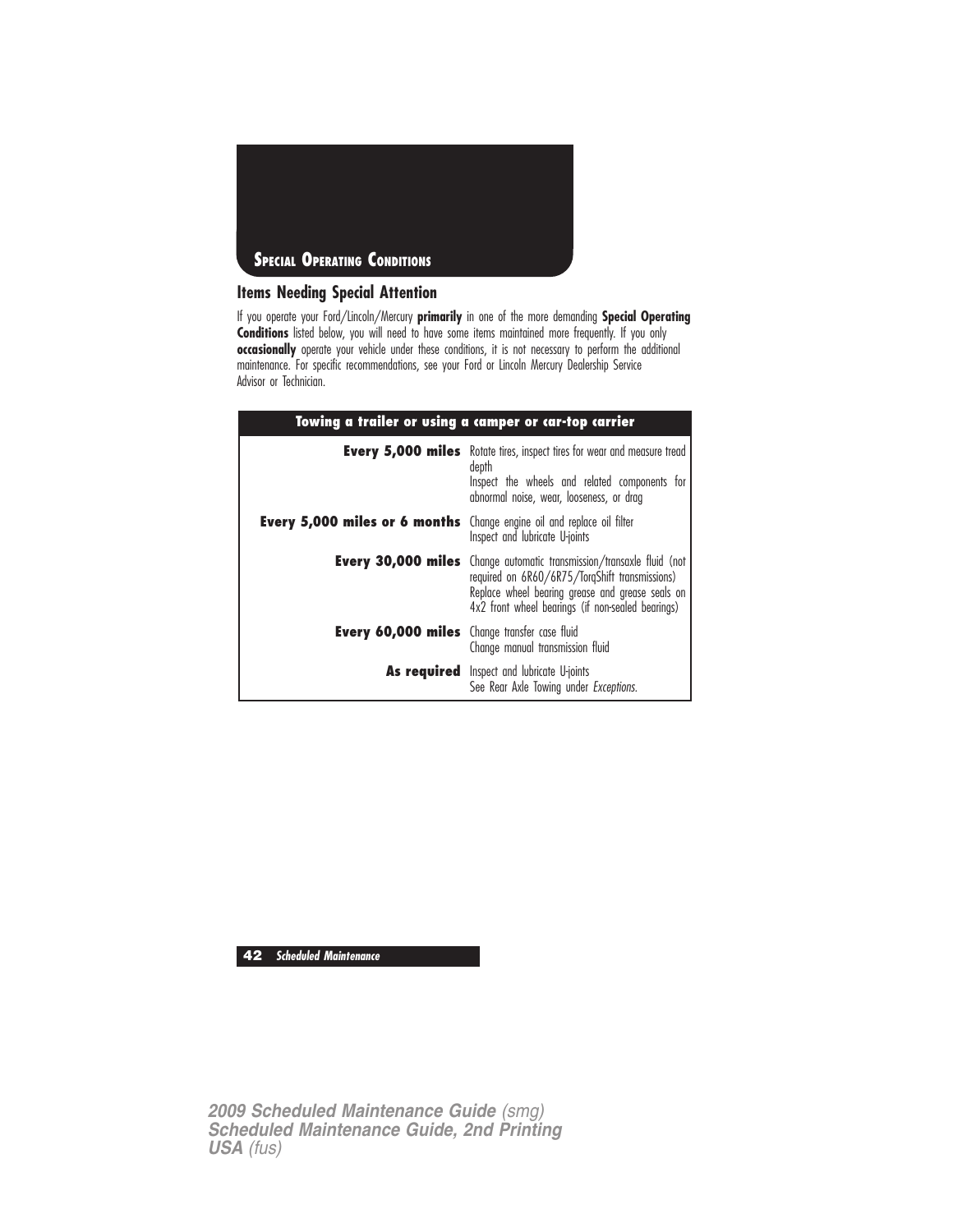

#### **Items Needing Special Attention**

If you operate your Ford/Lincoln/Mercury **primarily** in one of the more demanding **Special Operating Conditions** listed below, you will need to have some items maintained more frequently. If you only **occasionally** operate your vehicle under these conditions, it is not necessary to perform the additional maintenance. For specific recommendations, see your Ford or Lincoln Mercury Dealership Service Advisor or Technician.

| Towing a trailer or using a camper or car-top carrier                         |                                                                                                                                                                                                                                         |
|-------------------------------------------------------------------------------|-----------------------------------------------------------------------------------------------------------------------------------------------------------------------------------------------------------------------------------------|
|                                                                               | <b>Every 5,000 miles</b> Rotate tires, inspect tires for wear and measure tread<br>depth<br>Inspect the wheels and related components for<br>abnormal noise, wear, looseness, or drag                                                   |
| <b>Every 5,000 miles or 6 months</b> Change engine oil and replace oil filter | Inspect and lubricate U-joints                                                                                                                                                                                                          |
|                                                                               | <b>Every 30,000 miles</b> Change automatic transmission/transaxle fluid (not<br>required on 6R60/6R75/TorqShift transmissions)<br>Replace wheel bearing grease and grease seals on<br>4x2 front wheel bearings (if non-sealed bearings) |
| <b>Every 60,000 miles</b> Change transfer case fluid                          | Change manual transmission fluid                                                                                                                                                                                                        |
|                                                                               | <b>As required</b> Inspect and lubricate U-joints<br>See Rear Axle Towing under Exceptions.                                                                                                                                             |

**42 Scheduled Maintenance**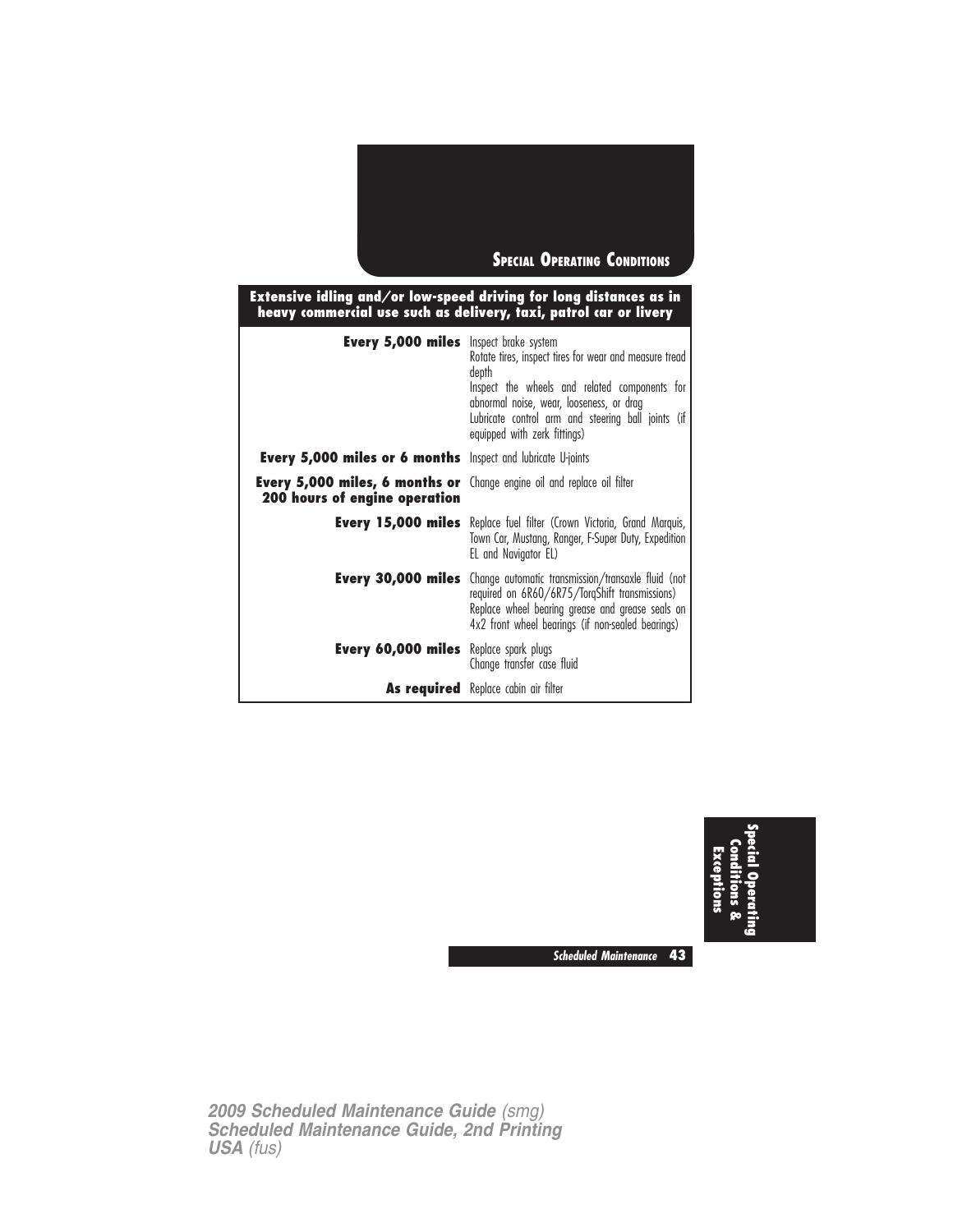

| Extensive idling and/or low-speed driving for long distances as in<br>heavy commercial use such as delivery, taxi, patrol car or livery |                                                                                                                                                                                                                                                    |  |
|-----------------------------------------------------------------------------------------------------------------------------------------|----------------------------------------------------------------------------------------------------------------------------------------------------------------------------------------------------------------------------------------------------|--|
| <b>Every 5,000 miles</b> Inspect brake system                                                                                           | Rotate tires, inspect tires for wear and measure tread<br>depth<br>Inspect the wheels and related components for<br>abnormal noise, wear, looseness, or drag<br>Lubricate control arm and steering ball joints (if<br>equipped with zerk fittings) |  |
| <b>Every 5,000 miles or 6 months</b> Inspect and lubricate U-joints                                                                     |                                                                                                                                                                                                                                                    |  |
| <b>Every 5,000 miles, 6 months or</b> Change engine oil and replace oil filter<br><b>200 hours of engine operation</b>                  |                                                                                                                                                                                                                                                    |  |
| Every 15,000 miles                                                                                                                      | Replace fuel filter (Crown Victoria, Grand Marquis,<br>Town Car, Mustang, Ranger, F-Super Duty, Expedition<br>EL and Navigator EL)                                                                                                                 |  |
| Every 30,000 miles                                                                                                                      | Change automatic transmission/transaxle fluid (not<br>required on 6R60/6R75/TorqShift transmissions)<br>Replace wheel bearing grease and grease seals on<br>4x2 front wheel bearings (if non-sealed bearings)                                      |  |
| <b>Every 60,000 miles</b> Replace spark plugs                                                                                           | Change transfer case fluid                                                                                                                                                                                                                         |  |
|                                                                                                                                         | <b>As required</b> Replace cabin air filter                                                                                                                                                                                                        |  |



**Scheduled Maintenance 43**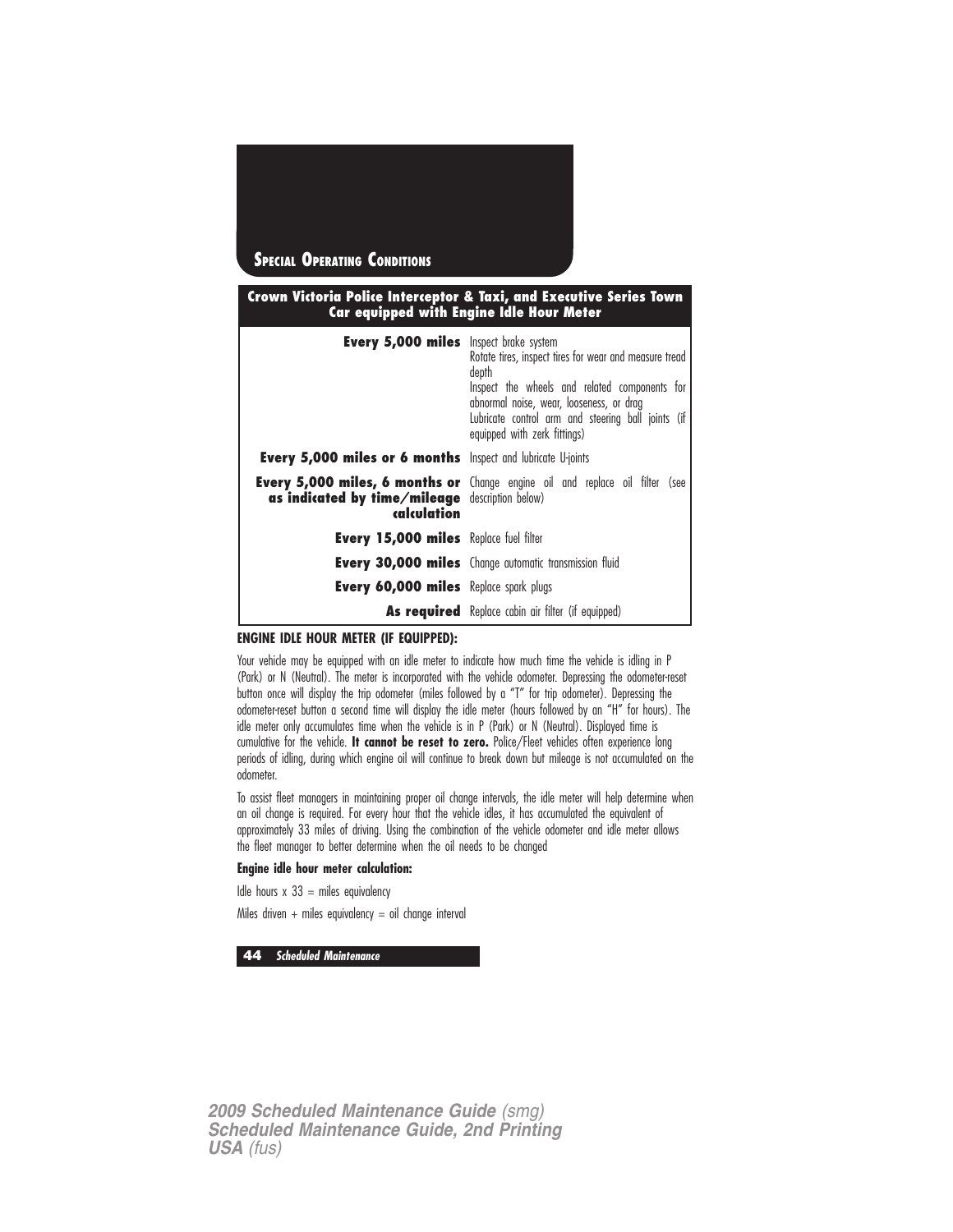

#### **Crown Victoria Police Interceptor & Taxi, and Executive Series Town Car equipped with Engine Idle Hour Meter**

| <b>Every 5,000 miles</b> Inspect brake system                         | Rotate tires, inspect tires for wear and measure tread<br>depth<br>Inspect the wheels and related components for<br>abnormal noise, wear, looseness, or drag<br>Lubricate control arm and steering ball joints (if<br>equipped with zerk fittings) |
|-----------------------------------------------------------------------|----------------------------------------------------------------------------------------------------------------------------------------------------------------------------------------------------------------------------------------------------|
| <b>Every 5,000 miles or 6 months</b> Inspect and lubricate U-joints   |                                                                                                                                                                                                                                                    |
| <b>as indicated by time/mileage</b> description below)<br>calculation | <b>Every 5,000 miles, 6 months or</b> Change engine oil and replace oil filter (see                                                                                                                                                                |
| <b>Every 15,000 miles</b> Replace fuel filter                         |                                                                                                                                                                                                                                                    |
|                                                                       | <b>Every 30,000 miles</b> Change automatic transmission fluid                                                                                                                                                                                      |
| <b>Every 60,000 miles</b> Replace spark plugs                         |                                                                                                                                                                                                                                                    |
|                                                                       | <b>As required</b> Replace cabin air filter (if equipped)                                                                                                                                                                                          |

#### **ENGINE IDLE HOUR METER (IF EQUIPPED):**

Your vehicle may be equipped with an idle meter to indicate how much time the vehicle is idling in P (Park) or N (Neutral). The meter is incorporated with the vehicle odometer. Depressing the odometer-reset button once will display the trip odometer (miles followed by a "T" for trip odometer). Depressing the odometer-reset button a second time will display the idle meter (hours followed by an "H" for hours). The idle meter only accumulates time when the vehicle is in P (Park) or N (Neutral). Displayed time is cumulative for the vehicle. **It cannot be reset to zero.** Police/Fleet vehicles often experience long periods of idling, during which engine oil will continue to break down but mileage is not accumulated on the odometer.

To assist fleet managers in maintaining proper oil change intervals, the idle meter will help determine when an oil change is required. For every hour that the vehicle idles, it has accumulated the equivalent of approximately 33 miles of driving. Using the combination of the vehicle odometer and idle meter allows the fleet manager to better determine when the oil needs to be changed

#### **Engine idle hour meter calculation:**

Idle hours  $x$  33 = miles equivalency

Miles driven + miles equivalency = oil change interval

**44 Scheduled Maintenance**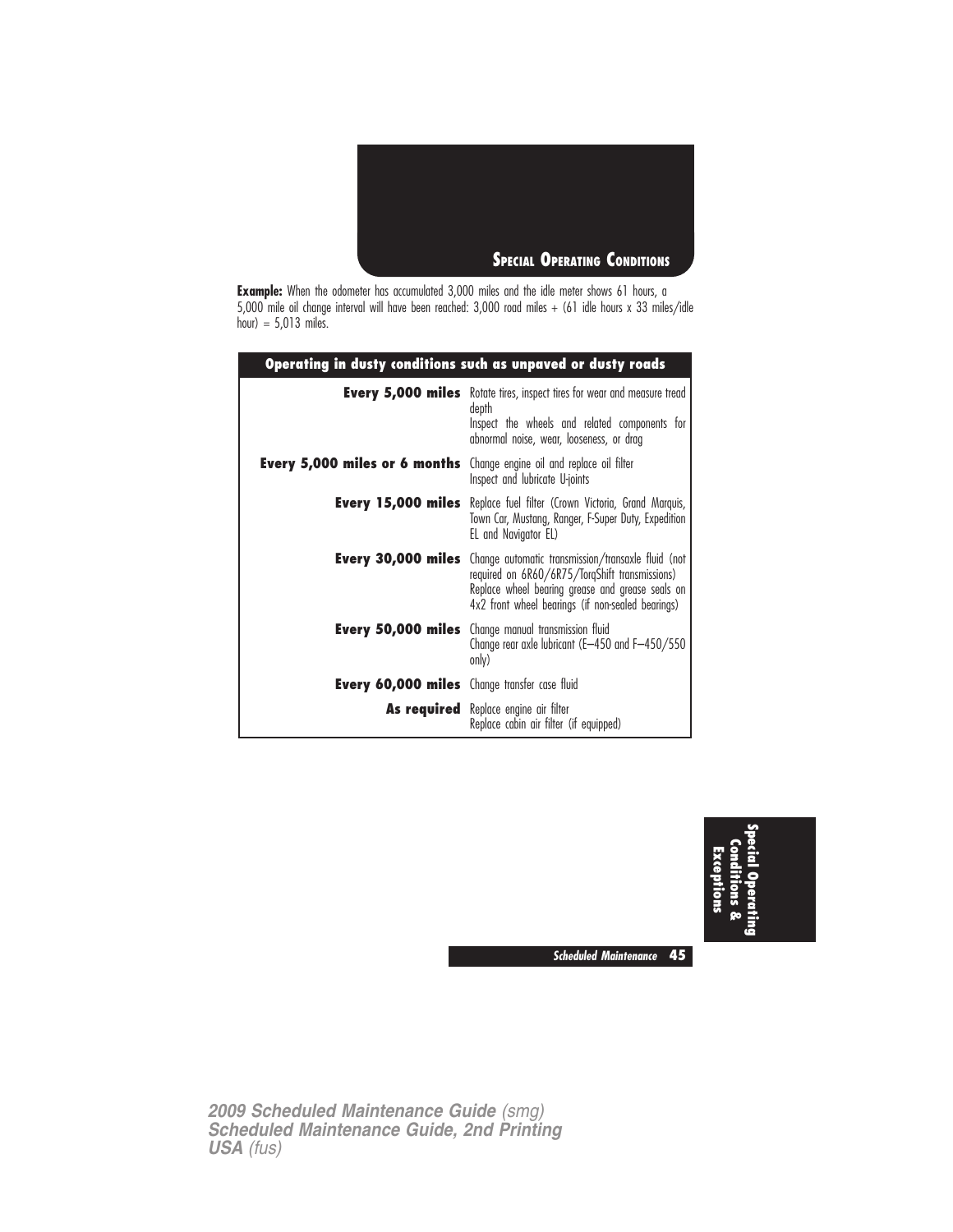

**Example:** When the odometer has accumulated 3,000 miles and the idle meter shows 61 hours, a 5,000 mile oil change interval will have been reached: 3,000 road miles + (61 idle hours x 33 miles/idle hour) = 5,013 miles.

| Operating in dusty conditions such as unpaved or dusty roads |                                                                                                                                                                                                                                         |  |
|--------------------------------------------------------------|-----------------------------------------------------------------------------------------------------------------------------------------------------------------------------------------------------------------------------------------|--|
|                                                              | <b>Every 5,000 miles</b> Rotate tires, inspect tires for wear and measure tread<br>depth<br>Inspect the wheels and related components for<br>abnormal noise, wear, looseness, or drag                                                   |  |
| Every 5,000 miles or 6 months                                | Change engine oil and replace oil filter<br>Inspect and lubricate U-joints                                                                                                                                                              |  |
|                                                              | <b>Every 15,000 miles</b> Replace fuel filter (Crown Victoria, Grand Marquis,<br>Town Car, Mustang, Ranger, F-Super Duty, Expedition<br>EL and Navigator EL)                                                                            |  |
|                                                              | <b>Every 30,000 miles</b> Change automatic transmission/transaxle fluid (not<br>required on 6R60/6R75/TorqShift transmissions)<br>Replace wheel bearing grease and grease seals on<br>4x2 front wheel bearings (if non-sealed bearings) |  |
|                                                              | <b>Every 50,000 miles</b> Change manual transmission fluid<br>Change rear axle lubricant (E-450 and F-450/550<br>only)                                                                                                                  |  |
| <b>Every 60,000 miles</b> Change transfer case fluid         |                                                                                                                                                                                                                                         |  |
|                                                              | <b>As required</b> Replace engine air filter<br>Replace cabin air filter (if equipped)                                                                                                                                                  |  |



**Scheduled Maintenance 45**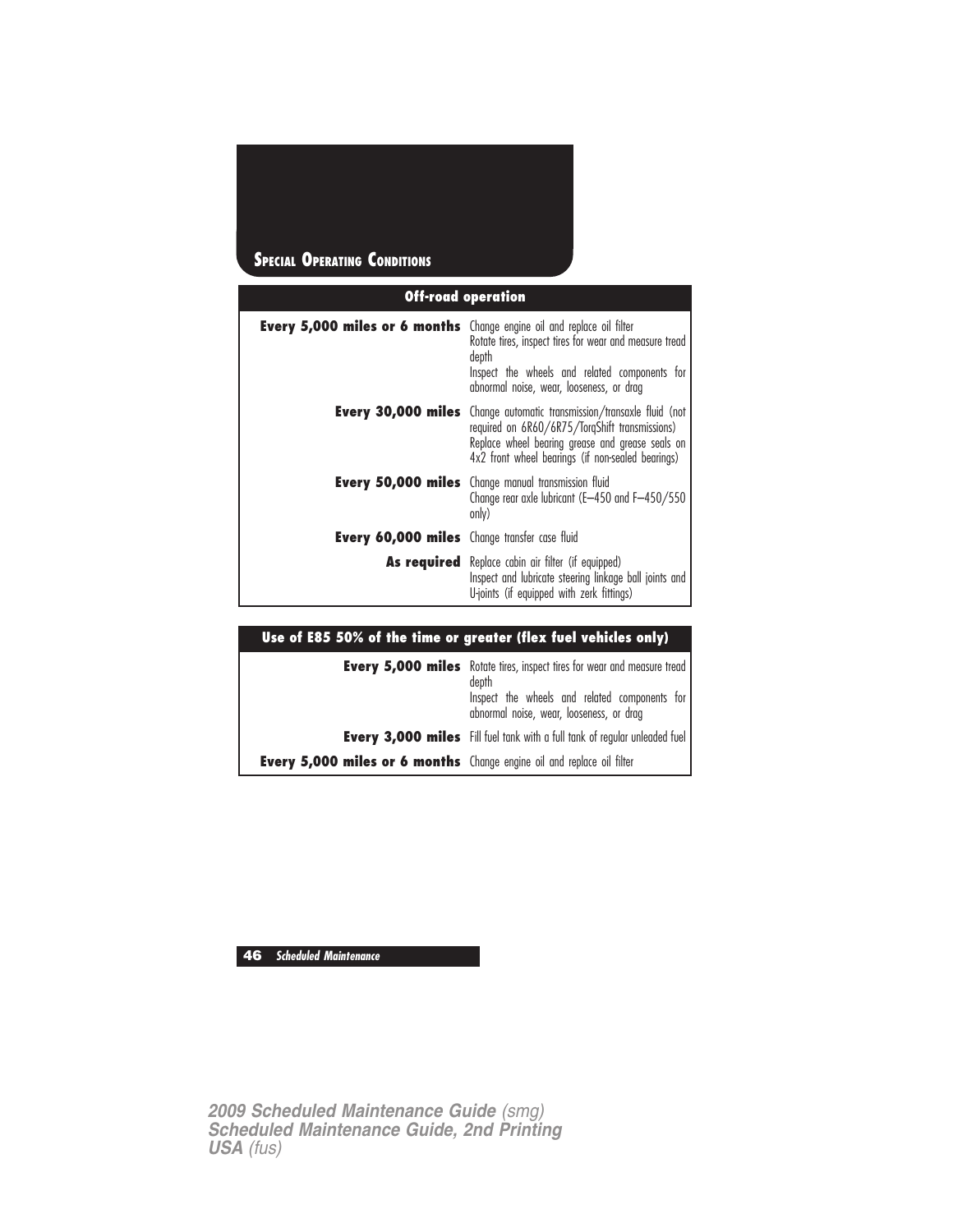# **Off-road operation SPECIAL OPERATING CONDITIONS**

| <b>Every 5,000 miles or 6 months</b> Change engine oil and replace oil filter | Rotate tires, inspect tires for wear and measure tread<br>depth<br>Inspect the wheels and related components for<br>abnormal noise, wear, looseness, or drag                                                                            |  |
|-------------------------------------------------------------------------------|-----------------------------------------------------------------------------------------------------------------------------------------------------------------------------------------------------------------------------------------|--|
|                                                                               | <b>Every 30,000 miles</b> Change automatic transmission/transaxle fluid (not<br>required on 6R60/6R75/TorgShift transmissions)<br>Replace wheel bearing grease and grease seals on<br>4x2 front wheel bearings (if non-sealed bearings) |  |
|                                                                               | <b>Every 50,000 miles</b> Change manual transmission fluid<br>Change rear axle lubricant (E-450 and F-450/550<br>only)                                                                                                                  |  |
| <b>Every 60,000 miles</b> Change transfer case fluid                          |                                                                                                                                                                                                                                         |  |
|                                                                               | <b>As required</b> Replace cabin air filter (if equipped)<br>Inspect and lubricate steering linkage ball joints and<br>U-joints (if equipped with zerk fittings)                                                                        |  |

| Use of E85 50% of the time or greater (flex fuel vehicles only)               |                                                                                                                                                                                       |  |
|-------------------------------------------------------------------------------|---------------------------------------------------------------------------------------------------------------------------------------------------------------------------------------|--|
|                                                                               | <b>Every 5,000 miles</b> Rotate tires, inspect tires for wear and measure tread<br>depth<br>Inspect the wheels and related components for<br>abnormal noise, wear, looseness, or drag |  |
|                                                                               | <b>Every 3,000 miles</b> Fill fuel tank with a full tank of regular unleaded fuel                                                                                                     |  |
| <b>Every 5,000 miles or 6 months</b> Change engine oil and replace oil filter |                                                                                                                                                                                       |  |

**46 Scheduled Maintenance**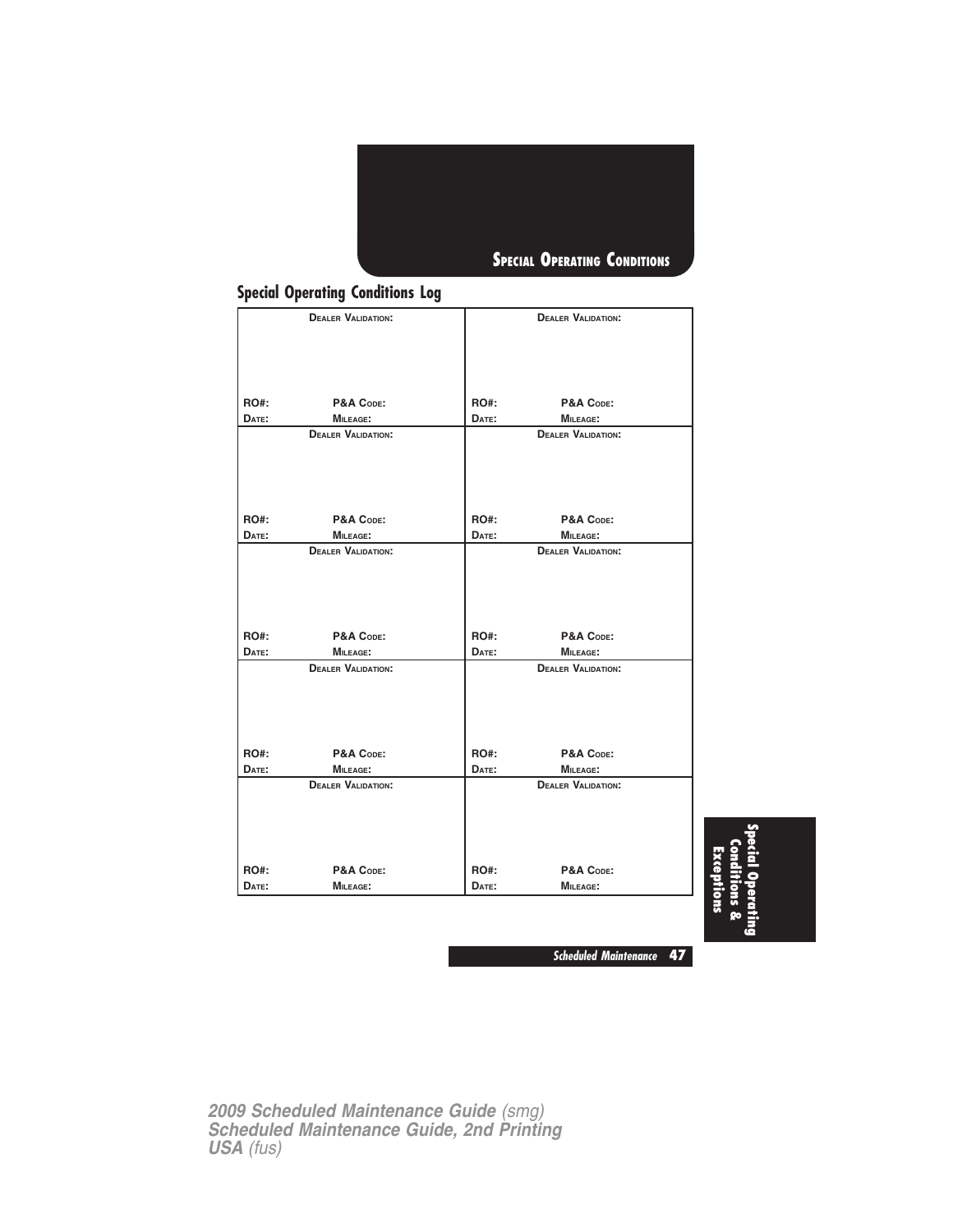

## **Special Operating Conditions Log**

|             | <b>DEALER VALIDATION:</b> |             | <b>DEALER VALIDATION:</b> |  |
|-------------|---------------------------|-------------|---------------------------|--|
|             |                           |             |                           |  |
|             |                           |             |                           |  |
|             |                           |             |                           |  |
| <b>RO#:</b> | P&A CODE:                 | RO#:        | P&A CODE:                 |  |
| DATE:       | MILEAGE:                  | DATE:       | <b>MILEAGE:</b>           |  |
|             | <b>DEALER VALIDATION:</b> |             | <b>DEALER VALIDATION:</b> |  |
|             |                           |             |                           |  |
| <b>RO#:</b> | P&A CODE:                 | RO#:        | P&A CODE:                 |  |
| DATE:       | <b>MILEAGE:</b>           | DATE:       | <b>MILEAGE:</b>           |  |
|             | <b>DEALER VALIDATION:</b> |             | <b>DEALER VALIDATION:</b> |  |
|             |                           |             |                           |  |
|             |                           |             |                           |  |
| <b>RO#:</b> | P&A CODE:                 | <b>RO#:</b> | P&A CODE:                 |  |
| DATE:       | <b>MILEAGE:</b>           | DATE:       | MILEAGE:                  |  |
|             | <b>DEALER VALIDATION:</b> |             | <b>DEALER VALIDATION:</b> |  |
|             |                           |             |                           |  |
| <b>RO#:</b> | P&A CODE:                 | RO#:        | P&A CODE:                 |  |
| DATE:       | <b>MILEAGE:</b>           | DATE:       | <b>MILEAGE:</b>           |  |
|             | <b>DEALER VALIDATION:</b> |             | <b>DEALER VALIDATION:</b> |  |
|             |                           |             |                           |  |
| <b>RO#:</b> | P&A CODE:                 | <b>RO#:</b> | P&A CODE:                 |  |
|             |                           |             |                           |  |

**Special Operating Conditions & Exceptions**

**Scheduled Maintenance 47**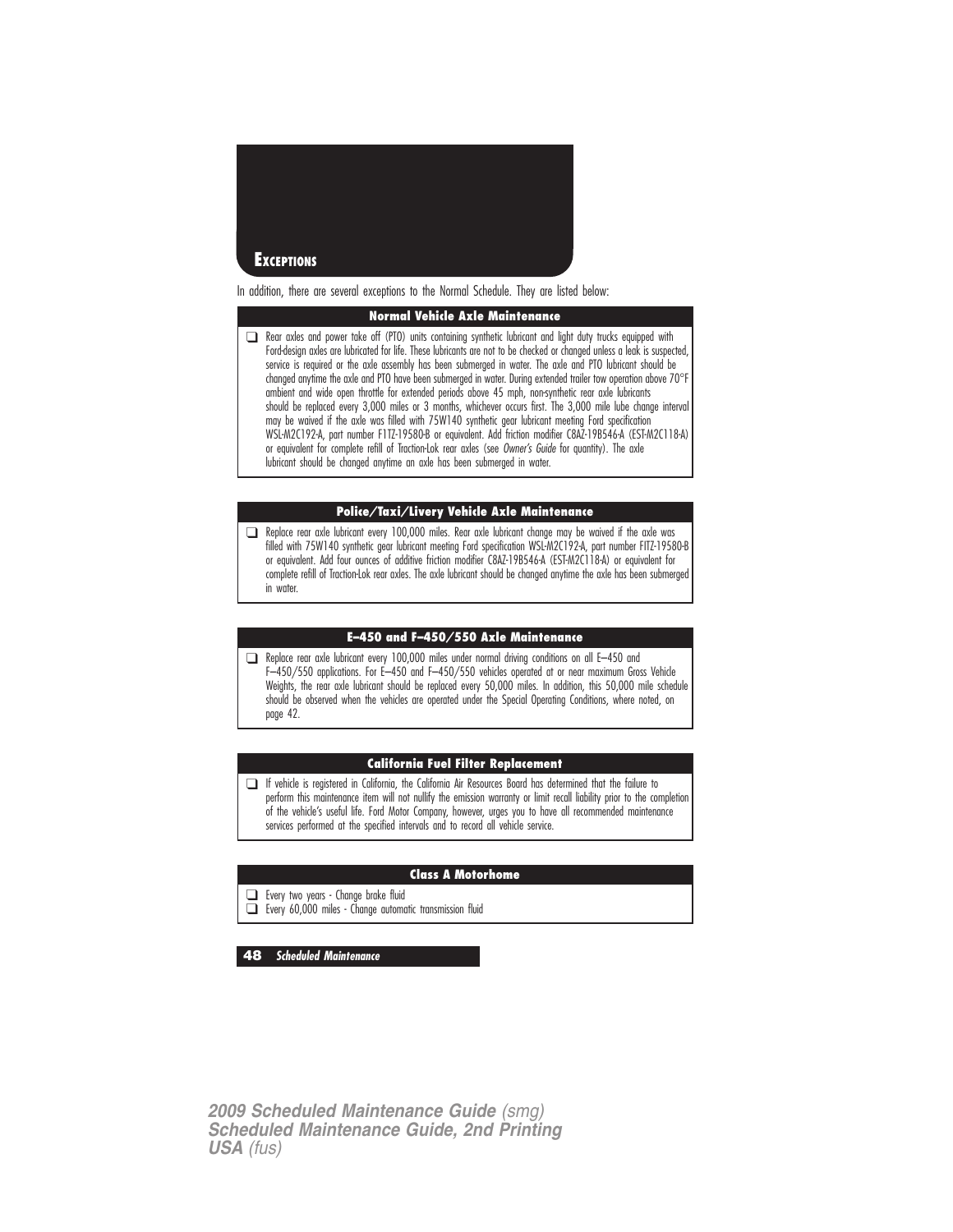

In addition, there are several exceptions to the Normal Schedule. They are listed below:

#### **Normal Vehicle Axle Maintenance**

❑ Rear axles and power take off (PTO) units containing synthetic lubricant and light duty trucks equipped with Ford-design axles are lubricated for life. These lubricants are not to be checked or changed unless a leak is suspected, service is required or the axle assembly has been submerged in water. The axle and PTO lubricant should be changed anytime the axle and PTO have been submerged in water. During extended trailer tow operation above 70°I ambient and wide open throttle for extended periods above 45 mph, non-synthetic rear axle lubricants should be replaced every 3,000 miles or 3 months, whichever occurs first. The 3,000 mile lube change interval may be waived if the axle was filled with 75W140 synthetic gear lubricant meeting Ford specification WSL-M2C192-A, part number F1TZ-19580-B or equivalent. Add friction modifier C8AZ-19B546-A (EST-M2C118-A) or equivalent for complete refill of Traction-Lok rear axles (see Owner's Guide for quantity). The axle lubricant should be changed anytime an axle has been submerged in water.

#### **Police/Taxi/Livery Vehicle Axle Maintenance**

❑ Replace rear axle lubricant every 100,000 miles. Rear axle lubricant change may be waived if the axle was filled with 75W140 synthetic gear lubricant meeting Ford specification WSL-M2C192-A, part number FITZ-19580-B or equivalent. Add four ounces of additive friction modifier C8AZ-19B546-A (EST-M2C118-A) or equivalent for complete refill of Traction-Lok rear axles. The axle lubricant should be changed anytime the axle has been submerged in water.

#### **E–450 and F–450/550 Axle Maintenance**

❑ Replace rear axle lubricant every 100,000 miles under normal driving conditions on all E–450 and F–450/550 applications. For E–450 and F–450/550 vehicles operated at or near maximum Gross Vehicle Weights, the rear axle lubricant should be replaced every 50,000 miles. In addition, this 50,000 mile schedule should be observed when the vehicles are operated under the Special Operating Conditions, where noted, on page 42.

#### **California Fuel Filter Replacement**

❑ If vehicle is registered in California, the California Air Resources Board has determined that the failure to perform this maintenance item will not nullify the emission warranty or limit recall liability prior to the completion of the vehicle's useful life. Ford Motor Company, however, urges you to have all recommended maintenance services performed at the specified intervals and to record all vehicle service.

#### **Class A Motorhome**

❑ Every two years - Change brake fluid

❑ Every 60,000 miles - Change automatic transmission fluid

**48 Scheduled Maintenance**